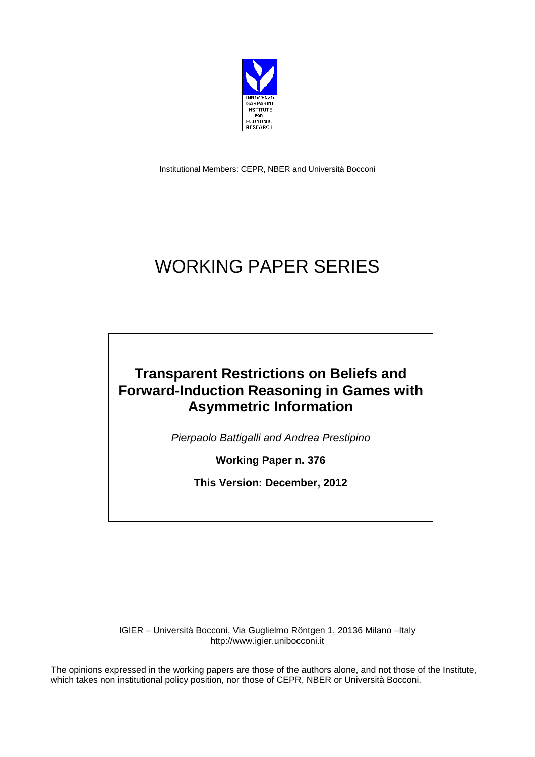

Institutional Members: CEPR, NBER and Università Bocconi

# WORKING PAPER SERIES

# **Transparent Restrictions on Beliefs and Forward-Induction Reasoning in Games with Asymmetric Information**

*Pierpaolo Battigalli and Andrea Prestipino*

**Working Paper n. 376**

**This Version: December, 2012**

IGIER – Università Bocconi, Via Guglielmo Röntgen 1, 20136 Milano –Italy http://www.igier.unibocconi.it

The opinions expressed in the working papers are those of the authors alone, and not those of the Institute, which takes non institutional policy position, nor those of CEPR, NBER or Università Bocconi.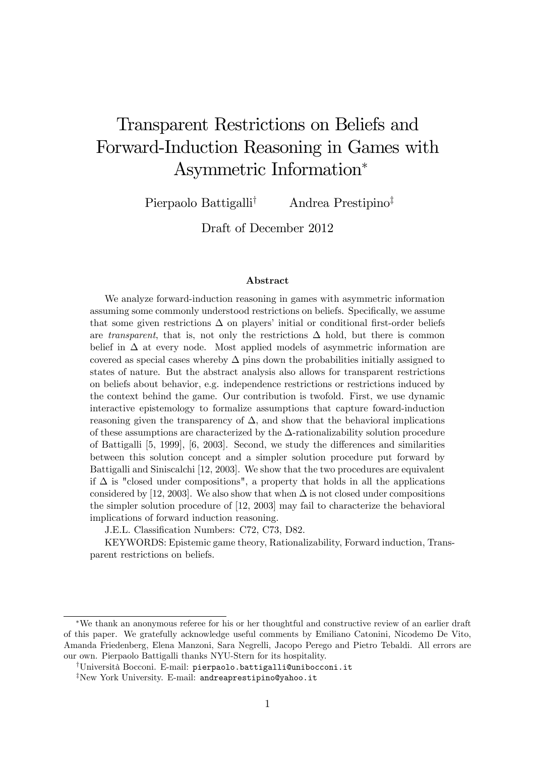# Transparent Restrictions on Beliefs and Forward-Induction Reasoning in Games with Asymmetric Information

Pierpaolo Battigalli<sup>†</sup> Andrea Prestipino<sup>‡</sup>

Draft of December 2012

#### Abstract

We analyze forward-induction reasoning in games with asymmetric information assuming some commonly understood restrictions on beliefs. Specifically, we assume that some given restrictions  $\Delta$  on players' initial or conditional first-order beliefs are transparent, that is, not only the restrictions  $\Delta$  hold, but there is common belief in  $\Delta$  at every node. Most applied models of asymmetric information are covered as special cases whereby  $\Delta$  pins down the probabilities initially assigned to states of nature. But the abstract analysis also allows for transparent restrictions on beliefs about behavior, e.g. independence restrictions or restrictions induced by the context behind the game. Our contribution is twofold. First, we use dynamic interactive epistemology to formalize assumptions that capture foward-induction reasoning given the transparency of  $\Delta$ , and show that the behavioral implications of these assumptions are characterized by the  $\Delta$ -rationalizability solution procedure of Battigalli  $[5, 1999]$ ,  $[6, 2003]$ . Second, we study the differences and similarities between this solution concept and a simpler solution procedure put forward by Battigalli and Siniscalchi [12, 2003]. We show that the two procedures are equivalent if  $\Delta$  is "closed under compositions", a property that holds in all the applications considered by [12, 2003]. We also show that when  $\Delta$  is not closed under compositions the simpler solution procedure of [12, 2003] may fail to characterize the behavioral implications of forward induction reasoning.

J.E.L. Classification Numbers: C72, C73, D82.

KEYWORDS: Epistemic game theory, Rationalizability, Forward induction, Transparent restrictions on beliefs.

We thank an anonymous referee for his or her thoughtful and constructive review of an earlier draft of this paper. We gratefully acknowledge useful comments by Emiliano Catonini, Nicodemo De Vito, Amanda Friedenberg, Elena Manzoni, Sara Negrelli, Jacopo Perego and Pietro Tebaldi. All errors are our own. Pierpaolo Battigalli thanks NYU-Stern for its hospitality.

<sup>&</sup>lt;sup>†</sup>Università Bocconi. E-mail: pierpaolo.battigalli@unibocconi.it

<sup>&</sup>lt;sup>‡</sup>New York University. E-mail: andreaprestipino@yahoo.it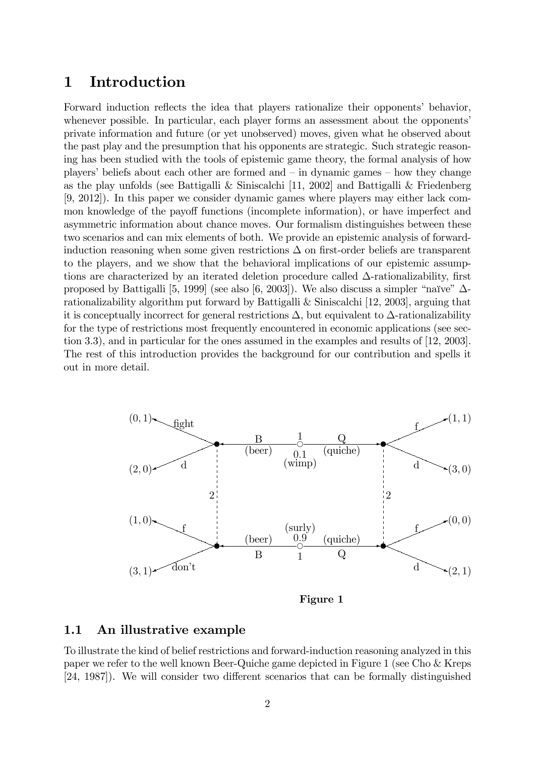## 1 Introduction

Forward induction reflects the idea that players rationalize their opponents' behavior, whenever possible. In particular, each player forms an assessment about the opponents private information and future (or yet unobserved) moves, given what he observed about the past play and the presumption that his opponents are strategic. Such strategic reasoning has been studied with the tools of epistemic game theory, the formal analysis of how players' beliefs about each other are formed and  $-\text{ in dynamic games} - \text{how they change}$ as the play unfolds (see Battigalli & Siniscalchi [11, 2002] and Battigalli & Friedenberg [9, 2012]). In this paper we consider dynamic games where players may either lack common knowledge of the payoff functions (incomplete information), or have imperfect and asymmetric information about chance moves. Our formalism distinguishes between these two scenarios and can mix elements of both. We provide an epistemic analysis of forwardinduction reasoning when some given restrictions  $\Delta$  on first-order beliefs are transparent to the players, and we show that the behavioral implications of our epistemic assumptions are characterized by an iterated deletion procedure called  $\Delta$ -rationalizability, first proposed by Battigalli [5, 1999] (see also [6, 2003]). We also discuss a simpler "naïve"  $\Delta$ rationalizability algorithm put forward by Battigalli & Siniscalchi [12, 2003], arguing that it is conceptually incorrect for general restrictions  $\Delta$ , but equivalent to  $\Delta$ -rationalizability for the type of restrictions most frequently encountered in economic applications (see section 3.3), and in particular for the ones assumed in the examples and results of [12, 2003]. The rest of this introduction provides the background for our contribution and spells it out in more detail.



Figure 1

#### 1.1 An illustrative example

To illustrate the kind of belief restrictions and forward-induction reasoning analyzed in this paper we refer to the well known Beer-Quiche game depicted in Figure 1 (see Cho & Kreps [24, 1987]). We will consider two different scenarios that can be formally distinguished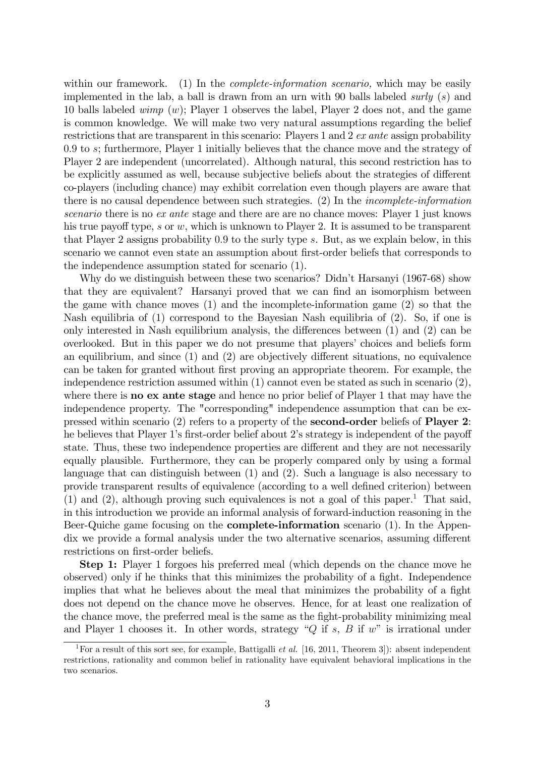within our framework. (1) In the *complete-information scenario*, which may be easily implemented in the lab, a ball is drawn from an urn with 90 balls labeled surly  $(s)$  and 10 balls labeled wimp  $(w)$ ; Player 1 observes the label, Player 2 does not, and the game is common knowledge. We will make two very natural assumptions regarding the belief restrictions that are transparent in this scenario: Players 1 and 2  $ex$  ante assign probability 0:9 to s; furthermore, Player 1 initially believes that the chance move and the strategy of Player 2 are independent (uncorrelated). Although natural, this second restriction has to be explicitly assumed as well, because subjective beliefs about the strategies of different co-players (including chance) may exhibit correlation even though players are aware that there is no causal dependence between such strategies. (2) In the incomplete-information scenario there is no ex ante stage and there are are no chance moves: Player 1 just knows his true payoff type,  $s$  or  $w$ , which is unknown to Player 2. It is assumed to be transparent that Player 2 assigns probability 0:9 to the surly type s. But, as we explain below, in this scenario we cannot even state an assumption about first-order beliefs that corresponds to the independence assumption stated for scenario (1).

Why do we distinguish between these two scenarios? Didn't Harsanyi (1967-68) show that they are equivalent? Harsanyi proved that we can find an isomorphism between the game with chance moves (1) and the incomplete-information game (2) so that the Nash equilibria of (1) correspond to the Bayesian Nash equilibria of (2). So, if one is only interested in Nash equilibrium analysis, the differences between  $(1)$  and  $(2)$  can be overlooked. But in this paper we do not presume that players' choices and beliefs form an equilibrium, and since  $(1)$  and  $(2)$  are objectively different situations, no equivalence can be taken for granted without first proving an appropriate theorem. For example, the independence restriction assumed within (1) cannot even be stated as such in scenario (2), where there is **no ex ante stage** and hence no prior belief of Player 1 that may have the independence property. The "corresponding" independence assumption that can be expressed within scenario (2) refers to a property of the second-order beliefs of Player 2: he believes that Player 1's first-order belief about 2's strategy is independent of the payoff state. Thus, these two independence properties are different and they are not necessarily equally plausible. Furthermore, they can be properly compared only by using a formal language that can distinguish between (1) and (2). Such a language is also necessary to provide transparent results of equivalence (according to a well defined criterion) between  $(1)$  and  $(2)$ , although proving such equivalences is not a goal of this paper.<sup>1</sup> That said, in this introduction we provide an informal analysis of forward-induction reasoning in the Beer-Quiche game focusing on the complete-information scenario (1). In the Appendix we provide a formal analysis under the two alternative scenarios, assuming different restrictions on first-order beliefs.

Step 1: Player 1 forgoes his preferred meal (which depends on the chance move he observed) only if he thinks that this minimizes the probability of a fight. Independence implies that what he believes about the meal that minimizes the probability of a fight does not depend on the chance move he observes. Hence, for at least one realization of the chance move, the preferred meal is the same as the Öght-probability minimizing meal and Player 1 chooses it. In other words, strategy " $Q$  if s, B if w" is irrational under

<sup>&</sup>lt;sup>1</sup>For a result of this sort see, for example, Battigalli *et al.* [16, 2011, Theorem 3]): absent independent restrictions, rationality and common belief in rationality have equivalent behavioral implications in the two scenarios.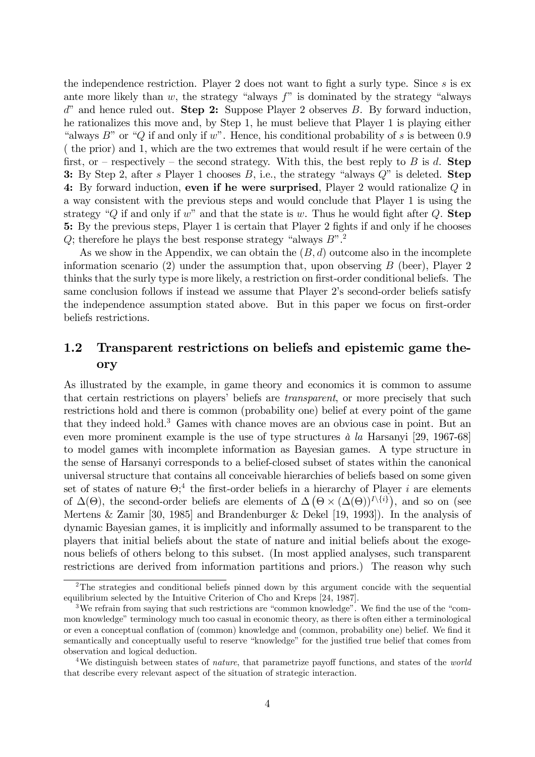the independence restriction. Player 2 does not want to fight a surly type. Since  $s$  is ex ante more likely than w, the strategy "always  $f$ " is dominated by the strategy "always  $d^{\prime\prime}$  and hence ruled out. **Step 2:** Suppose Player 2 observes B. By forward induction, he rationalizes this move and, by Step 1, he must believe that Player 1 is playing either "always  $B$ " or "Q if and only if w". Hence, his conditional probability of s is between 0.9 ( the prior) and 1, which are the two extremes that would result if he were certain of the first, or – respectively – the second strategy. With this, the best reply to B is d. Step 3: By Step 2, after s Player 1 chooses  $B$ , i.e., the strategy "always  $Q$ " is deleted. Step 4: By forward induction, even if he were surprised, Player 2 would rationalize  $Q$  in a way consistent with the previous steps and would conclude that Player 1 is using the strategy "Q if and only if w" and that the state is w. Thus he would fight after Q. Step 5: By the previous steps, Player 1 is certain that Player 2 fights if and only if he chooses Q; therefore he plays the best response strategy "always  $B$ ".<sup>2</sup>

As we show in the Appendix, we can obtain the  $(B, d)$  outcome also in the incomplete information scenario  $(2)$  under the assumption that, upon observing B (beer), Player 2 thinks that the surly type is more likely, a restriction on first-order conditional beliefs. The same conclusion follows if instead we assume that Player 2's second-order beliefs satisfy the independence assumption stated above. But in this paper we focus on first-order beliefs restrictions.

### 1.2 Transparent restrictions on beliefs and epistemic game theory

As illustrated by the example, in game theory and economics it is common to assume that certain restrictions on players' beliefs are *transparent*, or more precisely that such restrictions hold and there is common (probability one) belief at every point of the game that they indeed hold.<sup>3</sup> Games with chance moves are an obvious case in point. But an even more prominent example is the use of type structures  $\dot{a}$  la Harsanyi [29, 1967-68] to model games with incomplete information as Bayesian games. A type structure in the sense of Harsanyi corresponds to a belief-closed subset of states within the canonical universal structure that contains all conceivable hierarchies of beliefs based on some given set of states of nature  $\Theta$ <sup>4</sup>, the first-order beliefs in a hierarchy of Player *i* are elements of  $\Delta(\Theta)$ , the second-order beliefs are elements of  $\Delta(\Theta \times (\Delta(\Theta))^{I\setminus \{i\}})$ , and so on (see Mertens & Zamir [30, 1985] and Brandenburger & Dekel [19, 1993]). In the analysis of dynamic Bayesian games, it is implicitly and informally assumed to be transparent to the players that initial beliefs about the state of nature and initial beliefs about the exogenous beliefs of others belong to this subset. (In most applied analyses, such transparent restrictions are derived from information partitions and priors.) The reason why such

<sup>&</sup>lt;sup>2</sup>The strategies and conditional beliefs pinned down by this argument concide with the sequential equilibrium selected by the Intuitive Criterion of Cho and Kreps [24, 1987].

<sup>&</sup>lt;sup>3</sup>We refrain from saying that such restrictions are "common knowledge". We find the use of the "common knowledge" terminology much too casual in economic theory, as there is often either a terminological or even a conceptual conflation of (common) knowledge and (common, probability one) belief. We find it semantically and conceptually useful to reserve "knowledge" for the justified true belief that comes from observation and logical deduction.

<sup>&</sup>lt;sup>4</sup>We distinguish between states of *nature*, that parametrize payoff functions, and states of the *world* that describe every relevant aspect of the situation of strategic interaction.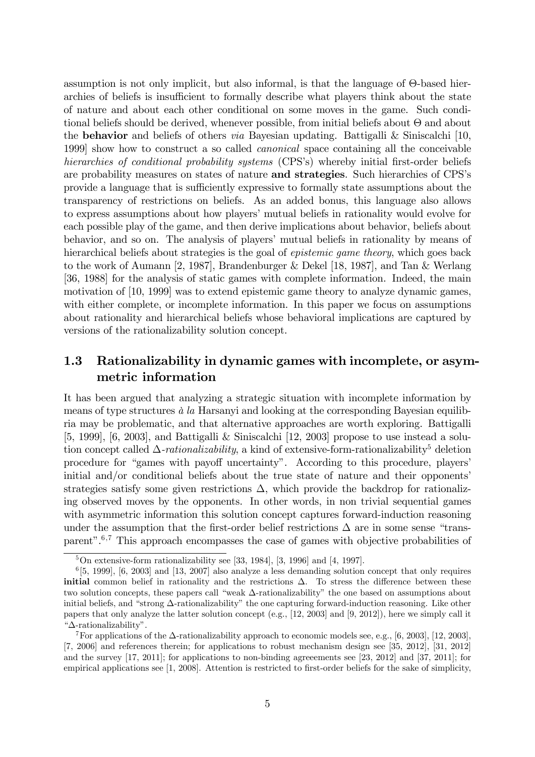assumption is not only implicit, but also informal, is that the language of  $\Theta$ -based hierarchies of beliefs is insufficient to formally describe what players think about the state of nature and about each other conditional on some moves in the game. Such conditional beliefs should be derived, whenever possible, from initial beliefs about  $\Theta$  and about the **behavior** and beliefs of others *via* Bayesian updating. Battigalli & Siniscalchi [10, 1999] show how to construct a so called canonical space containing all the conceivable hierarchies of conditional probability systems (CPS's) whereby initial first-order beliefs are probability measures on states of nature and strategies. Such hierarchies of CPS's provide a language that is sufficiently expressive to formally state assumptions about the transparency of restrictions on beliefs. As an added bonus, this language also allows to express assumptions about how players' mutual beliefs in rationality would evolve for each possible play of the game, and then derive implications about behavior, beliefs about behavior, and so on. The analysis of players' mutual beliefs in rationality by means of hierarchical beliefs about strategies is the goal of *epistemic game theory*, which goes back to the work of Aumann [2, 1987], Brandenburger & Dekel [18, 1987], and Tan & Werlang [36, 1988] for the analysis of static games with complete information. Indeed, the main motivation of [10, 1999] was to extend epistemic game theory to analyze dynamic games, with either complete, or incomplete information. In this paper we focus on assumptions about rationality and hierarchical beliefs whose behavioral implications are captured by versions of the rationalizability solution concept.

## 1.3 Rationalizability in dynamic games with incomplete, or asymmetric information

It has been argued that analyzing a strategic situation with incomplete information by means of type structures  $\dot{a}$  la Harsanyi and looking at the corresponding Bayesian equilibria may be problematic, and that alternative approaches are worth exploring. Battigalli [5, 1999], [6, 2003], and Battigalli & Siniscalchi [12, 2003] propose to use instead a solution concept called  $\Delta$ -*rationalizability*, a kind of extensive-form-rationalizability<sup>5</sup> deletion procedure for "games with payoff uncertainty". According to this procedure, players' initial and/or conditional beliefs about the true state of nature and their opponents' strategies satisfy some given restrictions  $\Delta$ , which provide the backdrop for rationalizing observed moves by the opponents. In other words, in non trivial sequential games with asymmetric information this solution concept captures forward-induction reasoning under the assumption that the first-order belief restrictions  $\Delta$  are in some sense "transparent".<sup>6,7</sup> This approach encompasses the case of games with objective probabilities of

 $\overline{5\text{On extensive-form rationalizability}}$  see [33, 1984], [3, 1996] and [4, 1997].

 $^{6}[5, 1999], [6, 2003]$  and [13, 2007] also analyze a less demanding solution concept that only requires initial common belief in rationality and the restrictions  $\Delta$ . To stress the difference between these two solution concepts, these papers call "weak  $\Delta$ -rationalizability" the one based on assumptions about initial beliefs, and "strong  $\Delta$ -rationalizability" the one capturing forward-induction reasoning. Like other papers that only analyze the latter solution concept (e.g., [12, 2003] and [9, 2012]), here we simply call it  $"\Delta$ -rationalizability".

<sup>&</sup>lt;sup>7</sup>For applications of the  $\Delta$ -rationalizability approach to economic models see, e.g., [6, 2003], [12, 2003], [7, 2006] and references therein; for applications to robust mechanism design see [35, 2012], [31, 2012] and the survey [17, 2011]; for applications to non-binding agreeements see [23, 2012] and [37, 2011]; for empirical applications see [1, 2008]. Attention is restricted to first-order beliefs for the sake of simplicity,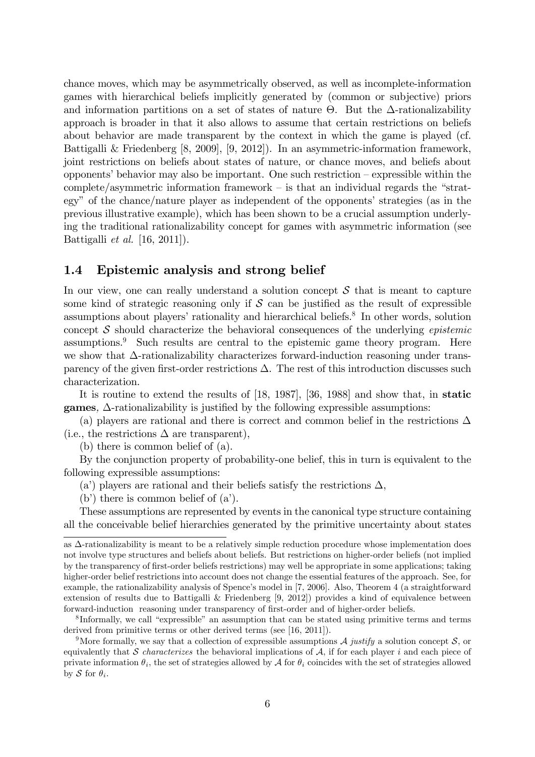chance moves, which may be asymmetrically observed, as well as incomplete-information games with hierarchical beliefs implicitly generated by (common or subjective) priors and information partitions on a set of states of nature  $\Theta$ . But the  $\Delta$ -rationalizability approach is broader in that it also allows to assume that certain restrictions on beliefs about behavior are made transparent by the context in which the game is played (cf. Battigalli & Friedenberg [8, 2009], [9, 2012]). In an asymmetric-information framework, joint restrictions on beliefs about states of nature, or chance moves, and beliefs about opponents' behavior may also be important. One such restriction  $-\frac{1}{2}$  expressible within the complete/asymmetric information framework  $-$  is that an individual regards the "strategy" of the chance/nature player as independent of the opponents' strategies (as in the previous illustrative example), which has been shown to be a crucial assumption underlying the traditional rationalizability concept for games with asymmetric information (see Battigalli et al. [16, 2011]).

#### 1.4 Epistemic analysis and strong belief

In our view, one can really understand a solution concept  $S$  that is meant to capture some kind of strategic reasoning only if  $S$  can be justified as the result of expressible assumptions about players' rationality and hierarchical beliefs.<sup>8</sup> In other words, solution concept  $\mathcal S$  should characterize the behavioral consequences of the underlying *epistemic* assumptions.<sup>9</sup> Such results are central to the epistemic game theory program. Here we show that  $\Delta$ -rationalizability characterizes forward-induction reasoning under transparency of the given first-order restrictions  $\Delta$ . The rest of this introduction discusses such characterization.

It is routine to extend the results of [18, 1987], [36, 1988] and show that, in static games,  $\Delta$ -rationalizability is justified by the following expressible assumptions:

(a) players are rational and there is correct and common belief in the restrictions  $\Delta$ (i.e., the restrictions  $\Delta$  are transparent),

(b) there is common belief of (a).

By the conjunction property of probability-one belief, this in turn is equivalent to the following expressible assumptions:

(a) players are rational and their beliefs satisfy the restrictions  $\Delta$ ,

(b) there is common belief of  $(a)$ .

These assumptions are represented by events in the canonical type structure containing all the conceivable belief hierarchies generated by the primitive uncertainty about states

as  $\Delta$ -rationalizability is meant to be a relatively simple reduction procedure whose implementation does not involve type structures and beliefs about beliefs. But restrictions on higher-order beliefs (not implied by the transparency of Örst-order beliefs restrictions) may well be appropriate in some applications; taking higher-order belief restrictions into account does not change the essential features of the approach. See, for example, the rationalizability analysis of Spence's model in [7, 2006]. Also, Theorem 4 (a straightforward extension of results due to Battigalli & Friedenberg [9, 2012]) provides a kind of equivalence between forward-induction reasoning under transparency of first-order and of higher-order beliefs.

 ${}^{8}$ Informally, we call "expressible" an assumption that can be stated using primitive terms and terms derived from primitive terms or other derived terms (see [16, 2011]).

<sup>&</sup>lt;sup>9</sup>More formally, we say that a collection of expressible assumptions  $\mathcal A$  justify a solution concept  $\mathcal S$ , or equivalently that S characterizes the behavioral implications of A, if for each player i and each piece of private information  $\theta_i$ , the set of strategies allowed by  $\mathcal A$  for  $\theta_i$  coincides with the set of strategies allowed by S for  $\theta_i$ .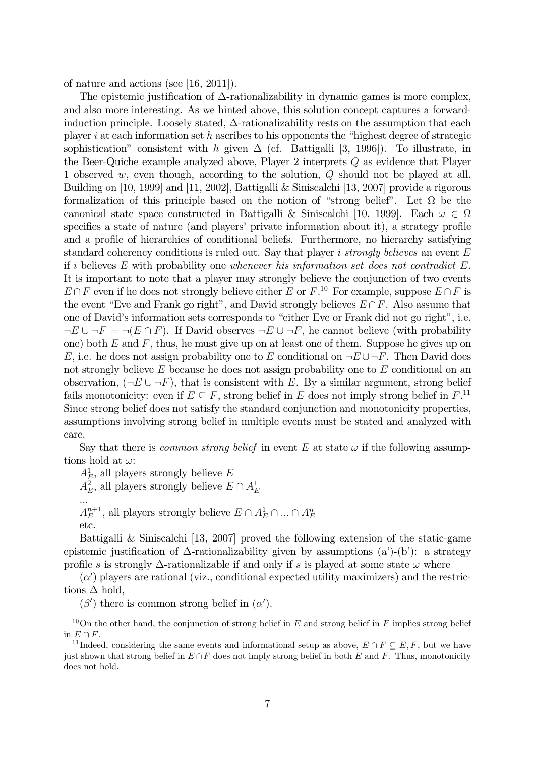of nature and actions (see [16, 2011]).

The epistemic justification of  $\Delta$ -rationalizability in dynamic games is more complex, and also more interesting. As we hinted above, this solution concept captures a forwardinduction principle. Loosely stated,  $\Delta$ -rationalizability rests on the assumption that each player i at each information set h ascribes to his opponents the "highest degree of strategic sophistication" consistent with h given  $\Delta$  (cf. Battigalli [3, 1996]). To illustrate, in the Beer-Quiche example analyzed above, Player 2 interprets Q as evidence that Player 1 observed w, even though, according to the solution, Q should not be played at all. Building on [10, 1999] and [11, 2002], Battigalli & Siniscalchi [13, 2007] provide a rigorous formalization of this principle based on the notion of "strong belief". Let  $\Omega$  be the canonical state space constructed in Battigalli & Siniscalchi [10, 1999]. Each  $\omega \in \Omega$ specifies a state of nature (and players' private information about it), a strategy profile and a profile of hierarchies of conditional beliefs. Furthermore, no hierarchy satisfying standard coherency conditions is ruled out. Say that player i strongly believes an event  $E$ if i believes  $E$  with probability one whenever his information set does not contradict  $E$ . It is important to note that a player may strongly believe the conjunction of two events  $E \cap F$  even if he does not strongly believe either E or  $F^{10}$ . For example, suppose  $E \cap F$  is the event "Eve and Frank go right", and David strongly believes  $E \cap F$ . Also assume that one of David's information sets corresponds to "either Eve or Frank did not go right", i.e.  $-E \cup F = \neg(E \cap F)$ . If David observes  $\neg E \cup F$ , he cannot believe (with probability one) both  $E$  and  $F$ , thus, he must give up on at least one of them. Suppose he gives up on E, i.e. he does not assign probability one to E conditional on  $\neg E \cup \neg F$ . Then David does not strongly believe  $E$  because he does not assign probability one to  $E$  conditional on an observation,  $(\neg E \cup \neg F)$ , that is consistent with E. By a similar argument, strong belief fails monotonicity: even if  $E \subseteq F$ , strong belief in E does not imply strong belief in  $F$ .<sup>11</sup> Since strong belief does not satisfy the standard conjunction and monotonicity properties, assumptions involving strong belief in multiple events must be stated and analyzed with care.

Say that there is *common strong belief* in event E at state  $\omega$  if the following assumptions hold at  $\omega$ :

 $A_E^1$ , all players strongly believe E

 $A_E^2$ , all players strongly believe  $E \cap A_E^1$ 

...  $A^{n+1}_E$  $E^{n+1}$ , all players strongly believe  $E \cap A_E^1 \cap ... \cap A_E^n$ etc.

Battigalli & Siniscalchi [13, 2007] proved the following extension of the static-game epistemic justification of  $\Delta$ -rationalizability given by assumptions (a')-(b'): a strategy profile s is strongly  $\Delta$ -rationalizable if and only if s is played at some state  $\omega$  where

 $(\alpha)$  players are rational (viz., conditional expected utility maximizers) and the restrictions  $\Delta$  hold,

 $(\beta')$  there is common strong belief in  $(\alpha')$ .

<sup>&</sup>lt;sup>10</sup>On the other hand, the conjunction of strong belief in  $E$  and strong belief in  $F$  implies strong belief in  $E \cap F$ .

<sup>&</sup>lt;sup>11</sup> Indeed, considering the same events and informational setup as above,  $E \cap F \subseteq E, F$ , but we have just shown that strong belief in  $E \cap F$  does not imply strong belief in both E and F. Thus, monotonicity does not hold.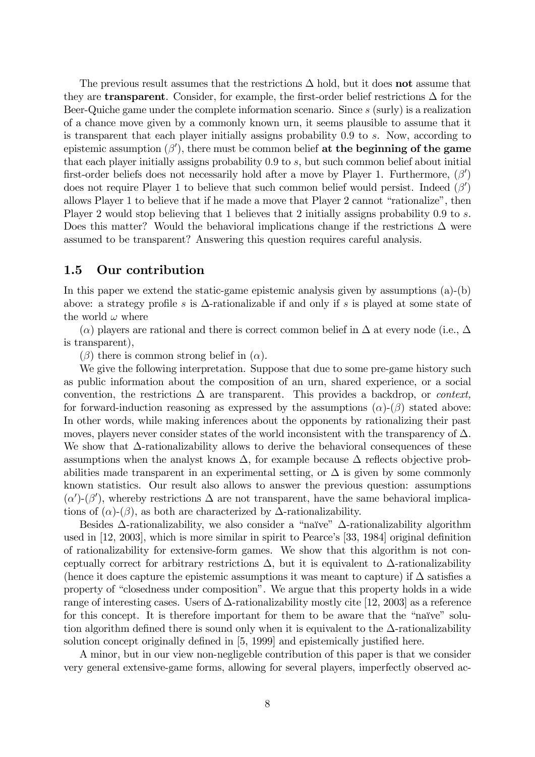The previous result assumes that the restrictions  $\Delta$  hold, but it does **not** assume that they are **transparent**. Consider, for example, the first-order belief restrictions  $\Delta$  for the Beer-Quiche game under the complete information scenario. Since s (surly) is a realization of a chance move given by a commonly known urn, it seems plausible to assume that it is transparent that each player initially assigns probability 0:9 to s. Now, according to epistemic assumption  $(\beta')$ , there must be common belief at the beginning of the game that each player initially assigns probability 0:9 to s, but such common belief about initial first-order beliefs does not necessarily hold after a move by Player 1. Furthermore,  $(\beta')$ does not require Player 1 to believe that such common belief would persist. Indeed  $(\beta')$ allows Player 1 to believe that if he made a move that Player 2 cannot "rationalize", then Player 2 would stop believing that 1 believes that 2 initially assigns probability 0.9 to s. Does this matter? Would the behavioral implications change if the restrictions  $\Delta$  were assumed to be transparent? Answering this question requires careful analysis.

#### 1.5 Our contribution

In this paper we extend the static-game epistemic analysis given by assumptions (a)-(b) above: a strategy profile s is  $\Delta$ -rationalizable if and only if s is played at some state of the world  $\omega$  where

 $(\alpha)$  players are rational and there is correct common belief in  $\Delta$  at every node (i.e.,  $\Delta$ ) is transparent),

 $(\beta)$  there is common strong belief in  $(\alpha)$ .

We give the following interpretation. Suppose that due to some pre-game history such as public information about the composition of an urn, shared experience, or a social convention, the restrictions  $\Delta$  are transparent. This provides a backdrop, or *context*, for forward-induction reasoning as expressed by the assumptions  $(\alpha)$ - $(\beta)$  stated above: In other words, while making inferences about the opponents by rationalizing their past moves, players never consider states of the world inconsistent with the transparency of  $\Delta$ . We show that  $\Delta$ -rationalizability allows to derive the behavioral consequences of these assumptions when the analyst knows  $\Delta$ , for example because  $\Delta$  reflects objective probabilities made transparent in an experimental setting, or  $\Delta$  is given by some commonly known statistics. Our result also allows to answer the previous question: assumptions  $(\alpha')$ - $(\beta')$ , whereby restrictions  $\Delta$  are not transparent, have the same behavioral implications of  $(\alpha)$ - $(\beta)$ , as both are characterized by  $\Delta$ -rationalizability.

Besides  $\Delta$ -rationalizability, we also consider a "naïve"  $\Delta$ -rationalizability algorithm used in  $[12, 2003]$ , which is more similar in spirit to Pearce's  $[33, 1984]$  original definition of rationalizability for extensive-form games. We show that this algorithm is not conceptually correct for arbitrary restrictions  $\Delta$ , but it is equivalent to  $\Delta$ -rationalizability (hence it does capture the epistemic assumptions it was meant to capture) if  $\Delta$  satisfies a property of "closedness under composition". We argue that this property holds in a wide range of interesting cases. Users of  $\Delta$ -rationalizability mostly cite [12, 2003] as a reference for this concept. It is therefore important for them to be aware that the "naïve" solution algorithm defined there is sound only when it is equivalent to the  $\Delta$ -rationalizability solution concept originally defined in  $[5, 1999]$  and epistemically justified here.

A minor, but in our view non-negligeble contribution of this paper is that we consider very general extensive-game forms, allowing for several players, imperfectly observed ac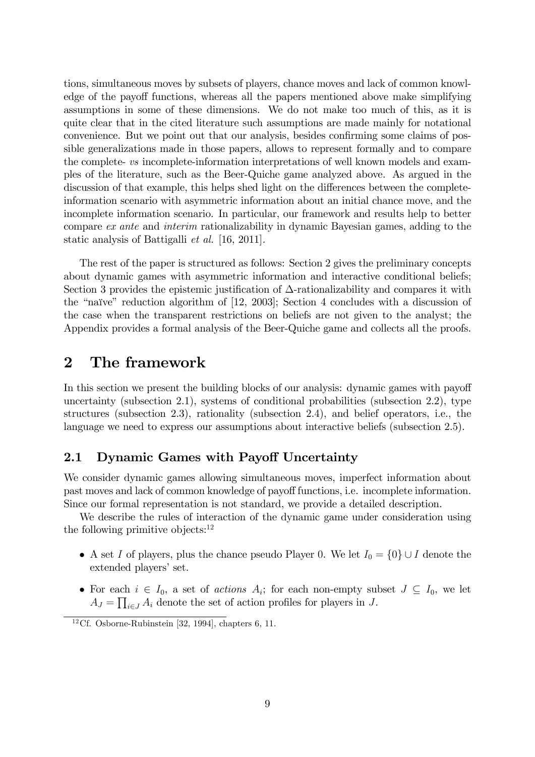tions, simultaneous moves by subsets of players, chance moves and lack of common knowledge of the payoff functions, whereas all the papers mentioned above make simplifying assumptions in some of these dimensions. We do not make too much of this, as it is quite clear that in the cited literature such assumptions are made mainly for notational convenience. But we point out that our analysis, besides confirming some claims of possible generalizations made in those papers, allows to represent formally and to compare the complete- vs incomplete-information interpretations of well known models and examples of the literature, such as the Beer-Quiche game analyzed above. As argued in the discussion of that example, this helps shed light on the differences between the completeinformation scenario with asymmetric information about an initial chance move, and the incomplete information scenario. In particular, our framework and results help to better compare ex ante and interim rationalizability in dynamic Bayesian games, adding to the static analysis of Battigalli et al. [16, 2011].

The rest of the paper is structured as follows: Section 2 gives the preliminary concepts about dynamic games with asymmetric information and interactive conditional beliefs; Section 3 provides the epistemic justification of  $\Delta$ -rationalizability and compares it with the "naïve" reduction algorithm of  $[12, 2003]$ ; Section 4 concludes with a discussion of the case when the transparent restrictions on beliefs are not given to the analyst; the Appendix provides a formal analysis of the Beer-Quiche game and collects all the proofs.

## 2 The framework

In this section we present the building blocks of our analysis: dynamic games with payoff uncertainty (subsection 2.1), systems of conditional probabilities (subsection 2.2), type structures (subsection 2.3), rationality (subsection 2.4), and belief operators, i.e., the language we need to express our assumptions about interactive beliefs (subsection 2.5).

#### 2.1 Dynamic Games with Payoff Uncertainty

We consider dynamic games allowing simultaneous moves, imperfect information about past moves and lack of common knowledge of payoff functions, i.e. incomplete information. Since our formal representation is not standard, we provide a detailed description.

We describe the rules of interaction of the dynamic game under consideration using the following primitive objects: $12$ 

- A set I of players, plus the chance pseudo Player 0. We let  $I_0 = \{0\} \cup I$  denote the extended players' set.
- For each  $i \in I_0$ , a set of *actions*  $A_i$ ; for each non-empty subset  $J \subseteq I_0$ , we let  $A_J = \prod_{i \in J} A_i$  denote the set of action profiles for players in J.

<sup>&</sup>lt;sup>12</sup>Cf. Osborne-Rubinstein [32, 1994], chapters 6, 11.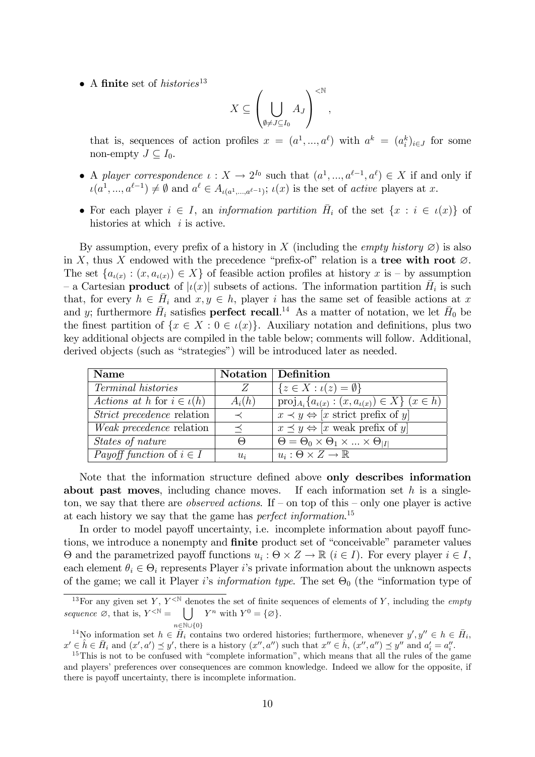• A finite set of histories<sup>13</sup>

$$
X \subseteq \left(\bigcup_{\emptyset \neq J \subseteq I_0} A_J\right)^{< \mathbb{N}},
$$

that is, sequences of action profiles  $x = (a^1, ..., a^\ell)$  with  $a^k = (a_i^k)_{i \in J}$  for some non-empty  $J \subset I_0$ .

- A player correspondence  $\iota: X \to 2^{I_0}$  such that  $(a^1, ..., a^{\ell-1}, a^{\ell}) \in X$  if and only if  $\iota(a^1,...,a^{\ell-1}) \neq \emptyset$  and  $a^{\ell} \in A_{\iota(a^1,...,a^{\ell-1})}; \iota(x)$  is the set of *active* players at x.
- For each player  $i \in I$ , an *information partition*  $\overline{H}_i$  of the set  $\{x : i \in \iota(x)\}\$ histories at which  $i$  is active.

By assumption, every prefix of a history in X (including the *empty history*  $\varnothing$ ) is also in X, thus X endowed with the precedence "prefix-of" relation is a tree with root  $\emptyset$ . The set  $\{a_{\iota(x)} : (x, a_{\iota(x)}) \in X\}$  of feasible action profiles at history x is – by assumption - a Cartesian **product** of  $|\iota(x)|$  subsets of actions. The information partition  $\bar{H}_i$  is such that, for every  $h \in \overline{H}_i$  and  $x, y \in h$ , player i has the same set of feasible actions at x and y; furthermore  $\bar{H}_i$  satisfies **perfect recall**.<sup>14</sup> As a matter of notation, we let  $\bar{H}_0$  be the finest partition of  $\{x \in X : 0 \in \iota(x)\}\$ . Auxiliary notation and definitions, plus two key additional objects are compiled in the table below; comments will follow. Additional, derived objects (such as "strategies") will be introduced later as needed.

| <b>Name</b>                         |          | Notation   Definition                                             |
|-------------------------------------|----------|-------------------------------------------------------------------|
| Terminal histories                  | Z        | ${z \in X : \iota(z) = \emptyset}$                                |
| Actions at h for $i \in \iota(h)$   | $A_i(h)$ | $proj_{A_i} {a_{\iota(x)} : (x, a_{\iota(x)}) \in X}$ $(x \in h)$ |
| <i>Strict precedence</i> relation   |          | $x \prec y \Leftrightarrow [x \text{ strict prefix of } y]$       |
| <i>Weak precedence</i> relation     |          | $x \preceq y \Leftrightarrow [x \text{ weak prefix of } y]$       |
| States of nature                    | $\Theta$ | $\Theta = \Theta_0 \times \Theta_1 \times  \times \Theta_{ I }$   |
| <i>Payoff function</i> of $i \in I$ | $u_i$    | $u_i : \Theta \times Z \to \mathbb{R}$                            |

Note that the information structure defined above only describes information about past moves, including chance moves. If each information set  $h$  is a singleton, we say that there are *observed actions*. If  $-$  on top of this  $-$  only one player is active at each history we say that the game has *perfect information*.<sup>15</sup>

In order to model payoff uncertainty, i.e. incomplete information about payoff functions, we introduce a nonempty and **finite** product set of "conceivable" parameter values  $\Theta$  and the parametrized payoff functions  $u_i : \Theta \times Z \to \mathbb{R}$   $(i \in I)$ . For every player  $i \in I$ , each element  $\theta_i \in \Theta_i$  represents Player *i*'s private information about the unknown aspects of the game; we call it Player *i*'s *information type*. The set  $\Theta_0$  (the "information type of

<sup>14</sup>No information set  $h \in \overline{H}_i$  contains two ordered histories; furthermore, whenever  $y', y'' \in h \in \overline{H}_i$ ,  $x' \in \hat{h} \in \overline{H}_i$  and  $(x', a') \preceq y'$ , there is a history  $(x'', a'')$  such that  $x'' \in \hat{h}$ ,  $(x'', a'') \preceq y''$  and  $a'_i = a''_i$ .

<sup>&</sup>lt;sup>13</sup>For any given set Y,  $Y^{\leq N}$  denotes the set of finite sequences of elements of Y, including the *empty* sequence  $\emptyset$ , that is,  $Y^{\leq \mathbb{N}} = \bigcup Y^n$  with  $Y^0 = \{\emptyset\}.$  $n \in \mathbb{N} \cup \{0\}$ 

 $15$ This is not to be confused with "complete information", which means that all the rules of the game and players' preferences over consequences are common knowledge. Indeed we allow for the opposite, if there is payoff uncertainty, there is incomplete information.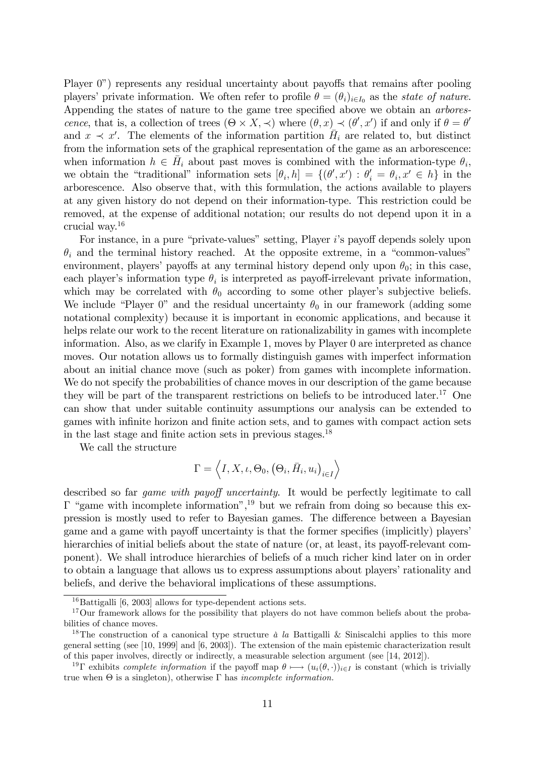Player  $0$ <sup>n</sup>) represents any residual uncertainty about payoffs that remains after pooling players' private information. We often refer to profile  $\theta = (\theta_i)_{i \in I_0}$  as the state of nature. Appending the states of nature to the game tree specified above we obtain an *arbores*cence, that is, a collection of trees  $(\Theta \times X, \prec)$  where  $(\theta, x) \prec (\theta', x')$  if and only if  $\theta = \theta'$ and  $x \prec x'$ . The elements of the information partition  $\overline{H}_i$  are related to, but distinct from the information sets of the graphical representation of the game as an arborescence: when information  $h \in \overline{H}_i$  about past moves is combined with the information-type  $\theta_i$ , we obtain the "traditional" information sets  $[\theta_i, h] = \{(\theta', x') : \theta'_i = \theta_i, x' \in h\}$  in the arborescence. Also observe that, with this formulation, the actions available to players at any given history do not depend on their information-type. This restriction could be removed, at the expense of additional notation; our results do not depend upon it in a crucial way.<sup>16</sup>

For instance, in a pure "private-values" setting, Player i's payoff depends solely upon  $\theta_i$  and the terminal history reached. At the opposite extreme, in a "common-values" environment, players' payoffs at any terminal history depend only upon  $\theta_0$ ; in this case, each player's information type  $\theta_i$  is interpreted as payoff-irrelevant private information, which may be correlated with  $\theta_0$  according to some other player's subjective beliefs. We include "Player 0" and the residual uncertainty  $\theta_0$  in our framework (adding some notational complexity) because it is important in economic applications, and because it helps relate our work to the recent literature on rationalizability in games with incomplete information. Also, as we clarify in Example 1, moves by Player 0 are interpreted as chance moves. Our notation allows us to formally distinguish games with imperfect information about an initial chance move (such as poker) from games with incomplete information. We do not specify the probabilities of chance moves in our description of the game because they will be part of the transparent restrictions on beliefs to be introduced later.<sup>17</sup> One can show that under suitable continuity assumptions our analysis can be extended to games with infinite horizon and finite action sets, and to games with compact action sets in the last stage and finite action sets in previous stages. $^{18}$ 

We call the structure

$$
\Gamma = \left \langle I, X, \iota, \Theta_0, \left(\Theta_i, \bar{H}_i, u_i \right)_{i \in I} \right \rangle
$$

described so far *game with payoff uncertainty*. It would be perfectly legitimate to call  $\Gamma$  "game with incomplete information",<sup>19</sup> but we refrain from doing so because this expression is mostly used to refer to Bayesian games. The difference between a Bayesian game and a game with payoff uncertainty is that the former specifies (implicitly) players hierarchies of initial beliefs about the state of nature (or, at least, its payoff-relevant component). We shall introduce hierarchies of beliefs of a much richer kind later on in order to obtain a language that allows us to express assumptions about players' rationality and beliefs, and derive the behavioral implications of these assumptions.

 $16$ Battigalli [6, 2003] allows for type-dependent actions sets.

<sup>&</sup>lt;sup>17</sup>Our framework allows for the possibility that players do not have common beliefs about the probabilities of chance moves.

<sup>&</sup>lt;sup>18</sup>The construction of a canonical type structure  $\dot{a}$  la Battigalli & Siniscalchi applies to this more general setting (see [10, 1999] and [6, 2003]). The extension of the main epistemic characterization result of this paper involves, directly or indirectly, a measurable selection argument (see [14, 2012]).

<sup>&</sup>lt;sup>19</sup> Exhibits *complete information* if the payoff map  $\theta \mapsto (u_i(\theta, \cdot))_{i \in I}$  is constant (which is trivially true when  $\Theta$  is a singleton), otherwise  $\Gamma$  has *incomplete information*.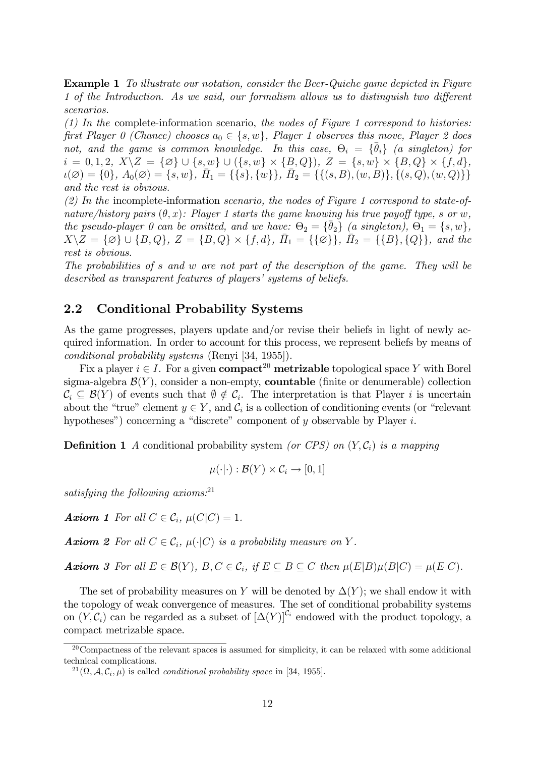Example 1 To illustrate our notation, consider the Beer-Quiche game depicted in Figure 1 of the Introduction. As we said, our formalism allows us to distinguish two different scenarios.

 $(1)$  In the complete-information scenario, the nodes of Figure 1 correspond to histories: first Player 0 (Chance) chooses  $a_0 \in \{s, w\}$ , Player 1 observes this move, Player 2 does not, and the game is common knowledge. In this case,  $\Theta_i = {\overline{\theta}_i}$  (a singleton) for  $i = 0, 1, 2, X \setminus Z = \{ \varnothing \} \cup \{ s, w \} \cup (\{ s, w \} \times \{ B, Q \}), Z = \{ s, w \} \times \{ B, Q \} \times \{ f, d \},$  $u(\emptyset) = \{0\}, A_0(\emptyset) = \{s, w\}, \overline{H_1} = \{\{s\}, \{w\}\}, \overline{H_2} = \{\{(s, B), (w, B)\}, \{(s, Q), (w, Q)\}\}\$ and the rest is obvious.

 $(2)$  In the incomplete-information scenario, the nodes of Figure 1 correspond to state-ofnature/history pairs  $(\theta, x)$ : Player 1 starts the game knowing his true payoff type, s or w, the pseudo-player 0 can be omitted, and we have:  $\Theta_2 = {\overline{\theta}_2} \left( \overline{a} \text{ singleton} \right), \Theta_1 = \{s, w\},\$  $X \setminus Z = \{\varnothing\} \cup \{B, Q\}, Z = \{B, Q\} \times \{f, d\}, \overline{H}_1 = \{\{\varnothing\}\}, \overline{H}_2 = \{\{B\}, \{Q\}\}, \text{ and the }$ rest is obvious.

The probabilities of s and w are not part of the description of the game. They will be described as transparent features of players' systems of beliefs.

#### 2.2 Conditional Probability Systems

As the game progresses, players update and/or revise their beliefs in light of newly acquired information. In order to account for this process, we represent beliefs by means of conditional probability systems (Renyi [34, 1955]).

Fix a player  $i \in I$ . For a given **compact**<sup>20</sup> metrizable topological space Y with Borel sigma-algebra  $\mathcal{B}(Y)$ , consider a non-empty, **countable** (finite or denumerable) collection  $\mathcal{C}_i \subseteq \mathcal{B}(Y)$  of events such that  $\emptyset \notin \mathcal{C}_i$ . The interpretation is that Player i is uncertain about the "true" element  $y \in Y$ , and  $C_i$  is a collection of conditioning events (or "relevant") hypotheses") concerning a "discrete" component of  $y$  observable by Player  $i$ .

**Definition 1** A conditional probability system (or CPS) on  $(Y, C_i)$  is a mapping

$$
\mu(\cdot|\cdot): \mathcal{B}(Y) \times \mathcal{C}_i \to [0,1]
$$

satisfying the following axioms: $^{21}$ 

**Axiom 1** For all  $C \in \mathcal{C}_i$ ,  $\mu(C|C) = 1$ .

**Axiom 2** For all  $C \in \mathcal{C}_i$ ,  $\mu(\cdot|C)$  is a probability measure on Y.

**Axiom 3** For all  $E \in \mathcal{B}(Y)$ ,  $B, C \in \mathcal{C}_i$ , if  $E \subseteq B \subseteq C$  then  $\mu(E|B)\mu(B|C) = \mu(E|C)$ .

The set of probability measures on Y will be denoted by  $\Delta(Y)$ ; we shall endow it with the topology of weak convergence of measures. The set of conditional probability systems on  $(Y, \mathcal{C}_i)$  can be regarded as a subset of  $[\Delta(Y)]^{C_i}$  endowed with the product topology, a compact metrizable space.

<sup>20</sup>Compactness of the relevant spaces is assumed for simplicity, it can be relaxed with some additional technical complications.

<sup>&</sup>lt;sup>21</sup> $(\Omega, \mathcal{A}, \mathcal{C}_i, \mu)$  is called *conditional probability space* in [34, 1955].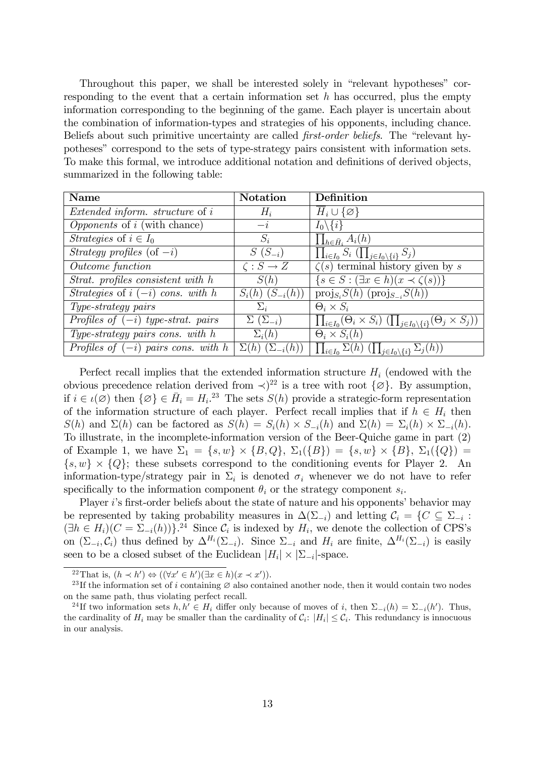Throughout this paper, we shall be interested solely in "relevant hypotheses" corresponding to the event that a certain information set  $h$  has occurred, plus the empty information corresponding to the beginning of the game. Each player is uncertain about the combination of information-types and strategies of his opponents, including chance. Beliefs about such primitive uncertainty are called *first-order beliefs*. The "relevant hypothesesî correspond to the sets of type-strategy pairs consistent with information sets. To make this formal, we introduce additional notation and definitions of derived objects, summarized in the following table:

| <b>Name</b>                                | <b>Notation</b>                | Definition                                                                                             |
|--------------------------------------------|--------------------------------|--------------------------------------------------------------------------------------------------------|
| <i>Extended inform. structure</i> of i     | $H_i$                          | $H_i\cup\{\varnothing\}$                                                                               |
| <i>Opponents</i> of <i>i</i> (with chance) | $-i$                           | $I_0 \backslash \{i\}$                                                                                 |
| Strategies of $i \in I_0$                  | $S_i$                          | $\prod_{h \in \bar{H}_i} A_i(h)$                                                                       |
| Strategy profiles $(\text{of } -i)$        | $S(S_{-i})$                    | $\prod_{i\in I_0} S_i \left( \prod_{j\in I_0\setminus\{i\}} S_j \right)$                               |
| Outcome function                           | $\zeta: S \to Z$               | $\overline{\zeta(s)}$ terminal history given by s                                                      |
| Strat. profiles consistent with h          | S(h)                           | $\{s \in S : (\exists x \in h)(x \prec \zeta(s))\}\$                                                   |
| Strategies of $i(-i)$ cons. with h         | $S_i(h)$ $(S_{-i}(h))$         | $\text{proj}_{S_i}S(h)$ ( $\text{proj}_{S_i}S(h)$ )                                                    |
| Type-strategy pairs                        | $\Sigma_i$                     | $\Theta_i \times S_i$                                                                                  |
| Profiles of $(-i)$ type-strat. pairs       | $\Sigma(\Sigma_{-i})$          | $\prod_{i\in I_0}(\Theta_i\times S_i) \left(\prod_{j\in I_0\setminus\{i\}}(\Theta_j\times S_j)\right)$ |
| Type-strategy pairs cons. with $h$         | $\Sigma_i(h)$                  | $\Theta_i \times S_i(h)$                                                                               |
| Profiles of $(-i)$ pairs cons. with h      | $\Sigma(h)$ $(\Sigma_{-i}(h))$ | $\prod_{i\in I_0}\Sigma(h)\left(\prod_{j\in I_0\setminus\{i\}}\Sigma_j(h)\right)$                      |

Perfect recall implies that the extended information structure  $H_i$  (endowed with the obvious precedence relation derived from  $\langle \rangle^2$  is a tree with root  $\{\varnothing\}$ . By assumption, if  $i \in \iota(\varnothing)$  then  $\{\varnothing\} \in \bar{H}_i = H_i$ .<sup>23</sup> The sets  $S(h)$  provide a strategic-form representation of the information structure of each player. Perfect recall implies that if  $h \in H_i$  then  $S(h)$  and  $\Sigma(h)$  can be factored as  $S(h) = S_i(h) \times S_{-i}(h)$  and  $\Sigma(h) = \Sigma_i(h) \times \Sigma_{-i}(h)$ . To illustrate, in the incomplete-information version of the Beer-Quiche game in part (2) of Example 1, we have  $\Sigma_1 = \{s, w\} \times \{B, Q\}$ ,  $\Sigma_1(\{B\}) = \{s, w\} \times \{B\}$ ,  $\Sigma_1(\{Q\}) =$  $\{s, w\} \times \{Q\}$ ; these subsets correspond to the conditioning events for Player 2. An information-type/strategy pair in  $\Sigma_i$  is denoted  $\sigma_i$  whenever we do not have to refer specifically to the information component  $\theta_i$  or the strategy component  $s_i$ .

Player  $i$ 's first-order beliefs about the state of nature and his opponents' behavior may be represented by taking probability measures in  $\Delta(\Sigma_{-i})$  and letting  $C_i = \{C \subseteq \Sigma_{-i} :$  $(\exists h \in H_i)(C = \Sigma_{-i}(h))$ .<sup>24</sup> Since  $C_i$  is indexed by  $H_i$ , we denote the collection of CPS's on  $(\Sigma_{-i}, \mathcal{C}_i)$  thus defined by  $\Delta^{H_i}(\Sigma_{-i})$ . Since  $\Sigma_{-i}$  and  $H_i$  are finite,  $\Delta^{H_i}(\Sigma_{-i})$  is easily seen to be a closed subset of the Euclidean  $|H_i| \times |\Sigma_{-i}|$ -space.

<sup>22</sup>That is,  $(h \prec h') \Leftrightarrow ((\forall x' \in h')(\exists x \in h)(x \prec x')).$ 

<sup>&</sup>lt;sup>23</sup>If the information set of i containing  $\varnothing$  also contained another node, then it would contain two nodes on the same path, thus violating perfect recall.

<sup>&</sup>lt;sup>24</sup>If two information sets  $h, h' \in H_i$  differ only because of moves of i, then  $\Sigma_{-i}(h) = \Sigma_{-i}(h')$ . Thus, the cardinality of  $H_i$  may be smaller than the cardinality of  $C_i$ :  $|H_i| \leq C_i$ . This redundancy is innocuous in our analysis.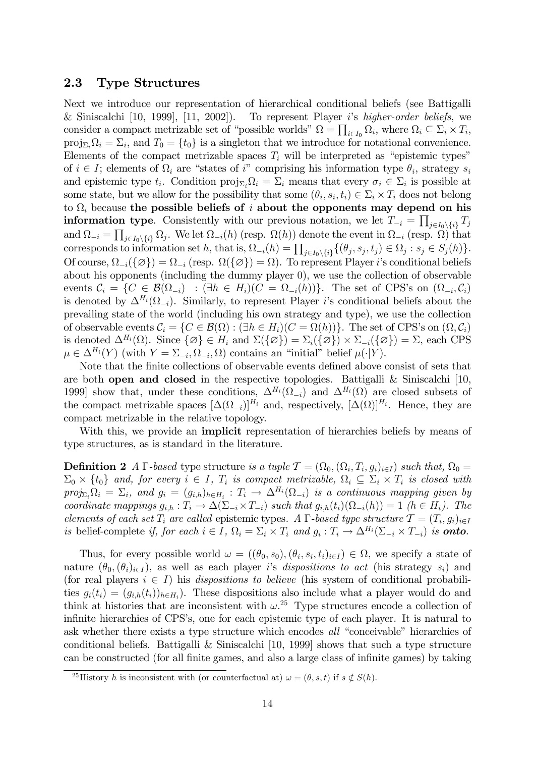#### 2.3 Type Structures

Next we introduce our representation of hierarchical conditional beliefs (see Battigalli & Siniscalchi [10, 1999], [11, 2002]). To represent Player is higher-order beliefs, we consider a compact metrizable set of "possible worlds"  $\Omega = \prod_{i \in I_0} \Omega_i$ , where  $\Omega_i \subseteq \Sigma_i \times T_i$ ,  $proj_{\Sigma_i}\Omega_i = \Sigma_i$ , and  $T_0 = \{t_0\}$  is a singleton that we introduce for notational convenience. Elements of the compact metrizable spaces  $T_i$  will be interpreted as "epistemic types" of  $i \in I$ ; elements of  $\Omega_i$  are "states of i" comprising his information type  $\theta_i$ , strategy  $s_i$ and epistemic type  $t_i$ . Condition  $proj_{\Sigma_i} \Omega_i = \Sigma_i$  means that every  $\sigma_i \in \Sigma_i$  is possible at some state, but we allow for the possibility that some  $(\theta_i, s_i, t_i) \in \Sigma_i \times T_i$  does not belong to  $\Omega_i$  because the possible beliefs of i about the opponents may depend on his **information type.** Consistently with our previous notation, we let  $T_{-i} = \prod_{j \in I_0 \setminus \{i\}} T_j$ and  $\Omega_{-i} = \prod_{j\in I_0\setminus\{i\}}\Omega_j$ . We let  $\Omega_{-i}(h)$  (resp.  $\Omega(h)$ ) denote the event in  $\Omega_{-i}$  (resp.  $\Omega$ ) that corresponds to information set h, that is,  $\Omega_{-i}(h) = \prod_{j \in I_0 \setminus \{i\}} \{(\theta_j, s_j, t_j) \in \Omega_j : s_j \in S_j(h)\}.$ Of course,  $\Omega_{-i}(\{\varnothing\}) = \Omega_{-i}$  (resp.  $\Omega(\{\varnothing\}) = \Omega$ ). To represent Player *i*'s conditional beliefs about his opponents (including the dummy player 0), we use the collection of observable events  $C_i = \{C \in \mathcal{B}(\Omega_{-i}) : (\exists h \in H_i)(C = \Omega_{-i}(h))\}.$  The set of CPS's on  $(\Omega_{-i}, C_i)$ is denoted by  $\Delta^{H_i}(\Omega_{-i})$ . Similarly, to represent Player *i*'s conditional beliefs about the prevailing state of the world (including his own strategy and type), we use the collection of observable events  $\mathcal{C}_i = \{ C \in \mathcal{B}(\Omega) : (\exists h \in H_i)(C = \Omega(h)) \}.$  The set of CPS's on  $(\Omega, \mathcal{C}_i)$ is denoted  $\Delta^{H_i}(\Omega)$ . Since  $\{\emptyset\} \in H_i$  and  $\Sigma(\{\emptyset\}) = \Sigma_i(\{\emptyset\}) \times \Sigma_{-i}(\{\emptyset\}) = \Sigma$ , each CPS  $\mu \in \Delta^{H_i}(Y)$  (with  $Y = \Sigma_{-i}, \Omega_{-i}, \Omega$ ) contains an "initial" belief  $\mu(\cdot|Y)$ .

Note that the finite collections of observable events defined above consist of sets that are both open and closed in the respective topologies. Battigalli & Siniscalchi [10, 1999] show that, under these conditions,  $\Delta^{H_i}(\Omega_{-i})$  and  $\Delta^{H_i}(\Omega)$  are closed subsets of the compact metrizable spaces  $[\Delta(\Omega_{-i})]^{H_i}$  and, respectively,  $[\Delta(\Omega)]^{H_i}$ . Hence, they are compact metrizable in the relative topology.

With this, we provide an **implicit** representation of hierarchies beliefs by means of type structures, as is standard in the literature.

**Definition 2** A  $\Gamma$ -based type structure is a tuple  $\mathcal{T} = (\Omega_0, (\Omega_i, T_i, g_i)_{i \in I})$  such that,  $\Omega_0 =$  $\Sigma_0 \times \{t_0\}$  and, for every  $i \in I$ ,  $T_i$  is compact metrizable,  $\Omega_i \subseteq \Sigma_i \times T_i$  is closed with  $proj_{\Sigma_i}\Omega_i = \Sigma_i$ , and  $g_i = (g_{i,h})_{h \in H_i}: T_i \longrightarrow \Delta^{H_i}(\Omega_{-i})$  is a continuous mapping given by coordinate mappings  $g_{i,h}: T_i \to \Delta(\Sigma_{-i} \times T_{-i})$  such that  $g_{i,h}(t_i)(\Omega_{-i}(h)) = 1$   $(h \in H_i)$ . The elements of each set  $T_i$  are called epistemic types. A  $\Gamma$ -based type structure  $\mathcal{T} = (T_i, g_i)_{i \in I}$ is belief-complete if, for each  $i \in I$ ,  $\Omega_i = \Sigma_i \times T_i$  and  $g_i : T_i \to \Delta^{H_i}(\Sigma_{-i} \times T_{-i})$  is **onto**.

Thus, for every possible world  $\omega = ((\theta_0, s_0), (\theta_i, s_i, t_i)_{i \in I}) \in \Omega$ , we specify a state of nature  $(\theta_0, (\theta_i)_{i\in I})$ , as well as each player is dispositions to act (his strategy  $s_i$ ) and (for real players  $i \in I$ ) his dispositions to believe (his system of conditional probabilities  $g_i(t_i) = (g_{i,h}(t_i))_{h \in H_i}$ . These dispositions also include what a player would do and think at histories that are inconsistent with  $\omega$ <sup>25</sup> Type structures encode a collection of infinite hierarchies of CPS's, one for each epistemic type of each player. It is natural to ask whether there exists a type structure which encodes all "conceivable" hierarchies of conditional beliefs. Battigalli & Siniscalchi  $[10, 1999]$  shows that such a type structure can be constructed (for all finite games, and also a large class of infinite games) by taking

<sup>&</sup>lt;sup>25</sup>History h is inconsistent with (or counterfactual at)  $\omega = (\theta, s, t)$  if  $s \notin S(h)$ .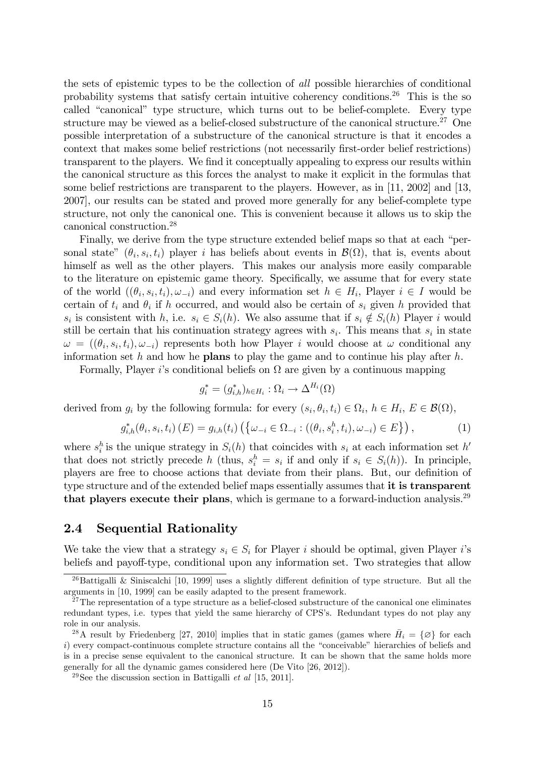the sets of epistemic types to be the collection of all possible hierarchies of conditional probability systems that satisfy certain intuitive coherency conditions.<sup>26</sup> This is the so called "canonical" type structure, which turns out to be belief-complete. Every type structure may be viewed as a belief-closed substructure of the canonical structure.<sup>27</sup> One possible interpretation of a substructure of the canonical structure is that it encodes a context that makes some belief restrictions (not necessarily first-order belief restrictions) transparent to the players. We find it conceptually appealing to express our results within the canonical structure as this forces the analyst to make it explicit in the formulas that some belief restrictions are transparent to the players. However, as in [11, 2002] and [13, 2007], our results can be stated and proved more generally for any belief-complete type structure, not only the canonical one. This is convenient because it allows us to skip the canonical construction.<sup>28</sup>

Finally, we derive from the type structure extended belief maps so that at each "personal state"  $(\theta_i, s_i, t_i)$  player *i* has beliefs about events in  $\mathcal{B}(\Omega)$ , that is, events about himself as well as the other players. This makes our analysis more easily comparable to the literature on epistemic game theory. Specifically, we assume that for every state of the world  $((\theta_i, s_i, t_i), \omega_{-i})$  and every information set  $h \in H_i$ , Player  $i \in I$  would be certain of  $t_i$  and  $\theta_i$  if h occurred, and would also be certain of  $s_i$  given h provided that  $s_i$  is consistent with h, i.e.  $s_i \in S_i(h)$ . We also assume that if  $s_i \notin S_i(h)$  Player i would still be certain that his continuation strategy agrees with  $s_i$ . This means that  $s_i$  in state  $\omega = ((\theta_i, s_i, t_i), \omega_{-i})$  represents both how Player i would choose at  $\omega$  conditional any information set h and how he **plans** to play the game and to continue his play after h.

Formally, Player *i*'s conditional beliefs on  $\Omega$  are given by a continuous mapping

$$
g_i^* = (g_{i,h}^*)_{h \in H_i} : \Omega_i \to \Delta^{H_i}(\Omega)
$$

derived from  $g_i$  by the following formula: for every  $(s_i, \theta_i, t_i) \in \Omega_i$ ,  $h \in H_i$ ,  $E \in \mathcal{B}(\Omega)$ ,

$$
g_{i,h}^*(\theta_i, s_i, t_i) (E) = g_{i,h}(t_i) \left( \{ \omega_{-i} \in \Omega_{-i} : ((\theta_i, s_i^h, t_i), \omega_{-i}) \in E \} \right),
$$
 (1)

where  $s_i^h$  is the unique strategy in  $S_i(h)$  that coincides with  $s_i$  at each information set  $h'$ that does not strictly precede h (thus,  $s_i^h = s_i$  if and only if  $s_i \in S_i(h)$ ). In principle, players are free to choose actions that deviate from their plans. But, our definition of type structure and of the extended belief maps essentially assumes that it is transparent that players execute their plans, which is germane to a forward-induction analysis.<sup>29</sup>

#### 2.4 Sequential Rationality

We take the view that a strategy  $s_i \in S_i$  for Player i should be optimal, given Player is beliefs and payoff-type, conditional upon any information set. Two strategies that allow

<sup>&</sup>lt;sup>26</sup>Battigalli & Siniscalchi [10, 1999] uses a slightly different definition of type structure. But all the arguments in [10, 1999] can be easily adapted to the present framework.

<sup>&</sup>lt;sup>27</sup>The representation of a type structure as a belief-closed substructure of the canonical one eliminates redundant types, i.e. types that yield the same hierarchy of CPS's. Redundant types do not play any role in our analysis.

<sup>&</sup>lt;sup>28</sup>A result by Friedenberg [27, 2010] implies that in static games (games where  $\bar{H}_i = \{\emptyset\}$  for each  $i)$  every compact-continuous complete structure contains all the "conceivable" hierarchies of beliefs and is in a precise sense equivalent to the canonical structure. It can be shown that the same holds more generally for all the dynamic games considered here (De Vito [26, 2012]).

<sup>&</sup>lt;sup>29</sup>See the discussion section in Battigalli *et al* [15, 2011].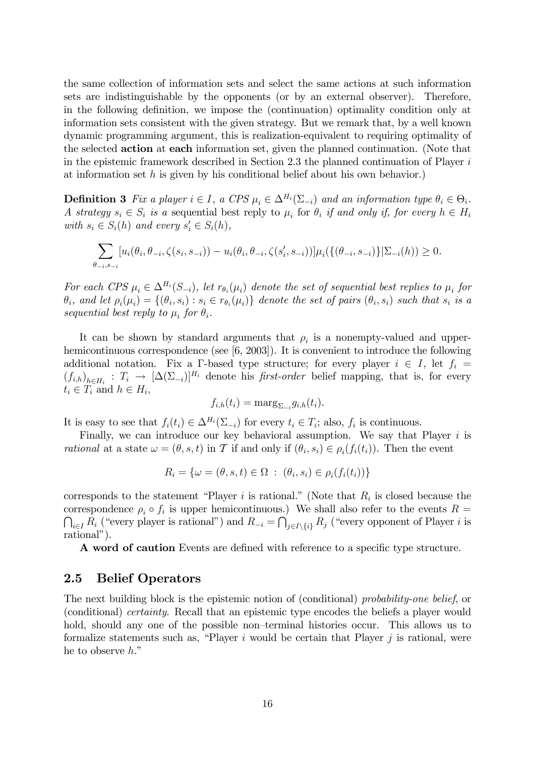the same collection of information sets and select the same actions at such information sets are indistinguishable by the opponents (or by an external observer). Therefore, in the following definition, we impose the (continuation) optimality condition only at information sets consistent with the given strategy. But we remark that, by a well known dynamic programming argument, this is realization-equivalent to requiring optimality of the selected action at each information set, given the planned continuation. (Note that in the epistemic framework described in Section 2.3 the planned continuation of Player  $i$ at information set h is given by his conditional belief about his own behavior.)

**Definition 3** Fix a player  $i \in I$ , a CPS  $\mu_i \in \Delta^{H_i}(\Sigma_{-i})$  and an information type  $\theta_i \in \Theta_i$ . A strategy  $s_i \in S_i$  is a sequential best reply to  $\mu_i$  for  $\theta_i$  if and only if, for every  $h \in H_i$ with  $s_i \in S_i(h)$  and every  $s'_i \in S_i(h)$ ,

$$
\sum_{\theta_{-i}, s_{-i}} [u_i(\theta_i, \theta_{-i}, \zeta(s_i, s_{-i})) - u_i(\theta_i, \theta_{-i}, \zeta(s'_i, s_{-i}))] \mu_i(\{(\theta_{-i}, s_{-i})\} | \Sigma_{-i}(h)) \ge 0.
$$

For each CPS  $\mu_i \in \Delta^{H_i}(S_{-i})$ , let  $r_{\theta_i}(\mu_i)$  denote the set of sequential best replies to  $\mu_i$  for  $\theta_i$ , and let  $\rho_i(\mu_i) = \{(\theta_i, s_i) : s_i \in r_{\theta_i}(\mu_i)\}\$  denote the set of pairs  $(\theta_i, s_i)$  such that  $s_i$  is a sequential best reply to  $\mu_i$  for  $\theta_i$ .

It can be shown by standard arguments that  $\rho_i$  is a nonempty-valued and upperhemicontinuous correspondence (see [6, 2003]). It is convenient to introduce the following additional notation. Fix a  $\Gamma$ -based type structure; for every player  $i \in I$ , let  $f_i =$  $(f_{i,h})_{h \in H_i} : T_i \to [\Delta(\Sigma_{-i})]^{H_i}$  denote his *first-order* belief mapping, that is, for every  $t_i \in T_i$  and  $h \in H_i$ ,

$$
f_{i,h}(t_i) = \mathrm{marg}_{\Sigma_{-i}} g_{i,h}(t_i).
$$

It is easy to see that  $f_i(t_i) \in \Delta^{H_i}(\Sigma_{-i})$  for every  $t_i \in T_i$ ; also,  $f_i$  is continuous.

Finally, we can introduce our key behavioral assumption. We say that Player  $i$  is *rational* at a state  $\omega = (\theta, s, t)$  in T if and only if  $(\theta_i, s_i) \in \rho_i(f_i(t_i))$ . Then the event

$$
R_i = \{ \omega = (\theta, s, t) \in \Omega : (\theta_i, s_i) \in \rho_i(f_i(t_i)) \}
$$

corresponds to the statement "Player *i* is rational." (Note that  $R_i$  is closed because the correspondence  $\rho_i \circ f_i$  is upper hemicontinuous.) We shall also refer to the events  $R =$  $\bigcap_{i\in I} R_i$  ("every player is rational") and  $R_{-i} = \bigcap_{j\in I\setminus\{i\}} R_j$  ("every opponent of Player i is rational").

A word of caution Events are defined with reference to a specific type structure.

#### 2.5 Belief Operators

The next building block is the epistemic notion of (conditional) probability-one belief, or (conditional) certainty. Recall that an epistemic type encodes the beliefs a player would hold, should any one of the possible non-terminal histories occur. This allows us to formalize statements such as, "Player  $i$  would be certain that Player  $j$  is rational, were he to observe  $h$ ."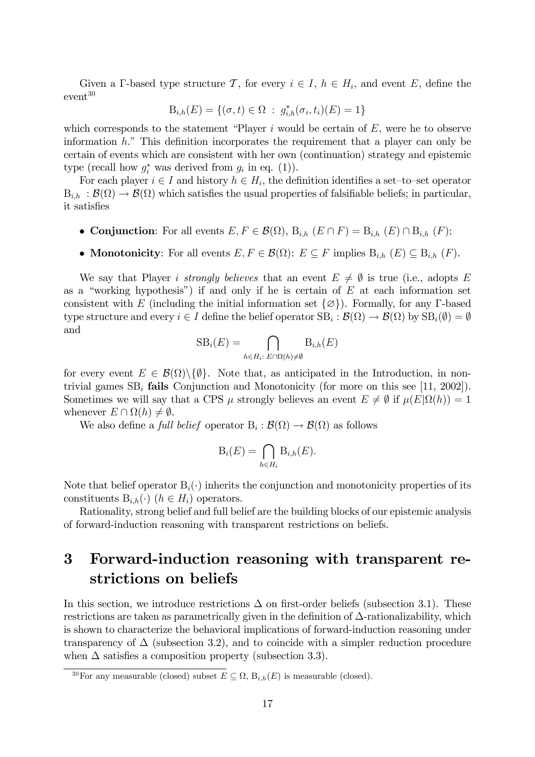Given a  $\Gamma$ -based type structure  $\mathcal{T}$ , for every  $i \in I$ ,  $h \in H_i$ , and event  $E$ , define the event<sup>30</sup>

$$
B_{i,h}(E) = \{(\sigma, t) \in \Omega : g_{i,h}^*(\sigma_i, t_i)(E) = 1\}
$$

which corresponds to the statement "Player  $i$  would be certain of  $E$ , were he to observe information  $h$ ." This definition incorporates the requirement that a player can only be certain of events which are consistent with her own (continuation) strategy and epistemic type (recall how  $g_i^*$  was derived from  $g_i$  in eq. (1)).

For each player  $i \in I$  and history  $h \in H_i$ , the definition identifies a set-to-set operator  $B_{i,h} : \mathcal{B}(\Omega) \to \mathcal{B}(\Omega)$  which satisfies the usual properties of falsifiable beliefs; in particular, it satisfies

- Conjunction: For all events  $E, F \in \mathcal{B}(\Omega), B_{i,h} (E \cap F) = B_{i,h} (E) \cap B_{i,h} (F);$
- **Monotonicity**: For all events  $E, F \in \mathcal{B}(\Omega)$ :  $E \subseteq F$  implies  $B_{i,h} (E) \subseteq B_{i,h} (F)$ .

We say that Player *i strongly believes* that an event  $E \neq \emptyset$  is true (i.e., adopts E as a "working hypothesis") if and only if he is certain of  $E$  at each information set consistent with E (including the initial information set  $\{\varnothing\}$ ). Formally, for any  $\Gamma$ -based type structure and every  $i \in I$  define the belief operator  $SB_i : \mathcal{B}(\Omega) \to \mathcal{B}(\Omega)$  by  $SB_i(\emptyset) = \emptyset$ and

$$
SB_i(E) = \bigcap_{h \in H_i: E \cap \Omega(h) \neq \emptyset} B_{i,h}(E)
$$

for every event  $E \in \mathcal{B}(\Omega) \setminus \{\emptyset\}.$  Note that, as anticipated in the Introduction, in nontrivial games  $SB_i$  fails Conjunction and Monotonicity (for more on this see [11, 2002]). Sometimes we will say that a CPS  $\mu$  strongly believes an event  $E \neq \emptyset$  if  $\mu(E|\Omega(h)) = 1$ whenever  $E \cap \Omega(h) \neq \emptyset$ .

We also define a *full belief* operator  $B_i : \mathcal{B}(\Omega) \to \mathcal{B}(\Omega)$  as follows

$$
\mathrm{B}_i(E) = \bigcap_{h \in H_i} \mathrm{B}_{i,h}(E).
$$

Note that belief operator  $B_i(\cdot)$  inherits the conjunction and monotonicity properties of its constituents  $B_{i,h}(\cdot)$  ( $h \in H_i$ ) operators.

Rationality, strong belief and full belief are the building blocks of our epistemic analysis of forward-induction reasoning with transparent restrictions on beliefs.

# 3 Forward-induction reasoning with transparent restrictions on beliefs

In this section, we introduce restrictions  $\Delta$  on first-order beliefs (subsection 3.1). These restrictions are taken as parametrically given in the definition of  $\Delta$ -rationalizability, which is shown to characterize the behavioral implications of forward-induction reasoning under transparency of  $\Delta$  (subsection 3.2), and to coincide with a simpler reduction procedure when  $\Delta$  satisfies a composition property (subsection 3.3).

<sup>&</sup>lt;sup>30</sup>For any measurable (closed) subset  $E \subseteq \Omega$ ,  $B_{i,h}(E)$  is measurable (closed).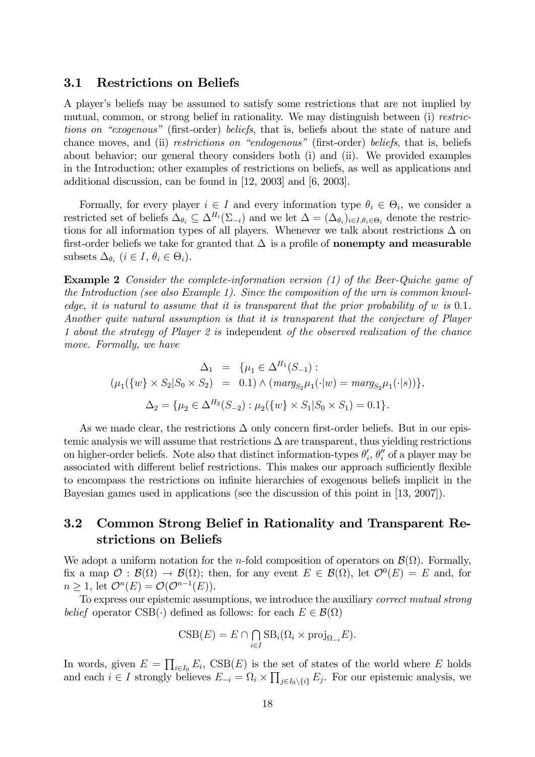#### 3.1 Restrictions on Beliefs

A player's beliefs may be assumed to satisfy some restrictions that are not implied by mutual, common, or strong belief in rationality. We may distinguish between (i) restrictions on "exogenous" (first-order) beliefs, that is, beliefs about the state of nature and chance moves, and (ii) restrictions on "endogenous" (first-order) beliefs, that is, beliefs about behavior; our general theory considers both (i) and (ii). We provided examples in the Introduction; other examples of restrictions on beliefs, as well as applications and additional discussion, can be found in [12, 2003] and [6, 2003].

Formally, for every player  $i \in I$  and every information type  $\theta_i \in \Theta_i$ , we consider a restricted set of beliefs  $\Delta_{\theta_i} \subseteq \Delta^{H_i}(\Sigma_{-i})$  and we let  $\Delta = (\Delta_{\theta_i})_{i \in I, \theta_i \in \Theta_i}$  denote the restrictions for all information types of all players. Whenever we talk about restrictions  $\Delta$  on first-order beliefs we take for granted that  $\Delta$  is a profile of **nonempty and measurable** subsets  $\Delta_{\theta_i}$   $(i \in I, \theta_i \in \Theta_i)$ .

Example 2 Consider the complete-information version (1) of the Beer-Quiche game of the Introduction (see also Example 1). Since the composition of the urn is common knowledge, it is natural to assume that it is transparent that the prior probability of  $w$  is  $0.1$ . Another quite natural assumption is that it is transparent that the conjecture of Player 1 about the strategy of Player 2 is independent of the observed realization of the chance move. Formally, we have

$$
\Delta_1 = \{ \mu_1 \in \Delta^{H_1}(S_{-1}) : \n(\mu_1(\{w\} \times S_2 | S_0 \times S_2) = 0.1) \wedge (marg_{S_2} \mu_1(\cdot | w) = marg_{S_2} \mu_1(\cdot | s)) \}, \n\Delta_2 = \{ \mu_2 \in \Delta^{H_2}(S_{-2}) : \mu_2(\{w\} \times S_1 | S_0 \times S_1) = 0.1 \}.
$$

As we made clear, the restrictions  $\Delta$  only concern first-order beliefs. But in our epistemic analysis we will assume that restrictions  $\Delta$  are transparent, thus yielding restrictions on higher-order beliefs. Note also that distinct information-types  $\theta'_i$ ,  $\theta''_i$  of a player may be associated with different belief restrictions. This makes our approach sufficiently flexible to encompass the restrictions on infinite hierarchies of exogenous beliefs implicit in the Bayesian games used in applications (see the discussion of this point in [13, 2007]).

### 3.2 Common Strong Belief in Rationality and Transparent Restrictions on Beliefs

We adopt a uniform notation for the *n*-fold composition of operators on  $\mathcal{B}(\Omega)$ . Formally, fix a map  $\mathcal{O}: \mathcal{B}(\Omega) \to \mathcal{B}(\Omega)$ ; then, for any event  $E \in \mathcal{B}(\Omega)$ , let  $\mathcal{O}^0(E) = E$  and, for  $n \geq 1$ , let  $\mathcal{O}^n(E) = \mathcal{O}(\mathcal{O}^{n-1}(E)).$ 

To express our epistemic assumptions, we introduce the auxiliary correct mutual strong belief operator CSB( $\cdot$ ) defined as follows: for each  $E \in \mathcal{B}(\Omega)$ 

$$
CSB(E) = E \cap \bigcap_{i \in I} SB_i(\Omega_i \times \text{proj}_{\Omega_{-i}} E).
$$

In words, given  $E = \prod_{i \in I_0} E_i$ ,  $\text{CSB}(E)$  is the set of states of the world where E holds and each  $i \in I$  strongly believes  $E_{-i} = \Omega_i \times \prod_{j \in I_0 \setminus \{i\}} E_j$ . For our epistemic analysis, we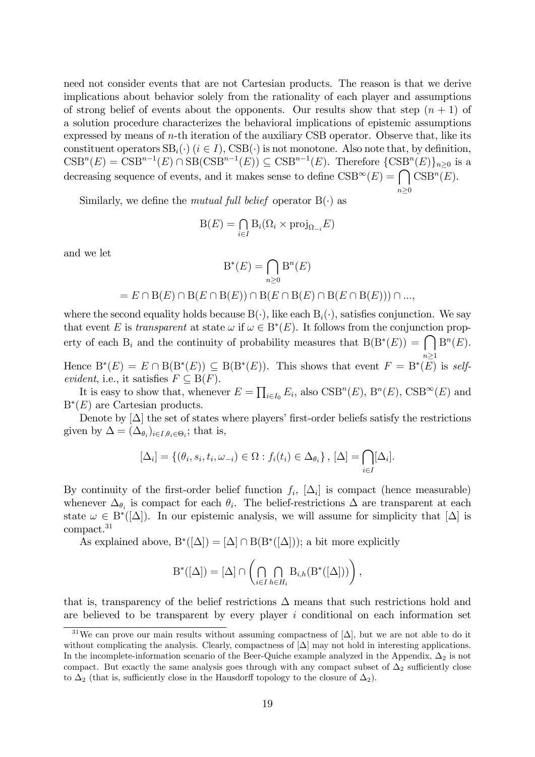need not consider events that are not Cartesian products. The reason is that we derive implications about behavior solely from the rationality of each player and assumptions of strong belief of events about the opponents. Our results show that step  $(n + 1)$  of a solution procedure characterizes the behavioral implications of epistemic assumptions expressed by means of n-th iteration of the auxiliary CSB operator. Observe that, like its constituent operators  $SB_i(\cdot)$   $(i \in I)$ ,  $CSB(\cdot)$  is not monotone. Also note that, by definition,  $CSB<sup>n</sup>(E) = CSB<sup>n-1</sup>(E) \cap SB(CSB<sup>n-1</sup>(E)) \subseteq CSB<sup>n-1</sup>(E)$ . Therefore  $\{CSB<sup>n</sup>(E)\}_{n\geq 0}$  is a decreasing sequence of events, and it makes sense to define  $\text{CSB}^{\infty}(E) = \bigcap \text{CSB}^n(E)$ .

Similarly, we define the *mutual full belief* operator  $B(\cdot)$  as

$$
B(E) = \bigcap_{i \in I} B_i(\Omega_i \times \text{proj}_{\Omega_{-i}} E)
$$

 $n\geq 0$ 

and we let

$$
\mathcal{B}^*(E) = \bigcap_{n \ge 0} \mathcal{B}^n(E)
$$

#### $= E \cap B(E) \cap B(E \cap B(E)) \cap B(E \cap B(E) \cap B(E \cap B(E))) \cap ...$

where the second equality holds because  $B(\cdot)$ , like each  $B_i(\cdot)$ , satisfies conjunction. We say that event E is transparent at state  $\omega$  if  $\omega \in B^*(E)$ . It follows from the conjunction property of each  $B_i$  and the continuity of probability measures that  $B(B^*(E)) = \bigcap B^n(E)$ .

 $\sum_{n=1}^{\infty}$ Hence  $B^*(E) = E \cap B(B^*(E)) \subseteq B(B^*(E))$ . This shows that event  $F = B^*(E)$  is selfevident, i.e., it satisfies  $F \subseteq B(F)$ .

It is easy to show that, whenever  $E = \prod_{i \in I_0} E_i$ , also  $CSB^n(E)$ ,  $B^n(E)$ ,  $CSB^\infty(E)$  and  $B^*(E)$  are Cartesian products.

Denote by  $[\Delta]$  the set of states where players' first-order beliefs satisfy the restrictions given by  $\Delta = (\Delta_{\theta_i})_{i \in I, \theta_i \in \Theta_i}$ ; that is,

$$
[\Delta_i] = \{(\theta_i, s_i, t_i, \omega_{-i}) \in \Omega : f_i(t_i) \in \Delta_{\theta_i}\}, [\Delta] = \bigcap_{i \in I} [\Delta_i].
$$

By continuity of the first-order belief function  $f_i$ ,  $[\Delta_i]$  is compact (hence measurable) whenever  $\Delta_{\theta_i}$  is compact for each  $\theta_i$ . The belief-restrictions  $\Delta$  are transparent at each state  $\omega \in B^*([\Delta])$ . In our epistemic analysis, we will assume for simplicity that  $[\Delta]$  is compact.<sup>31</sup>

As explained above,  $B^*([\Delta]) = [\Delta] \cap B(B^*([\Delta]))$ ; a bit more explicitly

$$
\mathcal{B}^*([\Delta]) = [\Delta] \cap \left( \bigcap_{i \in I} \bigcap_{h \in H_i} \mathcal{B}_{i,h}(\mathcal{B}^*([\Delta])) \right),
$$

that is, transparency of the belief restrictions  $\Delta$  means that such restrictions hold and are believed to be transparent by every player  $i$  conditional on each information set

<sup>&</sup>lt;sup>31</sup>We can prove our main results without assuming compactness of  $[\Delta]$ , but we are not able to do it without complicating the analysis. Clearly, compactness of  $[\Delta]$  may not hold in interesting applications. In the incomplete-information scenario of the Beer-Quiche example analyzed in the Appendix,  $\Delta_2$  is not compact. But exactly the same analysis goes through with any compact subset of  $\Delta_2$  sufficiently close to  $\Delta_2$  (that is, sufficiently close in the Hausdorff topology to the closure of  $\Delta_2$ ).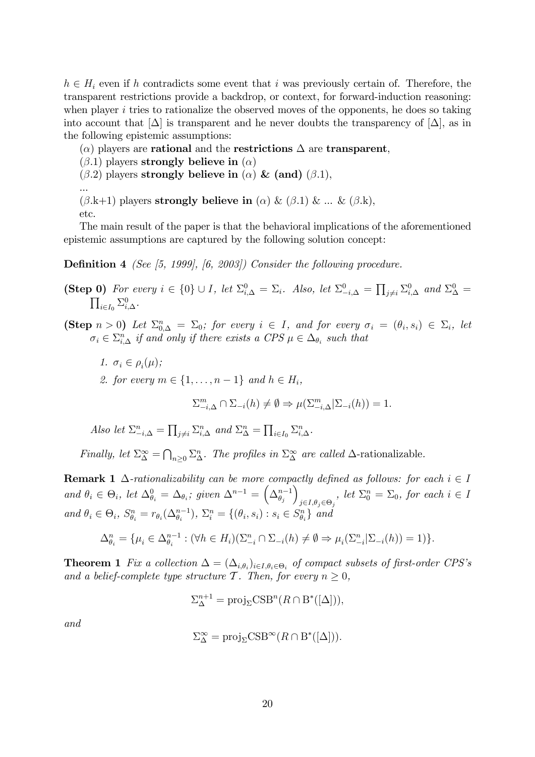$h \in H_i$  even if h contradicts some event that i was previously certain of. Therefore, the transparent restrictions provide a backdrop, or context, for forward-induction reasoning: when player  $i$  tries to rationalize the observed moves of the opponents, he does so taking into account that  $[\Delta]$  is transparent and he never doubts the transparency of  $[\Delta]$ , as in the following epistemic assumptions:

 $(\alpha)$  players are **rational** and the **restrictions**  $\Delta$  are **transparent**,

- $(\beta.1)$  players strongly believe in  $(\alpha)$
- $(\beta.2)$  players strongly believe in  $(\alpha)$  & (and)  $(\beta.1)$ ,

 $(\beta. k+1)$  players strongly believe in ( $\alpha$ ) & ( $\beta$ .1) & ... & ( $\beta$ .k), etc.

The main result of the paper is that the behavioral implications of the aforementioned epistemic assumptions are captured by the following solution concept:

**Definition 4** (See [5, 1999],  $[6, 2003]$ ) Consider the following procedure.

- (Step 0) For every  $i \in \{0\} \cup I$ , let  $\Sigma_{i,\Delta}^0 = \Sigma_i$ . Also, let  $\Sigma_{-i,\Delta}^0 = \prod_{j \neq i} \Sigma_{i,\Delta}^0$  and  $\Sigma_{\Delta}^0 = \prod_{i \in I} \Sigma_{i,\Delta}^0$ .  $_{i\in I_0}\Sigma^0_{i,\Delta}.$
- (Step  $n > 0$ ) Let  $\Sigma_{0,\Delta}^n = \Sigma_0$ ; for every  $i \in I$ , and for every  $\sigma_i = (\theta_i, s_i) \in \Sigma_i$ , let  $\sigma_i \in \sum_{i,\Delta}^n$  if and only if there exists a CPS  $\mu \in \Delta_{\theta_i}$  such that
	- 1.  $\sigma_i \in \rho_i(\mu);$

...

2. for every  $m \in \{1, \ldots, n-1\}$  and  $h \in H_i$ ,

$$
\sum_{i=1}^{m} \cap \sum_{i=1}^{m} (h) \neq \emptyset \Rightarrow \mu(\sum_{i=1}^{m} \sum_{i=1}^{m} (h)) = 1.
$$

Also let  $\Sigma_{-i,\Delta}^n = \prod_{j\neq i} \Sigma_{i,\Delta}^n$  and  $\Sigma_{\Delta}^n = \prod_{i\in I_0} \Sigma_{i,\Delta}^n$ .

Finally, let  $\Sigma^{\infty}_{\Delta} = \bigcap_{n\geq 0} \Sigma^{n}_{\Delta}$ . The profiles in  $\Sigma^{\infty}_{\Delta}$  are called  $\Delta$ -rationalizable.

**Remark 1**  $\Delta$ -rationalizability can be more compactly defined as follows: for each  $i \in I$ and  $\theta_i \in \Theta_i$ , let  $\Delta_{\theta_i}^0 = \Delta_{\theta_i}$ ; given  $\Delta^{n-1} = \left(\Delta_{\theta_j}^{n-1}\right)$  $\lambda$  $j \in I, \theta_j \in \Theta_j$ , let  $\Sigma_0^n = \Sigma_0$ , for each  $i \in I$ and  $\theta_i \in \Theta_i$ ,  $S_{\theta_i}^n = r_{\theta_i}(\Delta_{\theta_i}^{n-1}), \ \Sigma_i^n = \{(\theta_i, s_i) : s_i \in S_{\theta_i}^n\}$  and

$$
\Delta_{\theta_i}^n = \{\mu_i \in \Delta_{\theta_i}^{n-1} : (\forall h \in H_i)(\Sigma_{-i}^n \cap \Sigma_{-i}(h) \neq \emptyset \Rightarrow \mu_i(\Sigma_{-i}^n | \Sigma_{-i}(h)) = 1)\}.
$$

**Theorem 1** Fix a collection  $\Delta = (\Delta_{i,\theta_i})_{i \in I, \theta_i \in \Theta_i}$  of compact subsets of first-order CPS's and a belief-complete type structure T. Then, for every  $n \geq 0$ ,

$$
\Sigma^{n+1}_{\Delta} = \text{proj}_{\Sigma} \text{CSB}^n(R \cap B^*([\Delta])),
$$

and

$$
\Sigma_{\Delta}^{\infty} = \text{proj}_{\Sigma} \text{CSB}^{\infty}(R \cap B^*([\Delta])).
$$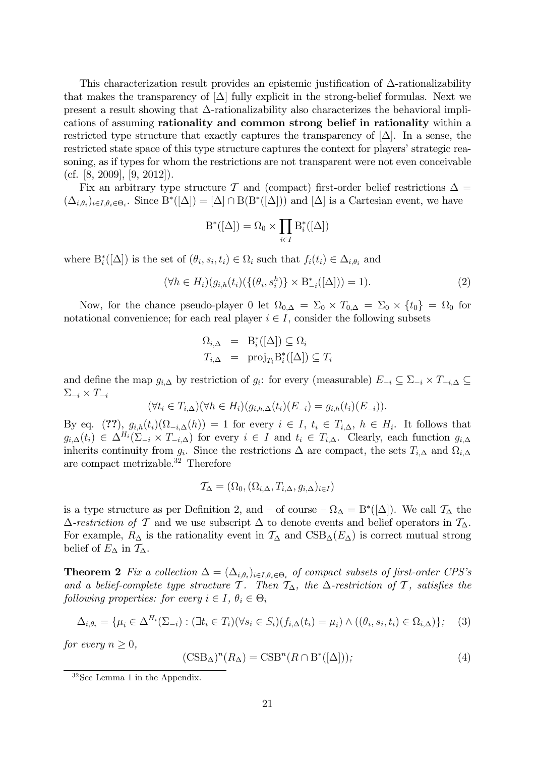This characterization result provides an epistemic justification of  $\Delta$ -rationalizability that makes the transparency of  $[\Delta]$  fully explicit in the strong-belief formulas. Next we present a result showing that  $\Delta$ -rationalizability also characterizes the behavioral implications of assuming rationality and common strong belief in rationality within a restricted type structure that exactly captures the transparency of  $|\Delta|$ . In a sense, the restricted state space of this type structure captures the context for players' strategic reasoning, as if types for whom the restrictions are not transparent were not even conceivable  $(cf. [8, 2009], [9, 2012]).$ 

Fix an arbitrary type structure T and (compact) first-order belief restrictions  $\Delta =$  $(\Delta_{i,\theta_i})_{i\in I,\theta_i\in\Theta_i}$ . Since  $B^*([\Delta]) = [\Delta] \cap B(B^*([\Delta]))$  and  $[\Delta]$  is a Cartesian event, we have

$$
\mathrm{B}^*([\Delta]) = \Omega_0 \times \prod_{i \in I} \mathrm{B}^*_i([\Delta])
$$

where  $B_i^*([\Delta])$  is the set of  $(\theta_i, s_i, t_i) \in \Omega_i$  such that  $f_i(t_i) \in \Delta_{i, \theta_i}$  and

$$
(\forall h \in H_i)(g_{i,h}(t_i)(\{(\theta_i, s_i^h)\} \times \mathcal{B}_{-i}^*([\Delta])) = 1).
$$
\n(2)

Now, for the chance pseudo-player 0 let  $\Omega_{0,\Delta} = \Sigma_0 \times T_{0,\Delta} = \Sigma_0 \times \{t_0\} = \Omega_0$  for notational convenience; for each real player  $i \in I$ , consider the following subsets

$$
\Omega_{i,\Delta} = \mathcal{B}_i^*([\Delta]) \subseteq \Omega_i
$$
  

$$
T_{i,\Delta} = \text{proj}_{T_i} \mathcal{B}_i^*([\Delta]) \subseteq T_i
$$

and define the map  $g_{i,\Delta}$  by restriction of  $g_i$ : for every (measurable)  $E_{-i} \subseteq \Sigma_{-i} \times T_{-i,\Delta} \subseteq$  $\Sigma_{-i} \times T_{-i}$ 

$$
(\forall t_i \in T_{i,\Delta})(\forall h \in H_i)(g_{i,h,\Delta}(t_i)(E_{-i}) = g_{i,h}(t_i)(E_{-i})).
$$

By eq.  $(??)$ ,  $g_{i,h}(t_i)(\Omega_{-i,\Delta}(h)) = 1$  for every  $i \in I$ ,  $t_i \in T_{i,\Delta}$ ,  $h \in H_i$ . It follows that  $g_{i,\Delta}(t_i) \in \Delta^{H_i}(\Sigma_{-i} \times T_{-i,\Delta})$  for every  $i \in I$  and  $t_i \in T_{i,\Delta}$ . Clearly, each function  $g_{i,\Delta}$ inherits continuity from  $g_i$ . Since the restrictions  $\Delta$  are compact, the sets  $T_{i,\Delta}$  and  $\Omega_{i,\Delta}$ are compact metrizable.<sup>32</sup> Therefore

$$
\mathcal{T}_{\Delta} = (\Omega_0, (\Omega_{i,\Delta}, T_{i,\Delta}, g_{i,\Delta})_{i \in I})
$$

is a type structure as per Definition 2, and  $-$  of course  $-\Omega_{\Delta} = B^*([\Delta])$ . We call  $\mathcal{T}_{\Delta}$  the  $\Delta$ -restriction of T and we use subscript  $\Delta$  to denote events and belief operators in  $\mathcal{T}_{\Delta}$ . For example,  $R_{\Delta}$  is the rationality event in  $\mathcal{T}_{\Delta}$  and  $CSB_{\Delta}(E_{\Delta})$  is correct mutual strong belief of  $E_{\Delta}$  in  $\mathcal{T}_{\Delta}$ .

**Theorem 2** Fix a collection  $\Delta = (\Delta_{i,\theta_i})_{i \in I, \theta_i \in \Theta_i}$  of compact subsets of first-order CPS's and a belief-complete type structure T. Then  $T_{\Delta}$ , the  $\Delta$ -restriction of T, satisfies the following properties: for every  $i \in I$ ,  $\theta_i \in \Theta_i$ 

$$
\Delta_{i,\theta_i} = \{\mu_i \in \Delta^{H_i}(\Sigma_{-i}) : (\exists t_i \in T_i)(\forall s_i \in S_i)(f_{i,\Delta}(t_i) = \mu_i) \land ((\theta_i, s_i, t_i) \in \Omega_{i,\Delta})\};\tag{3}
$$

for every  $n \geq 0$ ,

$$
(\text{CSB}_{\Delta})^n (R_{\Delta}) = \text{CSB}^n (R \cap \text{B}^*([\Delta])), \tag{4}
$$

<sup>32</sup>See Lemma 1 in the Appendix.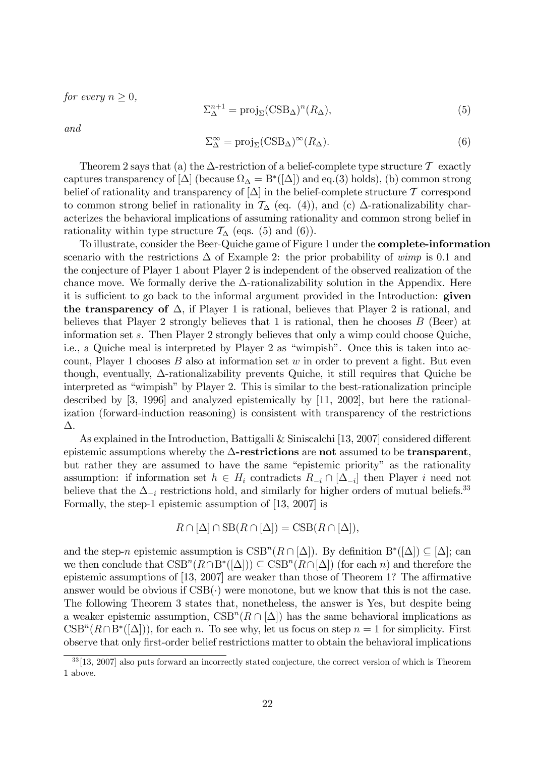for every  $n \geq 0$ ,

$$
\Sigma_{\Delta}^{n+1} = \text{proj}_{\Sigma}(\text{CSB}_{\Delta})^n (R_{\Delta}), \tag{5}
$$

and

$$
\Sigma_{\Delta}^{\infty} = \text{proj}_{\Sigma}(\text{CSB}_{\Delta})^{\infty}(R_{\Delta}).
$$
\n(6)

Theorem 2 says that (a) the  $\Delta$ -restriction of a belief-complete type structure  $\mathcal T$  exactly captures transparency of  $[\Delta]$  (because  $\Omega_{\Delta} = B^*([\Delta])$  and eq.(3) holds), (b) common strong belief of rationality and transparency of  $[\Delta]$  in the belief-complete structure T correspond to common strong belief in rationality in  $\mathcal{T}_{\Delta}$  (eq. (4)), and (c)  $\Delta$ -rationalizability characterizes the behavioral implications of assuming rationality and common strong belief in rationality within type structure  $\mathcal{T}_{\Lambda}$  (eqs. (5) and (6)).

To illustrate, consider the Beer-Quiche game of Figure 1 under the complete-information scenario with the restrictions  $\Delta$  of Example 2: the prior probability of wimp is 0.1 and the conjecture of Player 1 about Player 2 is independent of the observed realization of the chance move. We formally derive the  $\Delta$ -rationalizability solution in the Appendix. Here it is sufficient to go back to the informal argument provided in the Introduction: given the transparency of  $\Delta$ , if Player 1 is rational, believes that Player 2 is rational, and believes that Player 2 strongly believes that 1 is rational, then he chooses  $B$  (Beer) at information set s. Then Player 2 strongly believes that only a wimp could choose Quiche, i.e., a Quiche meal is interpreted by Player 2 as "wimpish". Once this is taken into account, Player 1 chooses  $B$  also at information set  $w$  in order to prevent a fight. But even though, eventually,  $\Delta$ -rationalizability prevents Quiche, it still requires that Quiche be interpreted as "wimpish" by Player 2. This is similar to the best-rationalization principle described by [3, 1996] and analyzed epistemically by [11, 2002], but here the rationalization (forward-induction reasoning) is consistent with transparency of the restrictions  $\Delta$ .

As explained in the Introduction, Battigalli  $&$  Siniscalchi [13, 2007] considered different epistemic assumptions whereby the  $\Delta$ -restrictions are not assumed to be transparent, but rather they are assumed to have the same "epistemic priority" as the rationality assumption: if information set  $h \in H_i$  contradicts  $R_{-i} \cap [\Delta_{-i}]$  then Player i need not believe that the  $\Delta_{-i}$  restrictions hold, and similarly for higher orders of mutual beliefs.<sup>33</sup> Formally, the step-1 epistemic assumption of [13, 2007] is

$$
R \cap [\Delta] \cap \text{SB}(R \cap [\Delta]) = \text{CSB}(R \cap [\Delta]),
$$

and the step-n epistemic assumption is  $CSB^n(R \cap [\Delta])$ . By definition  $B^*([\Delta]) \subseteq [\Delta]$ ; can we then conclude that  $CSB^n(R\cap B^*(\lbrack\Delta\rbrack)) \subseteq CSB^n(R\cap\lbrack\Delta\rbrack)$  (for each n) and therefore the epistemic assumptions of  $[13, 2007]$  are weaker than those of Theorem 1? The affirmative answer would be obvious if  $CSB(\cdot)$  were monotone, but we know that this is not the case. The following Theorem 3 states that, nonetheless, the answer is Yes, but despite being a weaker epistemic assumption,  $CSB^n(R \cap [\Delta])$  has the same behavioral implications as  $CSB<sup>n</sup>(R \cap B<sup>*</sup>([\Delta]))$ , for each n. To see why, let us focus on step  $n = 1$  for simplicity. First observe that only first-order belief restrictions matter to obtain the behavioral implications

<sup>33</sup> [13, 2007] also puts forward an incorrectly stated conjecture, the correct version of which is Theorem 1 above.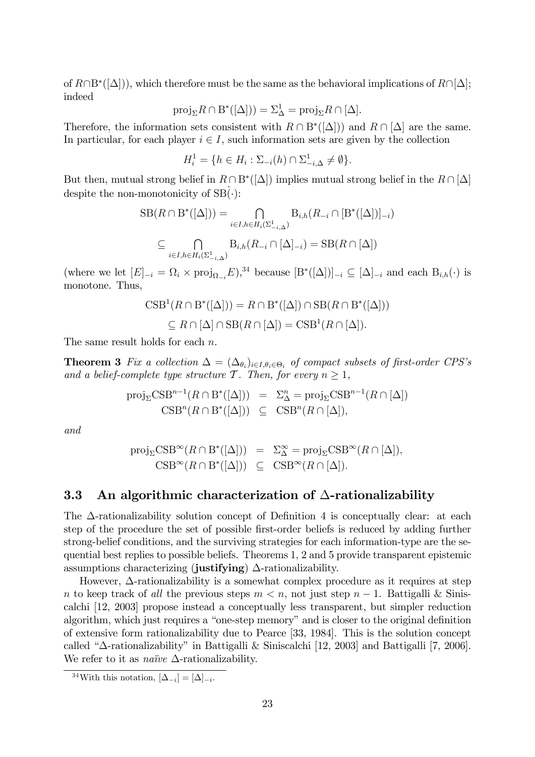of  $R \cap B^*([\Delta]),$  which therefore must be the same as the behavioral implications of  $R \cap [\Delta];$ indeed

$$
\operatorname{proj}_{\Sigma} R \cap B^*([\Delta])) = \Sigma_{\Delta}^1 = \operatorname{proj}_{\Sigma} R \cap [\Delta].
$$

Therefore, the information sets consistent with  $R \cap B^*([\Delta])$  and  $R \cap [\Delta]$  are the same. In particular, for each player  $i \in I$ , such information sets are given by the collection

$$
H_i^1 = \{ h \in H_i : \Sigma_{-i}(h) \cap \Sigma_{-i,\Delta}^1 \neq \emptyset \}.
$$

But then, mutual strong belief in  $R \cap B^*([\Delta])$  implies mutual strong belief in the  $R \cap [\Delta]$ despite the non-monotonicity of  $SB(\cdot)$ :

$$
SB(R \cap B^*([\Delta])) = \bigcap_{i \in I, h \in H_i(\Sigma^1_{-i,\Delta})} B_{i,h}(R_{-i} \cap [B^*([\Delta])]_{-i})
$$
  

$$
\subseteq \bigcap_{i \in I, h \in H_i(\Sigma^1_{-i,\Delta})} B_{i,h}(R_{-i} \cap [\Delta]_{-i}) = SB(R \cap [\Delta])
$$

(where we let  $[E]_{-i} = \Omega_i \times \text{proj}_{\Omega_{-i}} E$ ),<sup>34</sup> because  $[B^*([\Delta])]_{-i} \subseteq [\Delta]_{-i}$  and each  $B_{i,h}(\cdot)$  is monotone. Thus,

$$
CSB1(R \cap B*([\Delta])) = R \cap B*([\Delta]) \cap SB(R \cap B*([\Delta]))
$$
  
\n
$$
\subseteq R \cap [\Delta] \cap SB(R \cap [\Delta]) = CSB1(R \cap [\Delta]).
$$

The same result holds for each n.

**Theorem 3** Fix a collection  $\Delta = (\Delta_{\theta_i})_{i \in I, \theta_i \in \Theta_i}$  of compact subsets of first-order CPS's and a belief-complete type structure T. Then, for every  $n \geq 1$ ,

$$
\text{proj}_{\Sigma} \text{CSB}^{n-1}(R \cap B^*([\Delta])) = \Sigma_{\Delta}^n = \text{proj}_{\Sigma} \text{CSB}^{n-1}(R \cap [\Delta])
$$
  
\n
$$
\text{CSB}^n(R \cap B^*([\Delta])) \subseteq \text{CSB}^n(R \cap [\Delta]),
$$

and

$$
\text{proj}_{\Sigma} \text{CSB}^{\infty}(R \cap B^*([\Delta])) = \Sigma^{\infty}_{\Delta} = \text{proj}_{\Sigma} \text{CSB}^{\infty}(R \cap [\Delta]),
$$
  

$$
\text{CSB}^{\infty}(R \cap B^*([\Delta])) \subseteq \text{CSB}^{\infty}(R \cap [\Delta]).
$$

#### 3.3 An algorithmic characterization of  $\Delta$ -rationalizability

The  $\Delta$ -rationalizability solution concept of Definition 4 is conceptually clear: at each step of the procedure the set of possible first-order beliefs is reduced by adding further strong-belief conditions, and the surviving strategies for each information-type are the sequential best replies to possible beliefs. Theorems 1, 2 and 5 provide transparent epistemic assumptions characterizing (justifying)  $\Delta$ -rationalizability.

However,  $\Delta$ -rationalizability is a somewhat complex procedure as it requires at step n to keep track of all the previous steps  $m < n$ , not just step  $n - 1$ . Battigalli & Siniscalchi [12, 2003] propose instead a conceptually less transparent, but simpler reduction algorithm, which just requires a "one-step memory" and is closer to the original definition of extensive form rationalizability due to Pearce [33, 1984]. This is the solution concept called " $\Delta$ -rationalizability" in Battigalli & Siniscalchi [12, 2003] and Battigalli [7, 2006]. We refer to it as *naïve*  $\Delta$ -rationalizability.

<sup>&</sup>lt;sup>34</sup>With this notation,  $[\Delta_{-i}] = [\Delta]_{-i}$ .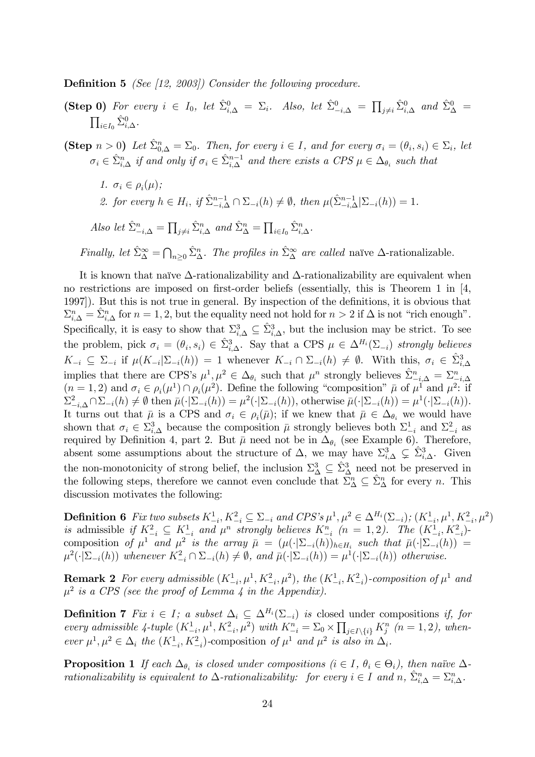**Definition 5** (See [12, 2003]) Consider the following procedure.

- (Step 0) For every  $i \in I_0$ , let  $\hat{\Sigma}_{i,\Delta}^0 = \Sigma_i$ . Also, let  $\hat{\Sigma}_{-i,\Delta}^0 = \prod_{j\neq i} \hat{\Sigma}_{i,\Delta}^0$  and  $\hat{\Sigma}_{\Delta}^0 =$  $\prod_{i\in I_0}\hat{\Sigma}_{i,\Delta}^0$ .
- (Step  $n > 0$ ) Let  $\hat{\Sigma}_{0,\Delta}^n = \Sigma_0$ . Then, for every  $i \in I$ , and for every  $\sigma_i = (\theta_i, s_i) \in \Sigma_i$ , let  $\sigma_i \in \hat{\Sigma}_{i,\Delta}^n$  if and only if  $\sigma_i \in \hat{\Sigma}_{i,\Delta}^{n-1}$  and there exists a CPS  $\mu \in \Delta_{\theta_i}$  such that
	- 1.  $\sigma_i \in \rho_i(\mu);$ 2. for every  $h \in H_i$ , if  $\hat{\Sigma}_{-i,\Delta}^{n-1} \cap \Sigma_{-i}(h) \neq \emptyset$ , then  $\mu(\hat{\Sigma}_{-i,\Delta}^{n-1} | \Sigma_{-i}(h)) = 1$ .

Also let  $\hat{\Sigma}_{-i,\Delta}^n = \prod_{j\neq i} \hat{\Sigma}_{i,\Delta}^n$  and  $\hat{\Sigma}_{\Delta}^n = \prod_{i \in I_0} \hat{\Sigma}_{i,\Delta}^n$ .

Finally, let  $\hat{\Sigma}_{\Delta}^{\infty} = \bigcap_{n\geq 0} \hat{\Sigma}_{\Delta}^n$ . The profiles in  $\hat{\Sigma}_{\Delta}^{\infty}$  are called naïve  $\Delta$ -rationalizable.

It is known that naïve  $\Delta$ -rationalizability and  $\Delta$ -rationalizability are equivalent when no restrictions are imposed on first-order beliefs (essentially, this is Theorem 1 in  $[4, 4]$ 1997). But this is not true in general. By inspection of the definitions, it is obvious that  $\Sigma_{i,\Delta}^n = \hat{\Sigma}_{i,\Delta}^n$  for  $n = 1, 2$ , but the equality need not hold for  $n > 2$  if  $\Delta$  is not "rich enough". Specifically, it is easy to show that  $\Sigma_{i,\Delta}^3 \subseteq \hat{\Sigma}_{i,\Delta}^3$ , but the inclusion may be strict. To see the problem, pick  $\sigma_i = (\theta_i, s_i) \in \hat{\Sigma}_{i,\Delta}^3$ . Say that a CPS  $\mu \in \Delta^{H_i}(\Sigma_{-i})$  strongly believes  $K_{-i} \subseteq \Sigma_{-i}$  if  $\mu(K_{-i}|\Sigma_{-i}(h)) = 1$  whenever  $K_{-i} \cap \Sigma_{-i}(h) \neq \emptyset$ . With this,  $\sigma_i \in \hat{\Sigma}_{i,\Delta}^3$ implies that there are CPS's  $\mu^1, \mu^2 \in \Delta_{\theta_i}$  such that  $\mu^n$  strongly believes  $\hat{\Sigma}^n_{i,\Delta} = \Sigma^n_{i,\Delta}$  $(n = 1, 2)$  and  $\sigma_i \in \rho_i(\mu^1) \cap \rho_i(\mu^2)$ . Define the following "composition"  $\bar{\mu}$  of  $\mu^1$  and  $\mu^2$ : if  $\Sigma^2_{-i,\Delta} \cap \Sigma_{-i}(h) \neq \emptyset$  then  $\bar{\mu}(\cdot | \Sigma_{-i}(h)) = \mu^2(\cdot | \Sigma_{-i}(h)),$  otherwise  $\bar{\mu}(\cdot | \Sigma_{-i}(h)) = \mu^1(\cdot | \Sigma_{-i}(h)).$ It turns out that  $\bar{\mu}$  is a CPS and  $\sigma_i \in \rho_i(\bar{\mu})$ ; if we knew that  $\bar{\mu} \in \Delta_{\theta_i}$  we would have shown that  $\sigma_i \in \Sigma_{i,\Delta}^3$  because the composition  $\bar{\mu}$  strongly believes both  $\Sigma_{-i}^1$  and  $\Sigma_{-i}^2$  as required by Definition 4, part 2. But  $\bar{\mu}$  need not be in  $\Delta_{\theta_i}$  (see Example 6). Therefore, absent some assumptions about the structure of  $\Delta$ , we may have  $\Sigma_{i,\Delta}^3 \subsetneq \hat{\Sigma}_{i,\Delta}^3$ . Given the non-monotonicity of strong belief, the inclusion  $\Sigma^3_{\Delta} \subseteq \hat{\Sigma}^3_{\Delta}$  need not be preserved in the following steps, therefore we cannot even conclude that  $\sum_{\Delta}^n \subseteq \hat{\Sigma}_{\Delta}^n$  for every n. This discussion motivates the following:

**Definition 6** Fix two subsets  $K_{-i}^1, K_{-i}^2 \subseteq \sum_{-i}$  and  $CPS's \mu^1, \mu^2 \in \Delta^{H_i}(\sum_{-i}), (K_{-i}^1, \mu^1, K_{-i}^2, \mu^2)$ is admissible if  $K_{-i}^2 \subseteq K_{-i}^1$  and  $\mu^n$  strongly believes  $K_{-i}^n$   $(n = 1, 2)$ . The  $(K_{-i}^1, K_{-i}^2)$ composition of  $\mu^1$  and  $\mu^2$  is the array  $\bar{\mu} = (\mu(\cdot|\Sigma_{-i}(h))_{h\in H_i}$  such that  $\bar{\mu}(\cdot|\Sigma_{-i}(h)) =$  $\mu^2(\cdot | \Sigma_{-i}(h))$  whenever  $K^2_{-i} \cap \Sigma_{-i}(h) \neq \emptyset$ , and  $\bar{\mu}(\cdot | \Sigma_{-i}(h)) = \mu^1(\cdot | \Sigma_{-i}(h))$  otherwise.

**Remark 2** For every admissible  $(K_{-i}^1, \mu^1, K_{-i}^2, \mu^2)$ , the  $(K_{-i}^1, K_{-i}^2)$ -composition of  $\mu^1$  and  $\mu^2$  is a CPS (see the proof of Lemma 4 in the Appendix).

**Definition 7** Fix  $i \in I$ ; a subset  $\Delta_i \subseteq \Delta^{H_i}(\Sigma_{-i})$  is closed under compositions if, for every admissible 4-tuple  $(K_{-i}^1, \mu^1, K_{-i}^2, \mu^2)$  with  $K_{-i}^n = \Sigma_0 \times \prod_{j \in I \setminus \{i\}} K_j^n$   $(n = 1, 2)$ , whenever  $\mu^1, \mu^2 \in \Delta_i$  the  $(K^1_{-i}, K^2_{-i})$ -composition of  $\mu^1$  and  $\mu^2$  is also in  $\Delta_i$ .

**Proposition 1** If each  $\Delta_{\theta_i}$  is closed under compositions  $(i \in I, \theta_i \in \Theta_i)$ , then naïve  $\Delta$ rationalizability is equivalent to  $\Delta$ -rationalizability: for every  $i \in I$  and  $n, \ \hat{\Sigma}_{i,\Delta}^n = \Sigma_{i,\Delta}^n$ .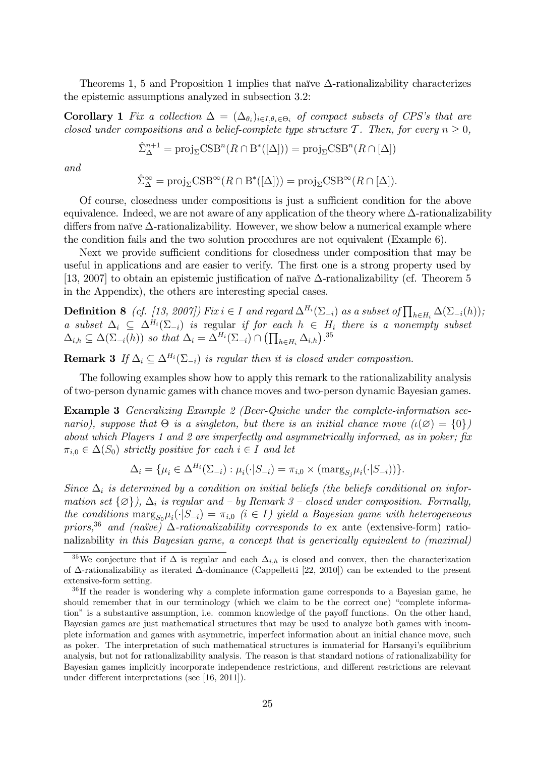Theorems 1, 5 and Proposition 1 implies that naïve  $\Delta$ -rationalizability characterizes the epistemic assumptions analyzed in subsection 3.2:

**Corollary 1** Fix a collection  $\Delta = (\Delta_{\theta_i})_{i \in I, \theta_i \in \Theta_i}$  of compact subsets of CPS's that are closed under compositions and a belief-complete type structure T. Then, for every  $n \geq 0$ ,

$$
\hat{\Sigma}_{\Delta}^{n+1} = \text{proj}_{\Sigma} \text{CSB}^n(R \cap B^*([\Delta])) = \text{proj}_{\Sigma} \text{CSB}^n(R \cap [\Delta])
$$

and

$$
\hat{\Sigma}_{\Delta}^{\infty} = \text{proj}_{\Sigma} \text{CSB}^{\infty}(R \cap B^*([\Delta])) = \text{proj}_{\Sigma} \text{CSB}^{\infty}(R \cap [\Delta]).
$$

Of course, closedness under compositions is just a sufficient condition for the above equivalence. Indeed, we are not aware of any application of the theory where  $\Delta$ -rationalizability differs from naïve  $\Delta$ -rationalizability. However, we show below a numerical example where the condition fails and the two solution procedures are not equivalent (Example 6).

Next we provide sufficient conditions for closedness under composition that may be useful in applications and are easier to verify. The first one is a strong property used by [13, 2007] to obtain an epistemic justification of naïve  $\Delta$ -rationalizability (cf. Theorem 5 in the Appendix), the others are interesting special cases.

**Definition 8** (cf. [13, 2007]) Fix  $i \in I$  and regard  $\Delta^{H_i}(\Sigma_{-i})$  as a subset of  $\prod_{h \in H_i} \Delta(\Sigma_{-i}(h))$ ; a subset  $\Delta_i \subseteq \Delta^{H_i}(\Sigma_{-i})$  is regular if for each  $h \in H_i$  there is a nonempty subset  $\Delta_{i,h} \subseteq \Delta(\Sigma_{-i}(h))$  so that  $\Delta_i = \Delta^{H_i}(\Sigma_{-i}) \cap (\prod_{h \in H_i} \Delta_{i,h})^{.35}$ 

**Remark 3** If  $\Delta_i \subset \Delta^{H_i}(\Sigma_{-i})$  is regular then it is closed under composition.

The following examples show how to apply this remark to the rationalizability analysis of two-person dynamic games with chance moves and two-person dynamic Bayesian games.

Example 3 Generalizing Example 2 (Beer-Quiche under the complete-information scenario), suppose that  $\Theta$  is a singleton, but there is an initial chance move  $(\iota(\emptyset) = \{0\})$ about which Players 1 and 2 are imperfectly and asymmetrically informed, as in poker; fix  $\pi_{i,0} \in \Delta(S_0)$  strictly positive for each  $i \in I$  and let

$$
\Delta_i = \{\mu_i \in \Delta^{H_i}(\Sigma_{-i}) : \mu_i(\cdot | S_{-i}) = \pi_{i,0} \times (\text{marg}_{S_j} \mu_i(\cdot | S_{-i}))\}.
$$

Since  $\Delta_i$  is determined by a condition on initial beliefs (the beliefs conditional on information set  $\{\varnothing\}, \Delta_i$  is regular and  $\Delta_i$  by Remark 3  $\Delta_i$  closed under composition. Formally, the conditions  $\max_{S_0} \mu_i(\cdot | S_{-i}) = \pi_{i,0}$  ( $i \in I$ ) yield a Bayesian game with heterogeneous priors,<sup>36</sup> and (naïve)  $\Delta$ -rationalizability corresponds to ex ante (extensive-form) rationalizability in this Bayesian game, a concept that is generically equivalent to (maximal)

<sup>&</sup>lt;sup>35</sup>We conjecture that if  $\Delta$  is regular and each  $\Delta_{i,h}$  is closed and convex, then the characterization of  $\Delta$ -rationalizability as iterated  $\Delta$ -dominance (Cappelletti [22, 2010]) can be extended to the present extensive-form setting.

<sup>&</sup>lt;sup>36</sup>If the reader is wondering why a complete information game corresponds to a Bayesian game, he should remember that in our terminology (which we claim to be the correct one) "complete information" is a substantive assumption, i.e. common knowledge of the payoff functions. On the other hand, Bayesian games are just mathematical structures that may be used to analyze both games with incomplete information and games with asymmetric, imperfect information about an initial chance move, such as poker. The interpretation of such mathematical structures is immaterial for Harsanyiís equilibrium analysis, but not for rationalizability analysis. The reason is that standard notions of rationalizability for Bayesian games implicitly incorporate independence restrictions, and different restrictions are relevant under different interpretations (see  $[16, 2011]$ ).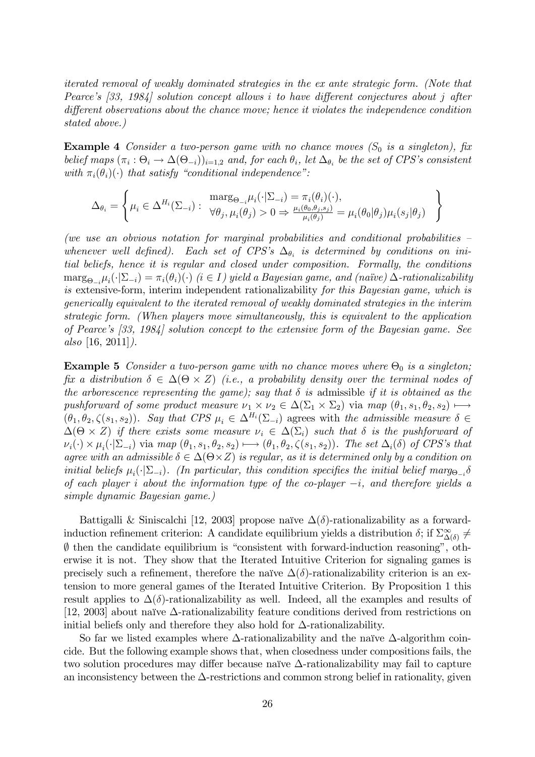iterated removal of weakly dominated strategies in the ex ante strategic form. (Note that Pearce's  $[33, 1984]$  solution concept allows i to have different conjectures about j after different observations about the chance move; hence it violates the independence condition stated above.)

**Example 4** Consider a two-person game with no chance moves  $(S_0$  is a singleton), fix belief maps  $(\pi_i : \Theta_i \to \Delta(\Theta_{-i}))_{i=1,2}$  and, for each  $\theta_i$ , let  $\Delta_{\theta_i}$  be the set of CPS's consistent with  $\pi_i(\theta_i)(\cdot)$  that satisfy "conditional independence":

$$
\Delta_{\theta_i} = \left\{ \mu_i \in \Delta^{H_i}(\Sigma_{-i}) : \begin{array}{l} \max_{\Theta_{-i}} \mu_i(\cdot | \Sigma_{-i}) = \pi_i(\theta_i)(\cdot), \\ \forall \theta_j, \mu_i(\theta_j) > 0 \Rightarrow \frac{\mu_i(\theta_0, \theta_j, s_j)}{\mu_i(\theta_j)} = \mu_i(\theta_0 | \theta_j) \mu_i(s_j | \theta_j) \end{array} \right\}
$$

(we use an obvious notation for marginal probabilities and conditional probabilities  $\overline{\phantom{a}}$ whenever well defined). Each set of CPS's  $\Delta_{\theta_i}$  is determined by conditions on initial beliefs, hence it is regular and closed under composition. Formally, the conditions  $\max_{\Theta_{-i}} \mu_i(\cdot | \Sigma_{-i}) = \pi_i(\theta_i)(\cdot)$  ( $i \in I$ ) yield a Bayesian game, and (naïve)  $\Delta$ -rationalizability is extensive-form, interim independent rationalizability for this Bayesian game, which is generically equivalent to the iterated removal of weakly dominated strategies in the interim strategic form. (When players move simultaneously, this is equivalent to the application of Pearce's  $[33, 1984]$  solution concept to the extensive form of the Bayesian game. See also [16, 2011]).

**Example 5** Consider a two-person game with no chance moves where  $\Theta_0$  is a singleton; fix a distribution  $\delta \in \Delta(\Theta \times Z)$  (i.e., a probability density over the terminal nodes of the arborescence representing the game); say that  $\delta$  is admissible if it is obtained as the pushforward of some product measure  $\nu_1 \times \nu_2 \in \Delta(\Sigma_1 \times \Sigma_2)$  via map  $(\theta_1, s_1, \theta_2, s_2) \mapsto$  $(\theta_1, \theta_2, \zeta(s_1, s_2))$ . Say that CPS  $\mu_i \in \Delta^{H_i}(\Sigma_{-i})$  agrees with the admissible measure  $\delta \in$  $\Delta(\Theta \times Z)$  if there exists some measure  $\nu_i \in \Delta(\Sigma_i)$  such that  $\delta$  is the pushforward of  $\nu_i(\cdot) \times \mu_i(\cdot | \Sigma_{-i})$  via map  $(\theta_1, s_1, \theta_2, s_2) \longmapsto (\theta_1, \theta_2, \zeta(s_1, s_2))$ . The set  $\Delta_i(\delta)$  of CPS's that agree with an admissible  $\delta \in \Delta(\Theta \times Z)$  is regular, as it is determined only by a condition on initial beliefs  $\mu_i(\cdot|\Sigma_{-i})$ . (In particular, this condition specifies the initial belief marg<sub> $\Theta_{-i}$ </sub> of each player i about the information type of the co-player  $-i$ , and therefore yields a simple dynamic Bayesian game.)

Battigalli & Siniscalchi [12, 2003] propose naïve  $\Delta(\delta)$ -rationalizability as a forwardinduction refinement criterion: A candidate equilibrium yields a distribution  $\delta$ ; if  $\Sigma^{\infty}_{\Delta(\delta)} \neq$  $\emptyset$  then the candidate equilibrium is "consistent with forward-induction reasoning", otherwise it is not. They show that the Iterated Intuitive Criterion for signaling games is precisely such a refinement, therefore the naïve  $\Delta(\delta)$ -rationalizability criterion is an extension to more general games of the Iterated Intuitive Criterion. By Proposition 1 this result applies to  $\Delta(\delta)$ -rationalizability as well. Indeed, all the examples and results of [12, 2003] about naïve  $\Delta$ -rationalizability feature conditions derived from restrictions on initial beliefs only and therefore they also hold for  $\Delta$ -rationalizability.

So far we listed examples where  $\Delta$ -rationalizability and the naïve  $\Delta$ -algorithm coincide. But the following example shows that, when closedness under compositions fails, the two solution procedures may differ because naïve  $\Delta$ -rationalizability may fail to capture an inconsistency between the  $\Delta$ -restrictions and common strong belief in rationality, given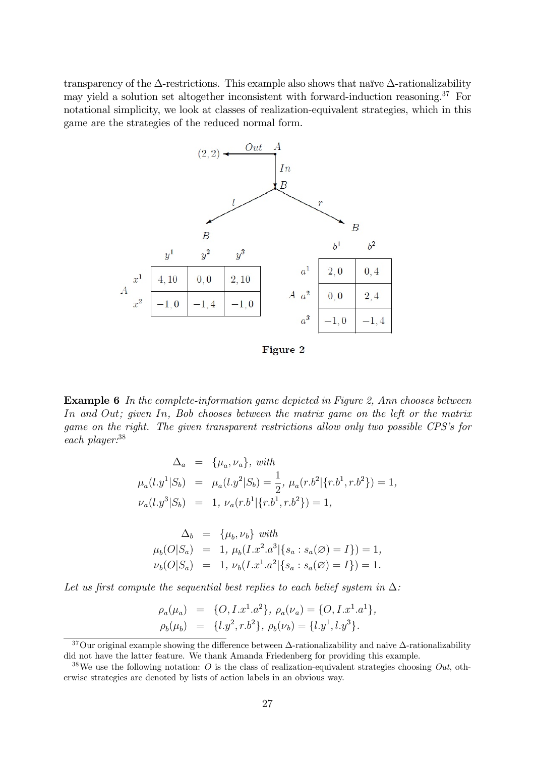transparency of the  $\Delta$ -restrictions. This example also shows that naïve  $\Delta$ -rationalizability may yield a solution set altogether inconsistent with forward-induction reasoning.<sup>37</sup> For notational simplicity, we look at classes of realization-equivalent strategies, which in this game are the strategies of the reduced normal form.



Figure 2

Example 6 In the complete-information game depicted in Figure 2, Ann chooses between In and Out; given In, Bob chooses between the matrix game on the left or the matrix game on the right. The given transparent restrictions allow only two possible CPS's for each player:<sup>38</sup>

$$
\Delta_a = \{\mu_a, \nu_a\}, \text{ with}
$$
  
\n
$$
\mu_a(l.y^1|S_b) = \mu_a(l.y^2|S_b) = \frac{1}{2}, \mu_a(r.b^2|\{r.b^1, r.b^2\}) = 1,
$$
  
\n
$$
\nu_a(l.y^3|S_b) = 1, \nu_a(r.b^1|\{r.b^1, r.b^2\}) = 1,
$$

$$
\Delta_b = \{\mu_b, \nu_b\} \text{ with}
$$
  
\n
$$
\mu_b(O|S_a) = 1, \mu_b(I.x^2.a^3|\{s_a : s_a(\emptyset) = I\}) = 1,
$$
  
\n
$$
\nu_b(O|S_a) = 1, \nu_b(I.x^1.a^2|\{s_a : s_a(\emptyset) = I\}) = 1.
$$

Let us first compute the sequential best replies to each belief system in  $\Delta$ :

$$
\rho_a(\mu_a) = \{O, I.x^1.a^2\}, \rho_a(\nu_a) = \{O, I.x^1.a^1\}, \n\rho_b(\mu_b) = \{l.y^2, r.b^2\}, \rho_b(\nu_b) = \{l.y^1, l.y^3\}.
$$

<sup>&</sup>lt;sup>37</sup>Our original example showing the difference between  $\Delta$ -rationalizability and naive  $\Delta$ -rationalizability did not have the latter feature. We thank Amanda Friedenberg for providing this example.

<sup>&</sup>lt;sup>38</sup>We use the following notation: O is the class of realization-equivalent strategies choosing  $Out$ , otherwise strategies are denoted by lists of action labels in an obvious way.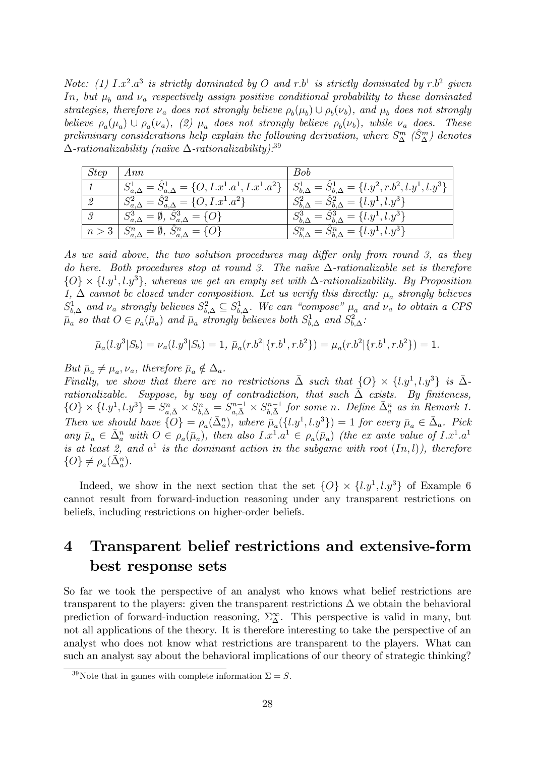Note: (1)  $I.x^2.a^3$  is strictly dominated by O and r.b<sup>1</sup> is strictly dominated by r.b<sup>2</sup> given In, but  $\mu_h$  and  $\nu_a$  respectively assign positive conditional probability to these dominated strategies, therefore  $\nu_a$  does not strongly believe  $\rho_b(\mu_b) \cup \rho_b(\nu_b)$ , and  $\mu_b$  does not strongly believe  $\rho_a(\mu_a) \cup \rho_a(\nu_a)$ , (2)  $\mu_a$  does not strongly believe  $\rho_b(\nu_b)$ , while  $\nu_a$  does. These preliminary considerations help explain the following derivation, where  $S^m_{\Delta}$  ( $\hat{S}^m_{\Delta}$ ) denotes  $\Delta$ -rationalizability (naïve  $\Delta$ -rationalizability).<sup>39</sup>

| Step  | Ann                                                             | Bob                                                                       |
|-------|-----------------------------------------------------------------|---------------------------------------------------------------------------|
|       | $S_{a,\Delta}^1 = S_{a,\Delta}^1 = \{O, I.x^1.a^1, I.x^1.a^2\}$ | $S_{b,\Delta}^1 = \ddot{S}_{b,\Delta}^1 = \{l.y^2, r.b^2, l.y^1, l.y^3\}$ |
|       | $=\{O, I.x^1.a^2\}$<br>$S_{a,\Delta}^{\omega}$                  | $=\{l.y^1, l.y^3\}$                                                       |
|       | $= \{O\}$                                                       | $=\{l.y^1, l.y^3\}$                                                       |
| n > 3 | $S^n_{a,\Delta}=\emptyset, \, S^n_{a,\Delta}$<br>$= \{O\}$      | $= S_{b,\Delta}^n = \{l.y^1, l.y^3\}$                                     |

As we said above, the two solution procedures may differ only from round 3, as they do here. Both procedures stop at round 3. The naïve  $\Delta$ -rationalizable set is therefore  $\{O\} \times \{l.y^1, l.y^3\}$ , whereas we get an empty set with  $\Delta$ -rationalizability. By Proposition 1,  $\Delta$  cannot be closed under composition. Let us verify this directly:  $\mu_a$  strongly believes  $S^1_{b,\Delta}$  and  $\nu_a$  strongly believes  $S^2_{b,\Delta} \subseteq S^1_{b,\Delta}$ . We can "compose"  $\mu_a$  and  $\nu_a$  to obtain a CPS  $\bar{\mu}_a$  so that  $O \in \rho_a(\bar{\mu}_a)$  and  $\bar{\mu}_a$  strongly believes both  $S^1_{b,\Delta}$  and  $S^2_{b,\Delta}$ .

$$
\bar{\mu}_a(l.y^3|S_b) = \nu_a(l.y^3|S_b) = 1, \ \bar{\mu}_a(r.b^2|\{r.b^1, r.b^2\}) = \mu_a(r.b^2|\{r.b^1, r.b^2\}) = 1.
$$

But  $\bar{\mu}_a \neq \mu_a, \nu_a$ , therefore  $\bar{\mu}_a \notin \Delta_a$ .

Finally, we show that there are no restrictions  $\bar{\Delta}$  such that  $\{O\} \times \{l.y^1, l.y^3\}$  is  $\bar{\Delta}$ rationalizable. Suppose, by way of contradiction, that such  $\bar{\Delta}$  exists. By finiteness,  $\{O\} \times \{l.y^1, l.y^3\} = S^n_{a,\bar{\Delta}} \times S^n_{b,\bar{\Delta}} = S^{n-1}_{a,\bar{\Delta}} \times S^{n-1}_{b,\bar{\Delta}}$  for some n. Define  $\bar{\Delta}^n_a$  as in Remark 1. Then we should have  $\{O\} = \rho_a(\bar{\Delta}_a^n)$ , where  $\bar{\mu}_a({l_1y^1,l_2y^3}) = 1$  for every  $\bar{\mu}_a \in \bar{\Delta}_a$ . Pick any  $\bar{\mu}_a \in \bar{\Delta}_a^n$  with  $O \in \rho_a(\bar{\mu}_a)$ , then also  $I.x^1.a^1 \in \rho_a(\bar{\mu}_a)$  (the ex ante value of  $I.x^1.a^1$ is at least 2, and  $a^1$  is the dominant action in the subgame with root  $(In, l)$ ), therefore  $\{O\} \neq \rho_a(\bar{\Delta}_a^n).$ 

Indeed, we show in the next section that the set  $\{O\} \times \{l.y^1, l.y^3\}$  of Example 6 cannot result from forward-induction reasoning under any transparent restrictions on beliefs, including restrictions on higher-order beliefs.

# 4 Transparent belief restrictions and extensive-form best response sets

So far we took the perspective of an analyst who knows what belief restrictions are transparent to the players: given the transparent restrictions  $\Delta$  we obtain the behavioral prediction of forward-induction reasoning,  $\Sigma^{\infty}_{\Delta}$ . This perspective is valid in many, but not all applications of the theory. It is therefore interesting to take the perspective of an analyst who does not know what restrictions are transparent to the players. What can such an analyst say about the behavioral implications of our theory of strategic thinking?

<sup>&</sup>lt;sup>39</sup>Note that in games with complete information  $\Sigma = S$ .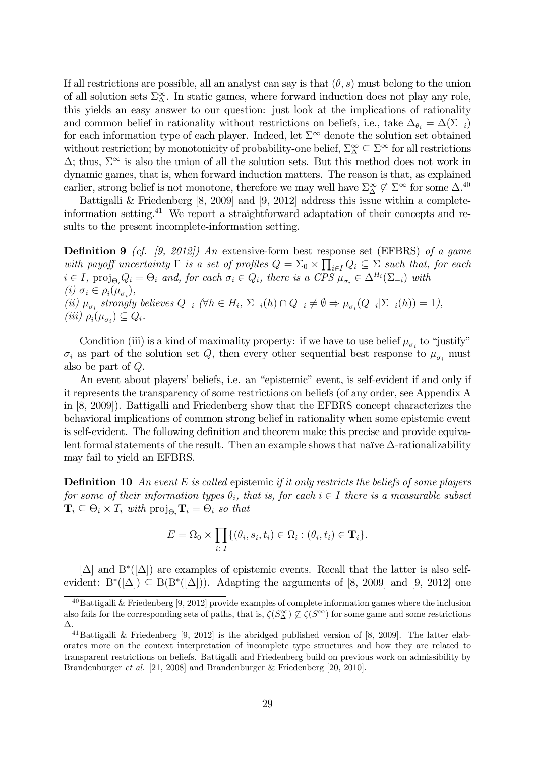If all restrictions are possible, all an analyst can say is that  $(\theta, s)$  must belong to the union of all solution sets  $\Sigma^{\infty}_{\Delta}$ . In static games, where forward induction does not play any role, this yields an easy answer to our question: just look at the implications of rationality and common belief in rationality without restrictions on beliefs, i.e., take  $\Delta_{\theta_i} = \Delta(\Sigma_{-i})$ for each information type of each player. Indeed, let  $\Sigma^{\infty}$  denote the solution set obtained without restriction; by monotonicity of probability-one belief,  $\Sigma^{\infty}_{\Delta} \subseteq \Sigma^{\infty}$  for all restrictions  $\Delta$ ; thus,  $\Sigma^{\infty}$  is also the union of all the solution sets. But this method does not work in dynamic games, that is, when forward induction matters. The reason is that, as explained earlier, strong belief is not monotone, therefore we may well have  $\Sigma^{\infty}_{\Delta} \not\subseteq \Sigma^{\infty}$  for some  $\Delta^{40}$ 

Battigalli & Friedenberg [8, 2009] and [9, 2012] address this issue within a completeinformation setting.<sup>41</sup> We report a straightforward adaptation of their concepts and results to the present incomplete-information setting.

**Definition 9** (cf. [9, 2012]) An extensive-form best response set (EFBRS) of a game with payoff uncertainty  $\Gamma$  is a set of profiles  $Q = \sum_{0} \times \prod_{i \in I} Q_i \subseteq \sum_{i}$  such that, for each  $i \in I$ , proj<sub> $\Theta_i$ </sub>  $Q_i = \Theta_i$  and, for each  $\sigma_i \in Q_i$ , there is a CPS  $\mu_{\sigma_i} \in \Delta^{H_i}(\Sigma_{-i})$  with  $(i) \sigma_i \in \rho_i(\mu_{\sigma_i}),$ (ii)  $\mu_{\sigma_i}$  strongly believes  $Q_{-i}$  ( $\forall h \in H_i$ ,  $\Sigma_{-i}(h) \cap Q_{-i} \neq \emptyset \Rightarrow \mu_{\sigma_i}(Q_{-i}|\Sigma_{-i}(h)) = 1$ ), (*iii*)  $\rho_i(\mu_{\sigma_i}) \subseteq Q_i$ .

Condition (iii) is a kind of maximality property: if we have to use belief  $\mu_{\sigma_i}$  to "justify"  $\sigma_i$  as part of the solution set Q, then every other sequential best response to  $\mu_{\sigma_i}$  must also be part of Q.

An event about players' beliefs, i.e. an "epistemic" event, is self-evident if and only if it represents the transparency of some restrictions on beliefs (of any order, see Appendix A in [8, 2009]). Battigalli and Friedenberg show that the EFBRS concept characterizes the behavioral implications of common strong belief in rationality when some epistemic event is self-evident. The following definition and theorem make this precise and provide equivalent formal statements of the result. Then an example shows that naïve  $\Delta$ -rationalizability may fail to yield an EFBRS.

**Definition 10** An event E is called epistemic if it only restricts the beliefs of some players for some of their information types  $\theta_i$ , that is, for each  $i \in I$  there is a measurable subset  $\mathbf{T}_i \subseteq \Theta_i \times T_i$  with  $\text{proj}_{\Theta_i} \mathbf{T}_i = \Theta_i$  so that

$$
E = \Omega_0 \times \prod_{i \in I} \{(\theta_i, s_i, t_i) \in \Omega_i : (\theta_i, t_i) \in \mathbf{T}_i\}.
$$

 $[\Delta]$  and  $B^*([\Delta])$  are examples of epistemic events. Recall that the latter is also selfevident:  $B^*([\Delta]) \subseteq B(B^*([\Delta]))$ . Adapting the arguments of [8, 2009] and [9, 2012] one

 $^{40}$ Battigalli & Friedenberg [9, 2012] provide examples of complete information games where the inclusion also fails for the corresponding sets of paths, that is,  $\zeta(S_{\Delta}^{\infty}) \nsubseteq \zeta(S^{\infty})$  for some game and some restrictions  $\Delta$ .

<sup>&</sup>lt;sup>41</sup>Battigalli & Friedenberg [9, 2012] is the abridged published version of [8, 2009]. The latter elaborates more on the context interpretation of incomplete type structures and how they are related to transparent restrictions on beliefs. Battigalli and Friedenberg build on previous work on admissibility by Brandenburger *et al.* [21, 2008] and Brandenburger & Friedenberg [20, 2010].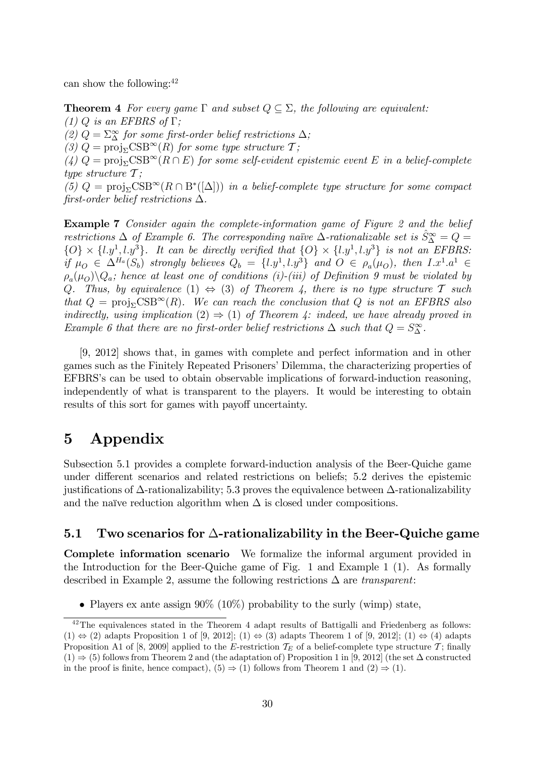can show the following: $42$ 

**Theorem 4** For every game  $\Gamma$  and subset  $Q \subseteq \Sigma$ , the following are equivalent: (1) Q is an EFBRS of  $\Gamma$ ;

(2)  $Q = \sum_{\Delta}^{\infty}$  for some first-order belief restrictions  $\Delta$ ;

(3)  $Q = \text{proj}_{\Sigma} \text{CSB}^{\infty}(R)$  for some type structure  $\mathcal{T}$ ;

(4)  $Q = \text{proj}_{\Sigma} \text{CSB}^{\infty}(R \cap E)$  for some self-evident epistemic event E in a belief-complete type structure  $\mathcal{T}$ ;

(5)  $Q = \text{proj}_{\Sigma} \text{CSB}^{\infty}(R \cap B^*([\Delta]))$  in a belief-complete type structure for some compact first-order belief restrictions  $\Delta$ .

Example 7 Consider again the complete-information game of Figure 2 and the belief restrictions  $\Delta$  of Example 6. The corresponding naïve  $\Delta$ -rationalizable set is  $\hat{S}^{\infty}_{\Delta} = Q =$  $\{O\} \times \{l.y^1, l.y^3\}$ . It can be directly verified that  $\{O\} \times \{l.y^1, l.y^3\}$  is not an EFBRS: if  $\mu_O \in \Delta^{H_a}(S_b)$  strongly believes  $Q_b = \{l.y^1, l.y^3\}$  and  $O \in \rho_a(\mu_O)$ , then  $I.x^1.a^1 \in$  $\rho_a(\mu_o) \backslash Q_a$ ; hence at least one of conditions (i)-(iii) of Definition 9 must be violated by Q. Thus, by equivalence (1)  $\Leftrightarrow$  (3) of Theorem 4, there is no type structure T such that  $Q = \text{proj}_{\Sigma} \text{CSB}^{\infty}(R)$ . We can reach the conclusion that Q is not an EFBRS also indirectly, using implication (2)  $\Rightarrow$  (1) of Theorem 4: indeed, we have already proved in Example 6 that there are no first-order belief restrictions  $\Delta$  such that  $Q = S^{\infty}_{\Delta}$ .

[9, 2012] shows that, in games with complete and perfect information and in other games such as the Finitely Repeated Prisoners' Dilemma, the characterizing properties of EFBRS's can be used to obtain observable implications of forward-induction reasoning, independently of what is transparent to the players. It would be interesting to obtain results of this sort for games with payoff uncertainty.

## 5 Appendix

Subsection 5.1 provides a complete forward-induction analysis of the Beer-Quiche game under different scenarios and related restrictions on beliefs; 5.2 derives the epistemic justifications of  $\Delta$ -rationalizability; 5.3 proves the equivalence between  $\Delta$ -rationalizability and the naïve reduction algorithm when  $\Delta$  is closed under compositions.

#### 5.1 Two scenarios for  $\Delta$ -rationalizability in the Beer-Quiche game

Complete information scenario We formalize the informal argument provided in the Introduction for the Beer-Quiche game of Fig. 1 and Example 1 (1). As formally described in Example 2, assume the following restrictions  $\Delta$  are transparent:

• Players ex ante assign  $90\%$  (10%) probability to the surly (wimp) state,

<sup>&</sup>lt;sup>42</sup>The equivalences stated in the Theorem 4 adapt results of Battigalli and Friedenberg as follows:  $(1) \Leftrightarrow (2)$  adapts Proposition 1 of [9, 2012];  $(1) \Leftrightarrow (3)$  adapts Theorem 1 of [9, 2012];  $(1) \Leftrightarrow (4)$  adapts Proposition A1 of [8, 2009] applied to the E-restriction  $T_E$  of a belief-complete type structure T; finally  $(1) \Rightarrow (5)$  follows from Theorem 2 and (the adaptation of) Proposition 1 in [9, 2012] (the set  $\Delta$  constructed in the proof is finite, hence compact),  $(5) \Rightarrow (1)$  follows from Theorem 1 and  $(2) \Rightarrow (1)$ .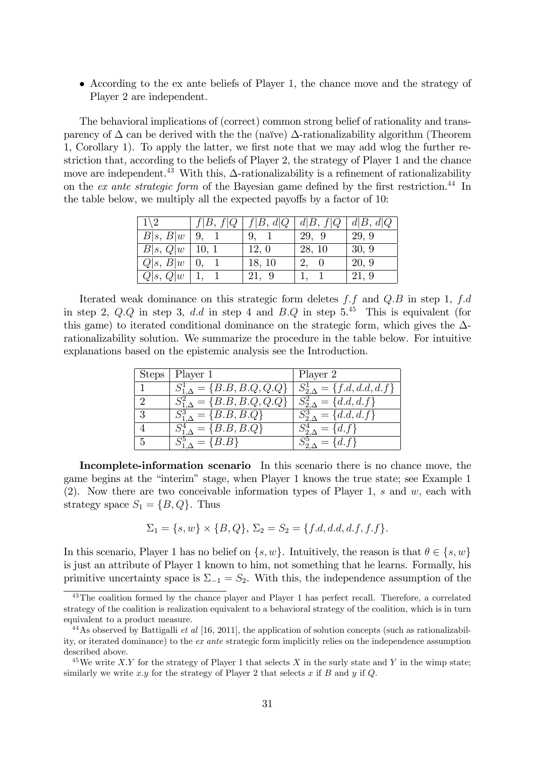According to the ex ante beliefs of Player 1, the chance move and the strategy of Player 2 are independent.

The behavioral implications of (correct) common strong belief of rationality and transparency of  $\Delta$  can be derived with the the (naïve)  $\Delta$ -rationalizability algorithm (Theorem 1, Corollary 1). To apply the latter, we first note that we may add wlog the further restriction that, according to the beliefs of Player 2, the strategy of Player 1 and the chance move are independent.<sup>43</sup> With this,  $\Delta$ -rationalizability is a refinement of rationalizability on the ex ante strategic form of the Bayesian game defined by the first restriction.<sup>44</sup> In the table below, we multiply all the expected payoffs by a factor of 10:

| $1\backslash 2$ | f B, f Q | f B, d Q | d B, f Q | d B, d Q |
|-----------------|----------|----------|----------|----------|
| B s, B w        | 9.       |          | 29, 9    | 29, 9    |
| B s, Q w        | 10, 1    | 12, 0    | 28, 10   | 30, 9    |
| Q s, B w        |          | 18, 10   | 2,       | 20, 9    |
| Q s, Q w        |          | 21, 9    |          | 21, 9    |

Iterated weak dominance on this strategic form deletes  $f.f$  and  $Q.B$  in step 1,  $f.d$ in step 2,  $Q.Q$  in step 3, dd in step 4 and  $B.Q$  in step  $5<sup>45</sup>$  This is equivalent (for this game) to iterated conditional dominance on the strategic form, which gives the  $\Delta$ rationalizability solution. We summarize the procedure in the table below. For intuitive explanations based on the epistemic analysis see the Introduction.

| <b>Steps</b> | Player 1                                | Player 2              |
|--------------|-----------------------------------------|-----------------------|
|              | $S^1_{1,\Delta} = \{B.B, B.Q, Q.Q\}$    | $= \{f.d, d.d, d.f\}$ |
| $\Omega$     | $S_{1\,\Delta}^{2} = \{B.B, B.Q, Q.Q\}$ | $= \{d.d, d.f\}$      |
| 3            | $=\{B.B, B.Q\}$                         | $= \{d.d, d.f\}$      |
|              | $= \{B.B, B.Q\}$                        | $= \{d.f\}$           |
| 5            | ${B.B}$                                 | $\{d.f\}$             |

Incomplete-information scenario In this scenario there is no chance move, the game begins at the "interim" stage, when Player 1 knows the true state; see Example 1  $(2)$ . Now there are two conceivable information types of Player 1, s and w, each with strategy space  $S_1 = \{B, Q\}$ . Thus

$$
\Sigma_1 = \{s, w\} \times \{B, Q\}, \ \Sigma_2 = S_2 = \{f.d, d.d.d, f, f.f\}.
$$

In this scenario, Player 1 has no belief on  $\{s, w\}$ . Intuitively, the reason is that  $\theta \in \{s, w\}$ is just an attribute of Player 1 known to him, not something that he learns. Formally, his primitive uncertainty space is  $\Sigma_{-1} = S_2$ . With this, the independence assumption of the

<sup>&</sup>lt;sup>43</sup>The coalition formed by the chance player and Player 1 has perfect recall. Therefore, a correlated strategy of the coalition is realization equivalent to a behavioral strategy of the coalition, which is in turn equivalent to a product measure.

 $^{44}$ As observed by Battigalli *et al* [16, 2011], the application of solution concepts (such as rationalizability, or iterated dominance) to the ex ante strategic form implicitly relies on the independence assumption described above.

<sup>&</sup>lt;sup>45</sup>We write X:Y for the strategy of Player 1 that selects X in the surly state and Y in the wimp state; similarly we write x:y for the strategy of Player 2 that selects x if B and y if Q.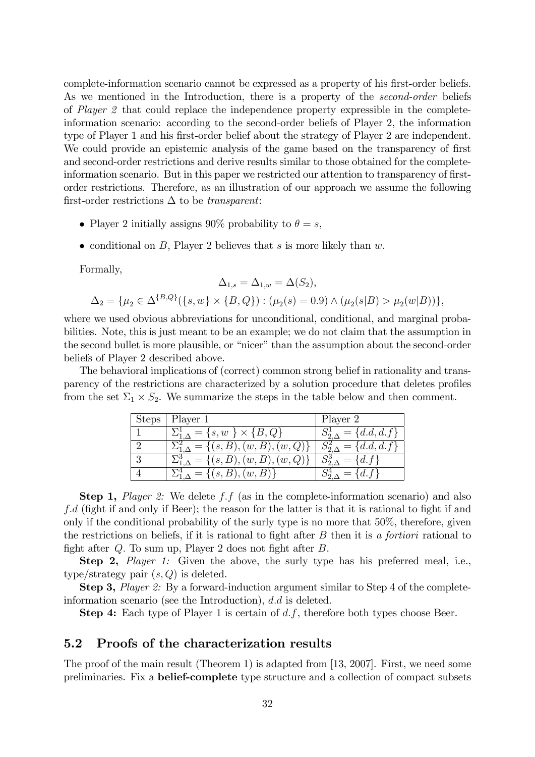complete-information scenario cannot be expressed as a property of his first-order beliefs. As we mentioned in the Introduction, there is a property of the *second-order* beliefs of Player 2 that could replace the independence property expressible in the completeinformation scenario: according to the second-order beliefs of Player 2, the information type of Player 1 and his first-order belief about the strategy of Player 2 are independent. We could provide an epistemic analysis of the game based on the transparency of first and second-order restrictions and derive results similar to those obtained for the completeinformation scenario. But in this paper we restricted our attention to transparency of firstorder restrictions. Therefore, as an illustration of our approach we assume the following first-order restrictions  $\Delta$  to be transparent:

- Player 2 initially assigns 90% probability to  $\theta = s$ ,
- conditional on B, Player 2 believes that s is more likely than  $w$ .

Formally,

$$
\Delta_{1,s} = \Delta_{1,w} = \Delta(S_2),
$$
  

$$
\Delta_2 = \{\mu_2 \in \Delta^{\{B,Q\}}(\{s,w\} \times \{B,Q\}) : (\mu_2(s) = 0.9) \wedge (\mu_2(s|B) > \mu_2(w|B))\},
$$

where we used obvious abbreviations for unconditional, conditional, and marginal probabilities. Note, this is just meant to be an example; we do not claim that the assumption in the second bullet is more plausible, or "nicer" than the assumption about the second-order beliefs of Player 2 described above.

The behavioral implications of (correct) common strong belief in rationality and transparency of the restrictions are characterized by a solution procedure that deletes profiles from the set  $\Sigma_1 \times S_2$ . We summarize the steps in the table below and then comment.

| <b>Steps</b> | Player 1                                                 | Player 2         |
|--------------|----------------------------------------------------------|------------------|
|              | $\Sigma_{1\,\Lambda}^1 = \{s,w\}\times\{B,Q\}$           | $= \{d.d, d.f\}$ |
|              | $\mathbb{E}_{1,\Lambda}^2 = \{(s, B), (w, B), (w, Q)\}.$ | $= \{d.d, d.f\}$ |
| 3            | $\Sigma_{1\Lambda}^3 = \{(s, B), (w, B), (w, Q)\}\$      | $= \{d.f\}$      |
|              | $=\{(s, B), (w, B)\}\$                                   | $= \{d.f\}$      |

**Step 1,** Player 2: We delete f.f (as in the complete-information scenario) and also  $f.d$  (fight if and only if Beer); the reason for the latter is that it is rational to fight if and only if the conditional probability of the surly type is no more that 50%, therefore, given the restrictions on beliefs, if it is rational to fight after  $B$  then it is a fortiori rational to fight after  $Q$ . To sum up, Player 2 does not fight after  $B$ .

Step 2, *Player 1:* Given the above, the surly type has his preferred meal, i.e., type/strategy pair  $(s, Q)$  is deleted.

Step 3, Player 2: By a forward-induction argument similar to Step 4 of the completeinformation scenario (see the Introduction),  $d.d$  is deleted.

**Step 4:** Each type of Player 1 is certain of  $d.f$ , therefore both types choose Beer.

#### 5.2 Proofs of the characterization results

The proof of the main result (Theorem 1) is adapted from [13, 2007]. First, we need some preliminaries. Fix a belief-complete type structure and a collection of compact subsets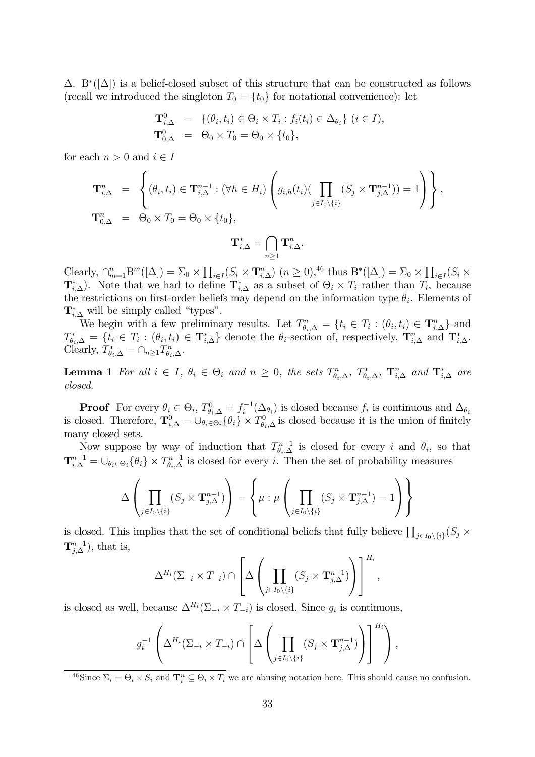$\Delta$ . B<sup>\*</sup>( $[\Delta]$ ) is a belief-closed subset of this structure that can be constructed as follows (recall we introduced the singleton  $T_0 = \{t_0\}$  for notational convenience): let

$$
\mathbf{T}^0_{i,\Delta} = \{ (\theta_i, t_i) \in \Theta_i \times T_i : f_i(t_i) \in \Delta_{\theta_i} \} \ (i \in I),
$$
  

$$
\mathbf{T}^0_{0,\Delta} = \Theta_0 \times T_0 = \Theta_0 \times \{t_0\},
$$

for each  $n > 0$  and  $i \in I$ 

$$
\mathbf{T}_{i,\Delta}^{n} = \left\{ (\theta_i, t_i) \in \mathbf{T}_{i,\Delta}^{n-1} : (\forall h \in H_i) \left( g_{i,h}(t_i) (\prod_{j \in I_0 \setminus \{i\}} (S_j \times \mathbf{T}_{j,\Delta}^{n-1})) = 1 \right) \right\},\
$$
  

$$
\mathbf{T}_{0,\Delta}^{n} = \Theta_0 \times T_0 = \Theta_0 \times \{t_0\},\
$$
  

$$
\mathbf{T}_{i,\Delta}^{*} = \bigcap_{n \geq 1} \mathbf{T}_{i,\Delta}^{n}.
$$

Clearly,  $\bigcap_{m=1}^n B^m([\Delta]) = \sum_0 \times \prod_{i \in I} (S_i \times \mathbf{T}_{i,\Delta}^n) \ (n \geq 0),^{46}$  thus  $B^*([\Delta]) = \sum_0 \times \prod_{i \in I} (S_i \times \mathbf{T}_{i,\Delta}^n)$  $\mathbf{T}_{i,\Delta}^*$ ). Note that we had to define  $\mathbf{T}_{i,\Delta}^*$  as a subset of  $\Theta_i \times T_i$  rather than  $T_i$ , because the restrictions on first-order beliefs may depend on the information type  $\theta_i$ . Elements of  $\mathbf{T}_{i,\Delta}^*$  will be simply called "types".

We begin with a few preliminary results. Let  $T_{\theta_i,\Delta}^n = \{t_i \in T_i : (\theta_i,t_i) \in \mathbf{T}_{i,\Delta}^n\}$  and  $T_{\theta_i,\Delta}^* = \{t_i \in T_i : (\theta_i,t_i) \in \mathbf{T}_{i,\Delta}^*\}$  denote the  $\theta_i$ -section of, respectively,  $\mathbf{T}_{i,\Delta}^n$  and  $\mathbf{T}_{i,\Delta}^*$ . Clearly,  $T_{\theta_i,\Delta}^* = \cap_{n\geq 1} T_{\theta_i,\Delta}^n$ .

**Lemma 1** For all  $i \in I$ ,  $\theta_i \in \Theta_i$  and  $n \geq 0$ , the sets  $T_{\theta_i,\Delta}^n$ ,  $T_{\theta_i,\Delta}^*$ ,  $T_{i,\Delta}^n$  and  $T_{i,\Delta}^*$  are closed.

**Proof** For every  $\theta_i \in \Theta_i$ ,  $T_{\theta_i,\Delta}^0 = f_i^{-1}(\Delta_{\theta_i})$  is closed because  $f_i$  is continuous and  $\Delta_{\theta_i}$ is closed. Therefore,  $\mathbf{T}_{i,\Delta}^0 = \cup_{\theta_i \in \Theta_i} \{\theta_i\} \times T_{\theta_i,\Delta}^0$  is closed because it is the union of finitely many closed sets.

Now suppose by way of induction that  $T_{\theta_i,\Delta}^{n-1}$  is closed for every i and  $\theta_i$ , so that  $\mathbf{T}_{i,\Delta}^{n-1} = \cup_{\theta_i \in \Theta_i} \{\theta_i\} \times T_{\theta_i,\Delta}^{n-1}$  is closed for every i. Then the set of probability measures

$$
\Delta\left(\prod_{j\in I_0\setminus\{i\}}(S_j\times\mathbf{T}_{j,\Delta}^{n-1})\right)=\left\{\mu:\mu\left(\prod_{j\in I_0\setminus\{i\}}(S_j\times\mathbf{T}_{j,\Delta}^{n-1})=1\right)\right\}
$$

is closed. This implies that the set of conditional beliefs that fully believe  $\prod_{j\in I_0\setminus\{i\}}(S_j\times$  $\mathbf{T}_{j,\Delta}^{n-1}$ ), that is,

$$
\Delta^{H_i}(\Sigma_{-i} \times T_{-i}) \cap \left[ \Delta \left( \prod_{j \in I_0 \setminus \{i\}} (S_j \times \mathbf{T}_{j,\Delta}^{n-1}) \right) \right]^{H_i},
$$

is closed as well, because  $\Delta^{H_i}(\Sigma_{-i} \times T_{-i})$  is closed. Since  $g_i$  is continuous,

$$
g_i^{-1}\left(\Delta^{H_i}(\Sigma_{-i} \times T_{-i}) \cap \left[\Delta\left(\prod_{j \in I_0 \setminus \{i\}} (S_j \times \mathbf{T}_{j,\Delta}^{n-1})\right)\right]^{H_i}\right),
$$

<sup>46</sup>Since  $\Sigma_i = \Theta_i \times S_i$  and  $\mathbf{T}_i^n \subseteq \Theta_i \times T_i$  we are abusing notation here. This should cause no confusion.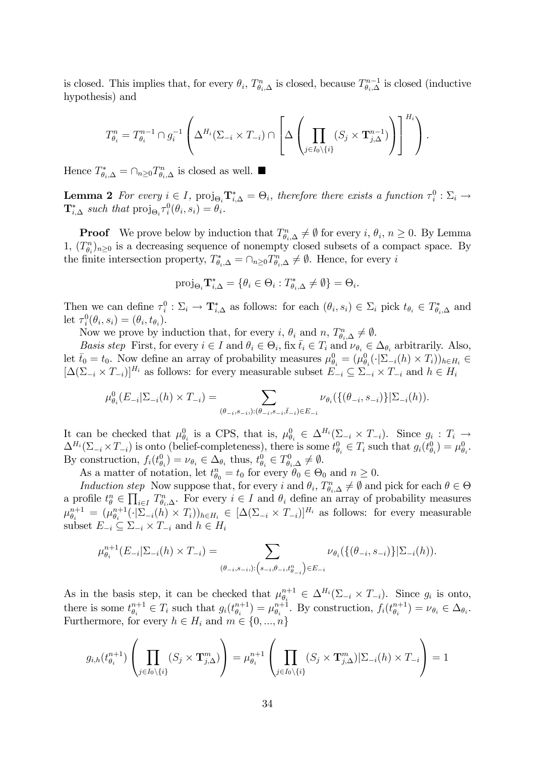is closed. This implies that, for every  $\theta_i$ ,  $T_{\theta_i,\Delta}^n$  is closed, because  $T_{\theta_i,\Delta}^{n-1}$  is closed (inductive hypothesis) and

$$
T_{\theta_i}^n = T_{\theta_i}^{n-1} \cap g_i^{-1} \left( \Delta^{H_i}(\Sigma_{-i} \times T_{-i}) \cap \left[ \Delta \left( \prod_{j \in I_0 \setminus \{i\}} (S_j \times \mathbf{T}_{j,\Delta}^{n-1}) \right) \right]^{H_i} \right).
$$

Hence  $T_{\theta_i,\Delta}^* = \cap_{n\geq 0} T_{\theta_i,\Delta}^n$  is closed as well.

**Lemma 2** For every  $i \in I$ ,  $proj_{\Theta_i} T_{i,\Delta}^* = \Theta_i$ , therefore there exists a function  $\tau_i^0 : \Sigma_i \to$  $\mathbf{T}_{i,\Delta}^*$  such that  $\text{proj}_{\Theta_i} \tau_i^0(\theta_i, s_i) = \theta_i$ .

**Proof** We prove below by induction that  $T_{\theta_i,\Delta}^n \neq \emptyset$  for every  $i, \theta_i, n \geq 0$ . By Lemma 1,  $(T_{\theta_i}^n)_{n\geq 0}$  is a decreasing sequence of nonempty closed subsets of a compact space. By the finite intersection property,  $T_{\theta_i,\Delta}^* = \cap_{n\geq 0} T_{\theta_i,\Delta}^n \neq \emptyset$ . Hence, for every i

$$
\operatorname{proj}_{\Theta_i} \mathbf{T}_{i,\Delta}^* = \{ \theta_i \in \Theta_i : T_{\theta_i,\Delta}^* \neq \emptyset \} = \Theta_i.
$$

Then we can define  $\tau_i^0 : \Sigma_i \to \mathbf{T}_{i,\Delta}^*$  as follows: for each  $(\theta_i, s_i) \in \Sigma_i$  pick  $t_{\theta_i} \in T_{\theta_i,\Delta}^*$  and let  $\tau_i^0(\theta_i, s_i) = (\theta_i, t_{\theta_i}).$ 

Now we prove by induction that, for every *i*,  $\theta_i$  and *n*,  $T_{\theta_i,\Delta}^n \neq \emptyset$ .

Basis step First, for every  $i \in I$  and  $\theta_i \in \Theta_i$ , fix  $\overline{t}_i \in T_i$  and  $\nu_{\theta_i} \in \Delta_{\theta_i}$  arbitrarily. Also, let  $\overline{t}_0 = t_0$ . Now define an array of probability measures  $\mu_{\theta_i}^0 = (\mu_{\theta_i}^0(\cdot|\Sigma_{-i}(h) \times T_i))_{h \in H_i} \in$  $[\Delta(\Sigma_{-i} \times T_{-i})]^{H_i}$  as follows: for every measurable subset  $E_{-i} \subseteq \Sigma_{-i} \times T_{-i}$  and  $h \in H_i$ 

$$
\mu_{\theta_i}^0(E_{-i}|\Sigma_{-i}(h)\times T_{-i}) = \sum_{(\theta_{-i},s_{-i},):(\theta_{-i},s_{-i},\bar{t}_{-i})\in E_{-i}} \nu_{\theta_i}(\{(\theta_{-i},s_{-i})\}|\Sigma_{-i}(h)).
$$

It can be checked that  $\mu_{\theta_i}^0$  is a CPS, that is,  $\mu_{\theta_i}^0 \in \Delta^{H_i}(\Sigma_{-i} \times T_{-i})$ . Since  $g_i : T_i \to T_i$  $\Delta^{H_i}(\Sigma_{-i} \times T_{-i})$  is onto (belief-completeness), there is some  $t^0_{\theta_i} \in T_i$  such that  $g_i(t^0_{\theta_i}) = \mu^0_{\theta_i}$ . By construction,  $f_i(t_{\theta_i}^0) = \nu_{\theta_i} \in \Delta_{\theta_i}$  thus,  $t_{\theta_i}^0 \in T_{\theta_i,\Delta}^0 \neq \emptyset$ .

As a matter of notation, let  $t_{\theta_0}^n = t_0$  for every  $\theta_0 \in \Theta_0$  and  $n \geq 0$ .

Induction step Now suppose that, for every i and  $\theta_i$ ,  $T_{\theta_i,\Delta}^n \neq \emptyset$  and pick for each  $\theta \in \Theta$ a profile  $t_{\theta}^n \in \prod_{i \in I} T_{\theta_i, \Delta}^n$ . For every  $i \in I$  and  $\theta_i$  define an array of probability measures  $\mu_{\theta_i}^{n+1} = (\mu_{\theta_i}^{n+1}$  $\int_{\theta_i}^{n+1} (\cdot | \Sigma_{-i}(h) \times T_i))_{h \in H_i} \in [\Delta(\Sigma_{-i} \times T_{-i})]^{H_i}$  as follows: for every measurable subset  $E_{-i} \subseteq \sum_{-i} \times T_{-i}$  and  $h \in H_i$ 

$$
\mu_{\theta_i}^{n+1}(E_{-i}|\Sigma_{-i}(h)\times T_{-i}) = \sum_{(\theta_{-i},s_{-i},): \left(s_{-i},\theta_{-i},t_{\theta_{-i}}^n\right)\in E_{-i}} \nu_{\theta_i}(\{(\theta_{-i},s_{-i})\}|\Sigma_{-i}(h)).
$$

As in the basis step, it can be checked that  $\mu_{\theta_i}^{n+1}$  $\mathcal{L}_{\theta_i}^{n+1} \in \Delta^{H_i}(\Sigma_{-i} \times T_{-i}).$  Since  $g_i$  is onto, there is some  $t_{\theta_i}^{n+1}$  $\theta_i^{n+1} \in T_i$  such that  $g_i(t_{\theta_i}^{n+1})$  $\begin{pmatrix} n+1 \\ \theta_i \end{pmatrix} = \mu_{\theta_i}^{n+1}$  $\theta_i^{n+1}$ . By construction,  $f_i(t_{\theta_i}^{n+1})$  $\binom{n+1}{\theta_i} = \nu_{\theta_i} \in \Delta_{\theta_i}.$ Furthermore, for every  $h \in H_i$  and  $m \in \{0, ..., n\}$ 

$$
g_{i,h}(t_{\theta_i}^{n+1}) \left( \prod_{j \in I_0 \setminus \{i\}} (S_j \times \mathbf{T}_{j,\Delta}^m) \right) = \mu_{\theta_i}^{n+1} \left( \prod_{j \in I_0 \setminus \{i\}} (S_j \times \mathbf{T}_{j,\Delta}^m) | \Sigma_{-i}(h) \times T_{-i} \right) = 1
$$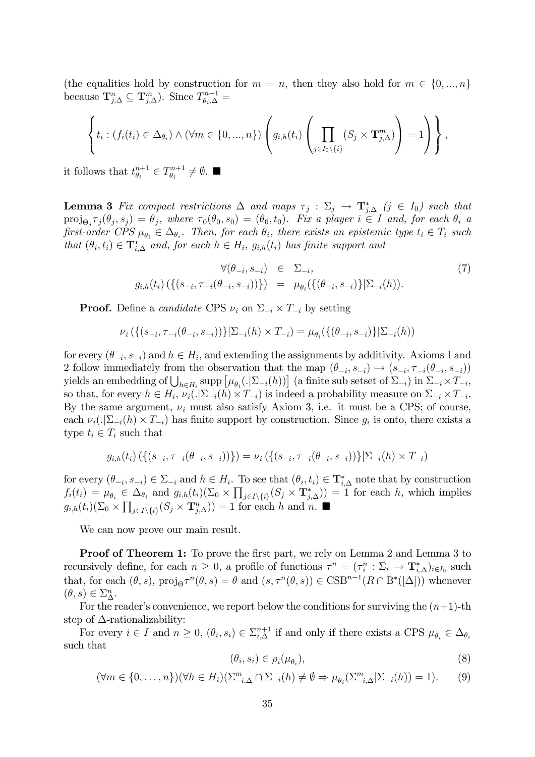(the equalities hold by construction for  $m = n$ , then they also hold for  $m \in \{0, ..., n\}$ ) because  $\mathbf{T}_{j,\Delta}^n \subseteq \mathbf{T}_{j,\Delta}^m$ ). Since  $T_{\theta_i,\Delta}^{n+1} =$ 

$$
\left\{t_i: (f_i(t_i) \in \Delta_{\theta_i}) \wedge (\forall m \in \{0, ..., n\}) \left(g_{i,h}(t_i) \left(\prod_{j \in I_0 \setminus \{i\}} (S_j \times \mathbf{T}_{j,\Delta}^m)\right) = 1\right)\right\},\
$$

it follows that  $t^{n+1}_{\theta_i}$  $\theta_i^{n+1} \in T_{\theta_i}^{n+1}$  $\theta_i^{n+1} \neq \emptyset$ .

**Lemma 3** Fix compact restrictions  $\Delta$  and maps  $\tau_j : \Sigma_j \to \mathbf{T}_{j,\Delta}^*$   $(j \in I_0)$  such that  $proj_{\Theta_j} \tau_j(\theta_j, s_j) = \theta_j$ , where  $\tau_0(\theta_0, s_0) = (\theta_0, t_0)$ . Fix a player  $i \in I$  and, for each  $\theta_i$  a first-order  $CPS \mu_{\theta_i} \in \Delta_{\theta_i}$ . Then, for each  $\theta_i$ , there exists an epistemic type  $t_i \in T_i$  such that  $(\theta_i, t_i) \in \mathbf{T}_{i,\Delta}^*$  and, for each  $h \in H_i$ ,  $g_{i,h}(t_i)$  has finite support and

$$
\forall (\theta_{-i}, s_{-i}) \in \Sigma_{-i}, g_{i,h}(t_i) (\{(s_{-i}, \tau_{-i}(\theta_{-i}, s_{-i}))\}) = \mu_{\theta_i}(\{(\theta_{-i}, s_{-i})\} | \Sigma_{-i}(h)).
$$
\n(7)

**Proof.** Define a *candidate* CPS  $\nu_i$  on  $\Sigma_{-i} \times T_{-i}$  by setting

$$
\nu_i\left(\{(s_{-i},\tau_{-i}(\theta_{-i},s_{-i}))\}|\Sigma_{-i}(h)\times T_{-i}\right) = \mu_{\theta_i}\left(\{(\theta_{-i},s_{-i})\}|\Sigma_{-i}(h)\right)
$$

for every  $(\theta_{-i}, s_{-i})$  and  $h \in H_i$ , and extending the assignments by additivity. Axioms 1 and 2 follow immediately from the observation that the map  $(\theta_{-i}, s_{-i}) \mapsto (s_{-i}, \tau_{-i}(\theta_{-i}, s_{-i}))$ yields an embedding of  $\bigcup_{h \in H_i} \text{supp} \left[ \mu_{\theta_i}(|\Sigma_{-i}(h)) \right]$  (a finite sub setset of  $\Sigma_{-i}$ ) in  $\Sigma_{-i} \times T_{-i}$ , so that, for every  $h \in H_i$ ,  $\nu_i(.|\Sigma_{-i}(h) \times T_{-i})$  is indeed a probability measure on  $\Sigma_{-i} \times T_{-i}$ . By the same argument,  $\nu_i$  must also satisfy Axiom 3, i.e. it must be a CPS; of course, each  $\nu_i(.|\Sigma_{-i}(h) \times T_{-i})$  has finite support by construction. Since  $g_i$  is onto, there exists a type  $t_i \in T_i$  such that

$$
g_{i,h}(t_i) \left( \{ (s_{-i}, \tau_{-i}(\theta_{-i}, s_{-i})) \} \right) = \nu_i \left( \{ (s_{-i}, \tau_{-i}(\theta_{-i}, s_{-i})) \} | \Sigma_{-i}(h) \times T_{-i} \right)
$$

for every  $(\theta_{-i}, s_{-i}) \in \Sigma_{-i}$  and  $h \in H_i$ . To see that  $(\theta_i, t_i) \in \mathbf{T}_{i,\Delta}^*$  note that by construction  $f_i(t_i) = \mu_{\theta_i} \in \Delta_{\theta_i}$  and  $g_{i,h}(t_i)(\Sigma_0 \times \prod_{j \in I \setminus \{i\}} (S_j \times \mathbf{T}_{j,\Delta}^*)) = 1$  for each h, which implies  $g_{i,h}(t_i)(\Sigma_0 \times \prod_{j \in I \setminus \{i\}} (S_j \times \mathbf{T}_{j,\Delta}^n)) = 1$  for each h and n.

We can now prove our main result.

Proof of Theorem 1: To prove the first part, we rely on Lemma 2 and Lemma 3 to recursively define, for each  $n \geq 0$ , a profile of functions  $\tau^n = (\tau_i^n : \Sigma_i \to \mathbf{T}_{i,\Delta}^*)_{i \in I_0}$  such that, for each  $(\theta, s)$ ,  $proj_{\Theta} \tau^n(\theta, s) = \theta$  and  $(s, \tau^n(\theta, s)) \in \text{CSB}^{n-1}(R \cap B^*([\Delta]))$  whenever  $(\theta, s) \in \Sigma_\Delta^n.$ 

For the reader's convenience, we report below the conditions for surviving the  $(n+1)$ -th step of  $\Delta$ -rationalizability:

For every  $i \in I$  and  $n \geq 0$ ,  $(\theta_i, s_i) \in \sum_{i,\Delta}^{n+1}$  if and only if there exists a CPS  $\mu_{\theta_i} \in \Delta_{\theta_i}$ such that

$$
(\theta_i, s_i) \in \rho_i(\mu_{\theta_i}), \tag{8}
$$

$$
(\forall m \in \{0, ..., n\})(\forall h \in H_i)(\Sigma_{-i,\Delta}^m \cap \Sigma_{-i}(h) \neq \emptyset \Rightarrow \mu_{\theta_i}(\Sigma_{-i,\Delta}^m | \Sigma_{-i}(h)) = 1).
$$
 (9)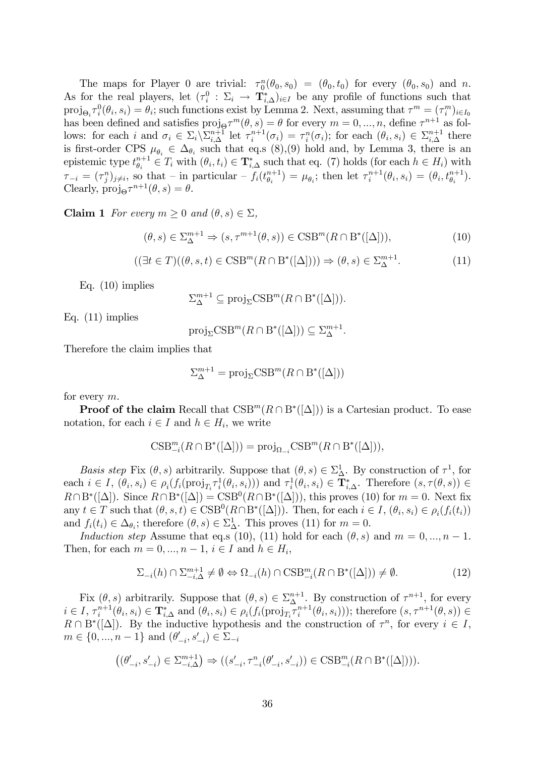The maps for Player 0 are trivial:  $\tau_0^n(\theta_0, s_0) = (\theta_0, t_0)$  for every  $(\theta_0, s_0)$  and n. As for the real players, let  $(\tau_i^0 : \Sigma_i \to \mathbf{T}_{i,\Delta}^*)_{i \in I}$  be any profile of functions such that  $proj_{\Theta_i} \tau_i^0(\theta_i, s_i) = \theta_i$ ; such functions exist by Lemma 2. Next, assuming that  $\tau^m = (\tau_i^m)_{i \in I_0}$ has been defined and satisfies  $proj_{\Theta} \tau^m(\theta, s) = \theta$  for every  $m = 0, ..., n$ , define  $\tau^{n+1}$  as follows: for each i and  $\sigma_i \in \Sigma_i \backslash \Sigma_{i,\Delta}^{n+1}$  let  $\tau_i^{n+1}$  $\mathcal{I}_i^{n+1}(\sigma_i) = \tau_i^n(\sigma_i)$ ; for each  $(\theta_i, s_i) \in \Sigma_{i,\Delta}^{n+1}$  there is first-order CPS  $\mu_{\theta_i} \in \Delta_{\theta_i}$  such that eq.s (8), (9) hold and, by Lemma 3, there is an epistemic type  $t^{n+1}_{\theta_i}$  $\theta_i^{n+1} \in T_i$  with  $(\theta_i, t_i) \in \mathbf{T}_{i,\Delta}^*$  such that eq. (7) holds (for each  $h \in H_i$ ) with  $\tau_{-i} = (\tau_j^n)_{j \neq i}$ , so that  $\bar{\tau}_j$  in particular  $\bar{\tau}_i(t_{\theta_i}^{n+1})$  $\binom{n+1}{\theta_i} = \mu_{\theta_i};$  then let  $\tau_i^{n+1}$  $i^{n+1}(\theta_i, s_i) = (\theta_i, t_{\theta_i}^{n+1}).$ Clearly,  $\text{proj}_{\Theta} \tau^{n+1}(\theta, s) = \theta.$ 

**Claim 1** For every  $m \geq 0$  and  $(\theta, s) \in \Sigma$ ,

$$
(\theta, s) \in \Sigma_{\Delta}^{m+1} \Rightarrow (s, \tau^{m+1}(\theta, s)) \in \text{CSB}^m(R \cap B^*([\Delta])), \tag{10}
$$

$$
((\exists t \in T)((\theta, s, t) \in \text{CSB}^m(R \cap B^*([\Delta]))) \Rightarrow (\theta, s) \in \Sigma_{\Delta}^{m+1}.
$$
\n(11)

Eq. (10) implies

 $\Sigma^{m+1}_{\Delta} \subseteq \text{proj}_{\Sigma} \text{CSB}^m(R \cap B^*([\Delta])).$ 

Eq. (11) implies

$$
\text{proj}_{\Sigma}\text{CSB}^m(R \cap B^*([\Delta])) \subseteq \Sigma^{m+1}_{\Delta}.
$$

Therefore the claim implies that

$$
\Sigma^{m+1}_{\Delta} = \text{proj}_{\Sigma} \text{CSB}^m(R \cap B^*([\Delta]))
$$

for every m.

**Proof of the claim** Recall that  $CSB^m(R \cap B^*([\Delta]))$  is a Cartesian product. To ease notation, for each  $i \in I$  and  $h \in H_i$ , we write

$$
\textup{CSB}_{-i}^m(R \cap B^*([\Delta])) = \textup{proj}_{\Omega_{-i}} \textup{CSB}^m(R \cap B^*([\Delta])),
$$

Basis step Fix  $(\theta, s)$  arbitrarily. Suppose that  $(\theta, s) \in \Sigma_{\Delta}^1$ . By construction of  $\tau^1$ , for each  $i \in I$ ,  $(\theta_i, s_i) \in \rho_i(f_i(\text{proj}_{T_i} \tau_i^1(\theta_i, s_i)))$  and  $\tau_i^1(\theta_i, s_i) \in \mathbf{T}_{i,\Delta}^*$ . Therefore  $(s, \tau(\theta, s)) \in$  $R \cap B^*([\Delta])$ . Since  $R \cap B^*([\Delta]) = \text{CSB}^0(R \cap B^*([\Delta]))$ , this proves (10) for  $m = 0$ . Next fix any  $t \in T$  such that  $(\theta, s, t) \in \text{CSB}^0(R \cap B^*([\Delta]))$ . Then, for each  $i \in I$ ,  $(\theta_i, s_i) \in \rho_i(f_i(t_i))$ and  $f_i(t_i) \in \Delta_{\theta_i}$ ; therefore  $(\theta, s) \in \Sigma_{\Delta}^1$ . This proves (11) for  $m = 0$ .

Induction step Assume that eq.s (10), (11) hold for each  $(\theta, s)$  and  $m = 0, ..., n - 1$ . Then, for each  $m = 0, ..., n - 1, i \in I$  and  $h \in H_i$ ,

$$
\Sigma_{-i}(h) \cap \Sigma_{-i,\Delta}^{m+1} \neq \emptyset \Leftrightarrow \Omega_{-i}(h) \cap \text{CSB}_{-i}^m(R \cap B^*([\Delta])) \neq \emptyset.
$$
 (12)

Fix  $(\theta, s)$  arbitrarily. Suppose that  $(\theta, s) \in \sum_{\Delta}^{n+1}$ . By construction of  $\tau^{n+1}$ , for every  $i \in I$ ,  $\tau_i^{n+1}$  $\mathcal{F}_i^{n+1}(\theta_i, s_i) \in \mathbf{T}_{i,\Delta}^*$  and  $(\theta_i, s_i) \in \rho_i(f_i(\text{proj}_{T_i} \tau_i^{n+1}))$  $\mathcal{L}_i^{n+1}(\theta_i, s_i))$ ; therefore  $(s, \tau^{n+1}(\theta, s)) \in$  $R \cap B^*([\Delta])$ . By the inductive hypothesis and the construction of  $\tau^n$ , for every  $i \in I$ ,  $m \in \{0, ..., n - 1\}$  and  $(\theta'_{-i}, s'_{-i}) \in \Sigma_{-i}$ 

$$
\left( (\theta'_{-i}, s'_{-i}) \in \Sigma^{m+1}_{-i, \Delta} \right) \Rightarrow ((s'_{-i}, \tau^n_{-i}(\theta'_{-i}, s'_{-i})) \in \mathrm{CSB}^m_{-i}(R \cap \mathrm{B}^*([\Delta]))).
$$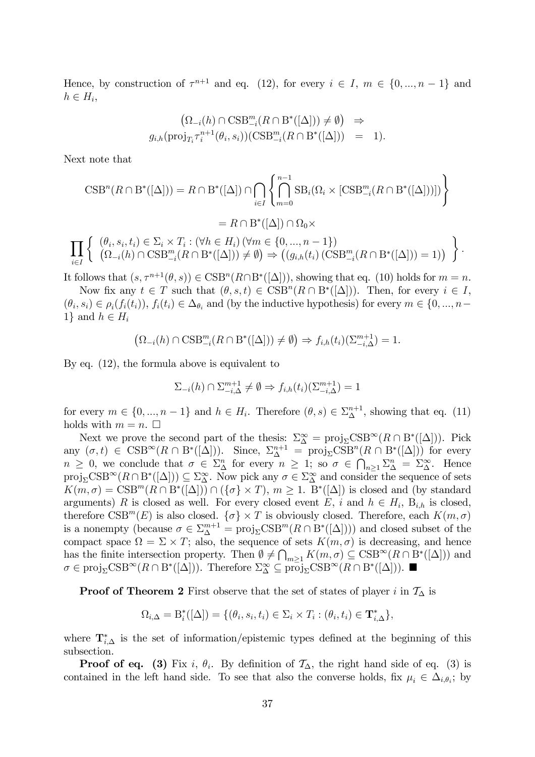Hence, by construction of  $\tau^{n+1}$  and eq. (12), for every  $i \in I$ ,  $m \in \{0, ..., n-1\}$  and  $h \in H_i$ ,

$$
\begin{aligned}\n&\left(\Omega_{-i}(h)\cap\text{CSB}_{-i}^m(R\cap\text{B}^*([\Delta]))\neq\emptyset\right) &\Rightarrow\\
g_{i,h}(\text{proj}_{T_i}\tau_i^{n+1}(\theta_i,s_i))(\text{CSB}_{-i}^m(R\cap\text{B}^*([\Delta])) &= 1).\n\end{aligned}
$$

Next note that

$$
CSB^n(R \cap B^*([\Delta])) = R \cap B^*([\Delta]) \cap \bigcap_{i \in I} \left\{ \bigcap_{m=0}^{n-1} SB_i(\Omega_i \times [CSB_{-i}^m(R \cap B^*([\Delta]))]) \right\}
$$
  

$$
= R \cap B^*([\Delta]) \cap \Omega_0 \times
$$
  

$$
\prod_{i \in I} \left\{ \begin{array}{l} (\theta_i, s_i, t_i) \in \Sigma_i \times T_i : (\forall h \in H_i) \ (\forall m \in \{0, ..., n-1\}) \\ (\Omega_{-i}(h) \cap \text{CSB}_{-i}^m(R \cap B^*([\Delta])) \neq \emptyset) \Rightarrow ((g_{i,h}(t_i) \ (\text{CSB}_{-i}^m(R \cap B^*([\Delta])) = 1)) \end{array} \right\}
$$

:

It follows that  $(s, \tau^{n+1}(\theta, s)) \in \text{CSB}^n(R \cap B^*([\Delta]))$ , showing that eq. (10) holds for  $m = n$ .

Now fix any  $t \in T$  such that  $(\theta, s, t) \in \text{CSB}^n(R \cap B^*([\Delta]))$ . Then, for every  $i \in I$ ,  $(\theta_i, s_i) \in \rho_i(f_i(t_i)), f_i(t_i) \in \Delta_{\theta_i}$  and (by the inductive hypothesis) for every  $m \in \{0, ..., n-\}$ 1} and  $h \in H_i$ 

 $(\Omega_{-i}(h) \cap \text{CSB}^m_{-i}(R \cap B^*([\Delta])) \neq \emptyset$   $\Rightarrow$   $f_{i,h}(t_i)(\Sigma_{-i,\Delta}^{m+1}) = 1.$ 

By eq. (12), the formula above is equivalent to

$$
\Sigma_{-i}(h) \cap \Sigma_{-i,\Delta}^{m+1} \neq \emptyset \Rightarrow f_{i,h}(t_i)(\Sigma_{-i,\Delta}^{m+1}) = 1
$$

for every  $m \in \{0, ..., n-1\}$  and  $h \in H_i$ . Therefore  $(\theta, s) \in \Sigma_{\Delta}^{n+1}$ , showing that eq. (11) holds with  $m = n$ .  $\Box$ 

Next we prove the second part of the thesis:  $\Sigma^{\infty}_{\Delta} = \text{proj}_{\Sigma} \text{CSB}^{\infty}(R \cap B^*([\Delta]))$ . Pick any  $(\sigma, t) \in \text{CSB}^{\infty}(R \cap B^*([\Delta]))$ . Since,  $\Sigma_{\Delta}^{n+1} = \text{proj}_{\Sigma} \text{CSB}^n(R \cap B^*([\Delta]))$  for every  $n \geq 0$ , we conclude that  $\sigma \in \Sigma_{\Delta}^n$  for every  $n \geq 1$ ; so  $\sigma \in \bigcap_{n \geq 1} \Sigma_{\Delta}^n = \Sigma_{\Delta}^{\infty}$ . Hence  $proj_{\Sigma}CSB^{\infty}(R \cap B^{*}([\Delta])) \subseteq \Sigma_{\Delta}^{\infty}$ . Now pick any  $\sigma \in \Sigma_{\Delta}^{\infty}$  and consider the sequence of sets  $K(m, \sigma) = \text{CSB}^m(R \cap B^*([\Delta])) \cap (\{\sigma\} \times T), m \ge 1$ .  $B^*([\Delta])$  is closed and (by standard arguments) R is closed as well. For every closed event E, i and  $h \in H_i$ ,  $B_{i,h}$  is closed, therefore  $\text{CSB}^m(E)$  is also closed.  $\{\sigma\} \times T$  is obviously closed. Therefore, each  $K(m, \sigma)$ is a nonempty (because  $\sigma \in \Sigma_{\Delta}^{m+1} = \text{proj}_{\Sigma} \text{CSB}^m(R \cap B^*([\Delta]))$ ) and closed subset of the compact space  $\Omega = \Sigma \times T$ ; also, the sequence of sets  $K(m, \sigma)$  is decreasing, and hence has the finite intersection property. Then  $\emptyset \neq \bigcap_{m\geq 1} K(m,\sigma) \subseteq \text{CSB}^{\infty}(R \cap B^*([\Delta]))$  and  $\sigma \in \text{proj}_{\Sigma} \text{CSB}^{\infty}(R \cap B^*([\Delta]))$ . Therefore  $\Sigma_{\Delta}^{\infty} \subseteq \text{proj}_{\Sigma} \text{CSB}^{\infty}(R \cap B^*([\Delta]))$ .

**Proof of Theorem 2** First observe that the set of states of player i in  $\mathcal{T}_{\Delta}$  is

$$
\Omega_{i,\Delta} = \mathcal{B}_i^*([\Delta]) = \{(\theta_i, s_i, t_i) \in \Sigma_i \times T_i : (\theta_i, t_i) \in \mathbf{T}_{i,\Delta}^*\},
$$

where  $\mathbf{T}_{i,\Delta}^*$  is the set of information/epistemic types defined at the beginning of this subsection.

**Proof of eq.** (3) Fix i,  $\theta_i$ . By definition of  $\mathcal{T}_{\Delta}$ , the right hand side of eq. (3) is contained in the left hand side. To see that also the converse holds, fix  $\mu_i \in \Delta_{i,\theta_i}$ ; by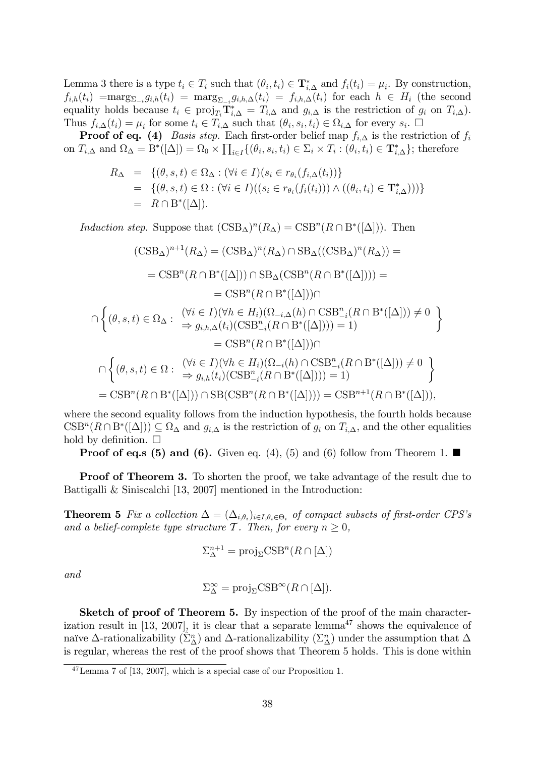Lemma 3 there is a type  $t_i \in T_i$  such that  $(\theta_i, t_i) \in \mathbf{T}_{i,\Delta}^*$  and  $f_i(t_i) = \mu_i$ . By construction,  $f_{i,h}(t_i) = \max_{\Sigma_{-i}} g_{i,h}(t_i) = \max_{\Sigma_{-i}} g_{i,h,\Delta}(t_i) = f_{i,h,\Delta}(t_i)$  for each  $h \in H_i$  (the second equality holds because  $t_i \in \text{proj}_{T_i} \mathbf{T}_{i,\Delta}^* = T_{i,\Delta}$  and  $g_{i,\Delta}$  is the restriction of  $g_i$  on  $T_{i,\Delta}$ ). Thus  $f_{i,\Delta}(t_i) = \mu_i$  for some  $t_i \in T_{i,\Delta}$  such that  $(\theta_i, s_i, t_i) \in \Omega_{i,\Delta}$  for every  $s_i$ .

**Proof of eq.** (4) *Basis step.* Each first-order belief map  $f_{i,\Delta}$  is the restriction of  $f_i$ on  $T_{i,\Delta}$  and  $\Omega_{\Delta} = B^*([\Delta]) = \Omega_0 \times \prod_{i \in I} \{(\theta_i, s_i, t_i) \in \Sigma_i \times T_i : (\theta_i, t_i) \in \mathbf{T}_{i,\Delta}^*\}$ ; therefore

$$
R_{\Delta} = \{(\theta, s, t) \in \Omega_{\Delta} : (\forall i \in I)(s_i \in r_{\theta_i}(f_{i,\Delta}(t_i))\}
$$
  
= 
$$
\{(\theta, s, t) \in \Omega : (\forall i \in I)((s_i \in r_{\theta_i}(f_i(t_i))) \wedge ((\theta_i, t_i) \in \mathbf{T}_{i,\Delta}^*))\}
$$
  
= 
$$
R \cap B^*([\Delta]).
$$

Induction step. Suppose that  $(\text{CSB}_{\Delta})^n (R_{\Delta}) = \text{CSB}^n (R \cap B^*([\Delta]))$ . Then

$$
(\text{CSB}_{\Delta})^{n+1}(R_{\Delta}) = (\text{CSB}_{\Delta})^{n}(R_{\Delta}) \cap \text{SB}_{\Delta}((\text{CSB}_{\Delta})^{n}(R_{\Delta})) =
$$
  
\n
$$
= \text{CSB}^{n}(R \cap \text{B}^{*}([\Delta])) \cap \text{SB}_{\Delta}(\text{CSB}^{n}(R \cap \text{B}^{*}([\Delta]))) =
$$
  
\n
$$
= \text{CSB}^{n}(R \cap \text{B}^{*}([\Delta])) \cap
$$
  
\n
$$
\cap \left\{ (\theta, s, t) \in \Omega_{\Delta} : \begin{array}{l} (\forall i \in I)(\forall h \in H_{i})(\Omega_{-i,\Delta}(h) \cap \text{CSB}_{-i}^{n}(R \cap \text{B}^{*}([\Delta])) \neq 0 \\ \Rightarrow g_{i,h,\Delta}(t_{i})(\text{CSB}_{-i}^{n}(R \cap \text{B}^{*}([\Delta]))) = 1) \end{array} \right\}
$$
  
\n
$$
= \text{CSB}^{n}(R \cap \text{B}^{*}([\Delta])) \cap
$$
  
\n
$$
\cap \left\{ (\theta, s, t) \in \Omega : \begin{array}{l} (\forall i \in I)(\forall h \in H_{i})(\Omega_{-i}(h) \cap \text{CSB}_{-i}^{n}(R \cap \text{B}^{*}([\Delta])) \neq 0 \\ \Rightarrow g_{i,h}(t_{i})(\text{CSB}_{-i}^{n}(R \cap \text{B}^{*}([\Delta]))) = 1) \end{array} \right\}
$$
  
\n
$$
= \text{CSB}^{n}(R \cap \text{B}^{*}([\Delta])) \cap \text{SB}(\text{CSB}^{n}(R \cap \text{B}^{*}([\Delta]))) = \text{CSB}^{n+1}(R \cap \text{B}^{*}([\Delta])),
$$

where the second equality follows from the induction hypothesis, the fourth holds because  $CSB^n(R \cap B^*([\Delta])) \subseteq \Omega_{\Delta}$  and  $g_{i,\Delta}$  is the restriction of  $g_i$  on  $T_{i,\Delta}$ , and the other equalities hold by definition.  $\square$ 

**Proof of eq.s (5) and (6).** Given eq. (4), (5) and (6) follow from Theorem 1.

**Proof of Theorem 3.** To shorten the proof, we take advantage of the result due to Battigalli & Siniscalchi [13, 2007] mentioned in the Introduction:

**Theorem 5** Fix a collection  $\Delta = (\Delta_{i,\theta_i})_{i \in I, \theta_i \in \Theta_i}$  of compact subsets of first-order CPS's and a belief-complete type structure T. Then, for every  $n \geq 0$ ,

$$
\Sigma^{n+1}_{\Delta} = \text{proj}_{\Sigma} \text{CSB}^n(R \cap [\Delta])
$$

and

$$
\Sigma_{\Delta}^{\infty} = \text{proj}_{\Sigma} \text{CSB}^{\infty}(R \cap [\Delta]).
$$

Sketch of proof of Theorem 5. By inspection of the proof of the main characterization result in [13, 2007], it is clear that a separate lemma<sup>47</sup> shows the equivalence of naïve  $\Delta$ -rationalizability  $(\hat{\Sigma}_{\Delta}^n)$  and  $\Delta$ -rationalizability  $(\Sigma_{\Delta}^n)$  under the assumption that  $\Delta$ is regular, whereas the rest of the proof shows that Theorem 5 holds. This is done within

<sup>47</sup>Lemma 7 of [13, 2007], which is a special case of our Proposition 1.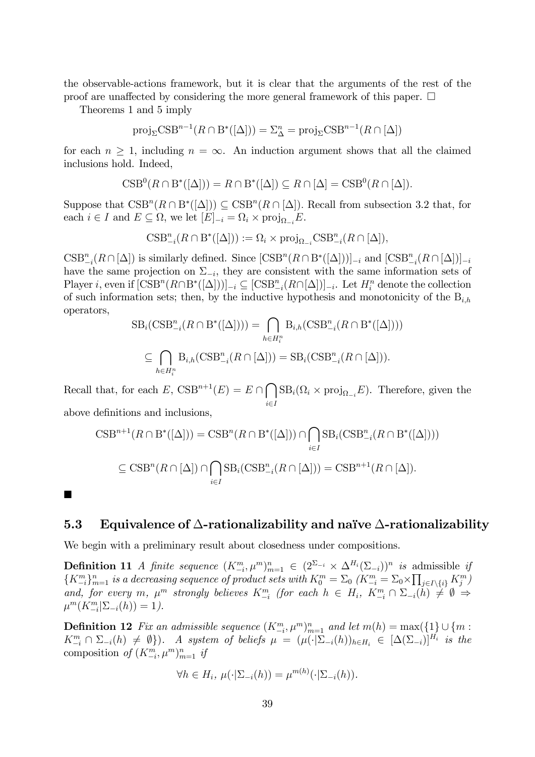the observable-actions framework, but it is clear that the arguments of the rest of the proof are unaffected by considering the more general framework of this paper.  $\Box$ 

Theorems 1 and 5 imply

$$
\text{proj}_{\Sigma}\text{CSB}^{n-1}(R \cap B^*([\Delta])) = \Sigma_{\Delta}^n = \text{proj}_{\Sigma}\text{CSB}^{n-1}(R \cap [\Delta])
$$

for each  $n \geq 1$ , including  $n = \infty$ . An induction argument shows that all the claimed inclusions hold. Indeed,

$$
CSB0(R \cap B*(\lbrack \Delta \rbrack)) = R \cap B*(\lbrack \Delta \rbrack) \subseteq R \cap \lbrack \Delta \rbrack = CSB0(R \cap \lbrack \Delta \rbrack).
$$

Suppose that  $CSD^{n}(R \cap B^{*}([\Delta])) \subseteq CSD^{n}(R \cap [\Delta])$ . Recall from subsection 3.2 that, for each  $i \in I$  and  $E \subseteq \Omega$ , we let  $[E]_{-i} = \Omega_i \times \text{proj}_{\Omega_{-i}} E$ .

$$
\textup{CSB}_{-i}^n(R\cap B^*([\Delta])):=\Omega_i\times \textup{proj}_{\Omega_{-i}}\textup{CSB}_{-i}^n(R\cap [\Delta]),
$$

 $\text{CSB}^n_{-i}(R \cap [\Delta])$  is similarly defined. Since  $[\text{CSB}^n(R \cap B^*([\Delta]))]_{-i}$  and  $[\text{CSB}^n_{-i}(R \cap [\Delta])]_{-i}$ have the same projection on  $\Sigma_{-i}$ , they are consistent with the same information sets of Player *i*, even if  $[\text{CSB}^n(R \cap B^*([\Delta]))]_{-i} \subseteq [\text{CSB}^n_{-i}(R \cap [\Delta)])_{-i}$ . Let  $H_i^n$  denote the collection of such information sets; then, by the inductive hypothesis and monotonicity of the  $B_{i,h}$ operators,

$$
SB_i(\text{CSB}^n_{-i}(R \cap B^*([\Delta]))) = \bigcap_{h \in H_i^n} B_{i,h}(\text{CSB}^n_{-i}(R \cap B^*([\Delta])))
$$
  

$$
\subseteq \bigcap_{h \in H_i^n} B_{i,h}(\text{CSB}^n_{-i}(R \cap [\Delta])) = SB_i(\text{CSB}^n_{-i}(R \cap [\Delta])).
$$

Recall that, for each  $E$ ,  $\text{CSB}^{n+1}(E) = E \cap \bigcap \text{SB}_i(\Omega_i \times \text{proj}_{\Omega_{-i}} E)$ . Therefore, given the  $i \in I$ above definitions and inclusions,

$$
CSB^{n+1}(R \cap B^*([\Delta])) = CSB^n(R \cap B^*([\Delta])) \cap \bigcap_{i \in I} SB_i(CSB^n_{-i}(R \cap B^*([\Delta]))
$$
  

$$
\subseteq CSB^n(R \cap [\Delta]) \cap \bigcap_{i \in I} SB_i(CSB^n_{-i}(R \cap [\Delta])) = CSB^{n+1}(R \cap [\Delta]).
$$

 $\blacksquare$ 

#### 5.3 Equivalence of  $\Delta$ -rationalizability and naïve  $\Delta$ -rationalizability

We begin with a preliminary result about closedness under compositions.

**Definition 11** A finite sequence  $(K^m_{-i}, \mu^m)_{m=1}^n \in (2^{\Sigma_{-i}} \times \Delta^{H_i} (\Sigma_{-i}))^n$  is admissible if  $\{K_{-i}^m\}_{m=1}^n$  is a decreasing sequence of product sets with  $K_0^m = \sum_0 (K_{-i}^m = \sum_0 \times \prod_{j\in I\setminus\{i\}} K_j^m)$ and, for every m,  $\mu^m$  strongly believes  $K_{-i}^m$  (for each  $h \in H_i$ ,  $K_{-i}^m \cap \Sigma_{-i}(h) \neq \emptyset \Rightarrow$  $\mu^m(K_{-i}^m | \Sigma_{-i}(h)) = 1$ ).

**Definition 12** Fix an admissible sequence  $(K_{-i}^m, \mu^m)_{m=1}^n$  and let  $m(h) = \max\{\{1\} \cup \{m : \text{sum}\}_{m=1}^m \mu^m\}$  $K_{-i}^m \cap \Sigma_{-i}(h) \neq \emptyset$ . A system of beliefs  $\mu = (\mu(\cdot|\Sigma_{-i}(h))_{h \in H_i} \in [\Delta(\Sigma_{-i})]^{H_i}$  is the composition of  $(K^m_{-i}, \mu^m)_{m=1}^n$  if

$$
\forall h \in H_i, \ \mu(\cdot | \Sigma_{-i}(h)) = \mu^{m(h)}(\cdot | \Sigma_{-i}(h)).
$$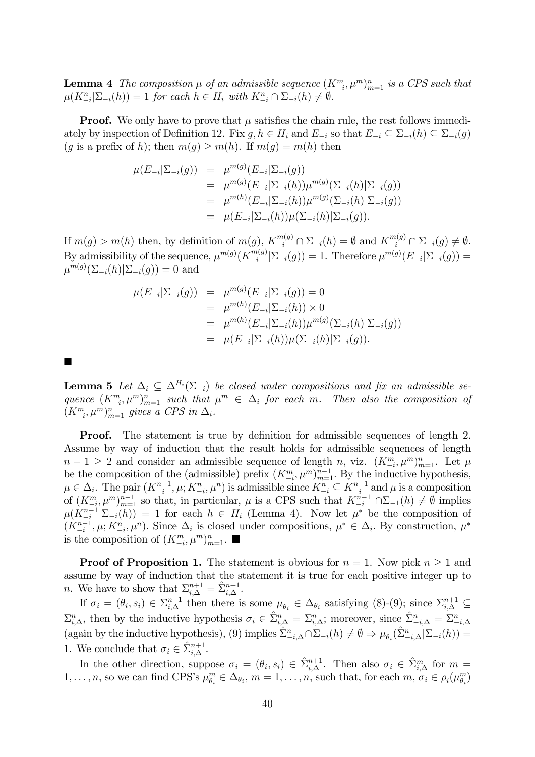**Lemma 4** The composition  $\mu$  of an admissible sequence  $(K^m_{-i}, \mu^m)_{m=1}^n$  is a CPS such that  $\mu(K_{-i}^n | \Sigma_{-i}(h)) = 1$  for each  $h \in H_i$  with  $K_{-i}^n \cap \Sigma_{-i}(h) \neq \emptyset$ .

**Proof.** We only have to prove that  $\mu$  satisfies the chain rule, the rest follows immediately by inspection of Definition 12. Fix  $g, h \in H_i$  and  $E_{-i}$  so that  $E_{-i} \subseteq \sum_{i}(h) \subseteq \sum_{i}(g)$ (g is a prefix of h); then  $m(g) \geq m(h)$ . If  $m(g) = m(h)$  then

$$
\mu(E_{-i}|\Sigma_{-i}(g)) = \mu^{m(g)}(E_{-i}|\Sigma_{-i}(g))
$$
  
\n
$$
= \mu^{m(g)}(E_{-i}|\Sigma_{-i}(h))\mu^{m(g)}(\Sigma_{-i}(h)|\Sigma_{-i}(g))
$$
  
\n
$$
= \mu^{m(h)}(E_{-i}|\Sigma_{-i}(h))\mu^{m(g)}(\Sigma_{-i}(h)|\Sigma_{-i}(g))
$$
  
\n
$$
= \mu(E_{-i}|\Sigma_{-i}(h))\mu(\Sigma_{-i}(h)|\Sigma_{-i}(g)).
$$

If  $m(g) > m(h)$  then, by definition of  $m(g)$ ,  $K_{-i}^{m(g)} \cap \Sigma_{-i}(h) = \emptyset$  and  $K_{-i}^{m(g)} \cap \Sigma_{-i}(g) \neq \emptyset$ . By admissibility of the sequence,  $\mu^{m(g)}(K_{-i}^{m(g)})$  $\sum_{i=1}^{m(g)}\left|\sum_{i=1}^{n}(g)\right|=1.$  Therefore  $\mu^{m(g)}(E_{-i}|\Sigma_{-i}(g))=$  $\mu^{m(g)}(\Sigma_{-i}(h)|\Sigma_{-i}(g)) = 0$  and

$$
\mu(E_{-i}|\Sigma_{-i}(g)) = \mu^{m(g)}(E_{-i}|\Sigma_{-i}(g)) = 0
$$
  
= 
$$
\mu^{m(h)}(E_{-i}|\Sigma_{-i}(h)) \times 0
$$
  
= 
$$
\mu^{m(h)}(E_{-i}|\Sigma_{-i}(h))\mu^{m(g)}(\Sigma_{-i}(h)|\Sigma_{-i}(g))
$$
  
= 
$$
\mu(E_{-i}|\Sigma_{-i}(h))\mu(\Sigma_{-i}(h)|\Sigma_{-i}(g)).
$$

 $\blacksquare$ 

**Lemma 5** Let  $\Delta_i \subseteq \Delta^{H_i}(\Sigma_{-i})$  be closed under compositions and fix an admissible sequence  $(K^m_{-i}, \mu^m)_{m=1}^n$  such that  $\mu^m \in \Delta_i$  for each m. Then also the composition of  $(K^m_{-i}, \mu^m)_{m=1}^n$  gives a CPS in  $\Delta_i$ .

**Proof.** The statement is true by definition for admissible sequences of length 2. Assume by way of induction that the result holds for admissible sequences of length  $n-1 \geq 2$  and consider an admissible sequence of length n, viz.  $(K_{-i}^m, \mu^m)_{m=1}^n$ . Let  $\mu$ be the composition of the (admissible) prefix  $(K_{-i}^m, \mu^m)_{n=1}^{n-1}$ . By the inductive hypothesis,  $\mu \in \Delta_i$ . The pair  $(K_{-i}^{n-1}, \mu; K_{-i}^n, \mu^n)$  is admissible since  $K_{-i}^n \subseteq K_{-i}^{n-1}$  and  $\mu$  is a composition of  $(K^m_{-i}, \mu^m)_{m=1}^{n-1}$  so that, in particular,  $\mu$  is a CPS such that  $K^{n-1}_{-i} \cap \Sigma_{-1}(h) \neq \emptyset$  implies  $\mu(K_{-i}^{n-1}|\Sigma_{-i}(h)) = 1$  for each  $h \in H_i$  (Lemma 4). Now let  $\mu^*$  be the composition of  $(K_{-i}^{n-1}, \mu; K_{-i}^n, \mu^n)$ . Since  $\Delta_i$  is closed under compositions,  $\mu^* \in \Delta_i$ . By construction,  $\mu^*$ is the composition of  $(K_{-i}^m, \mu^m)_{m=1}^n$ .

**Proof of Proposition 1.** The statement is obvious for  $n = 1$ . Now pick  $n \ge 1$  and assume by way of induction that the statement it is true for each positive integer up to *n*. We have to show that  $\Sigma_{i,\Delta}^{n+1} = \hat{\Sigma}_{i,\Delta}^{n+1}$ .

If  $\sigma_i = (\theta_i, s_i) \in \sum_{i,\Delta}^{n+1}$  then there is some  $\mu_{\theta_i} \in \Delta_{\theta_i}$  satisfying (8)-(9); since  $\sum_{i,\Delta}^{n+1} \subseteq$  $\Sigma_{i,\Delta}^n$ , then by the inductive hypothesis  $\sigma_i \in \hat{\Sigma}_{i,\Delta}^n = \Sigma_{i,\Delta}^n$ ; moreover, since  $\hat{\Sigma}_{-i,\Delta}^n = \Sigma_{-i,\Delta}^n$ (again by the inductive hypothesis), (9) implies  $\hat{\Sigma}_{-i,\Delta}^n \cap \Sigma_{-i}(h) \neq \emptyset \Rightarrow \mu_{\theta_i}(\hat{\Sigma}_{-i,\Delta}^n | \Sigma_{-i}(h)) =$ 1. We conclude that  $\sigma_i \in \hat{\Sigma}_{i,\Delta}^{n+1}$ .

In the other direction, suppose  $\sigma_i = (\theta_i, s_i) \in \hat{\Sigma}_{i,\Delta}^{n+1}$ . Then also  $\sigma_i \in \hat{\Sigma}_{i,\Delta}^m$  for  $m =$  $1, \ldots, n$ , so we can find CPS's  $\mu_{\theta_i}^m \in \Delta_{\theta_i}$ ,  $m = 1, \ldots, n$ , such that, for each  $m, \sigma_i \in \rho_i(\mu_{\theta_i}^m)$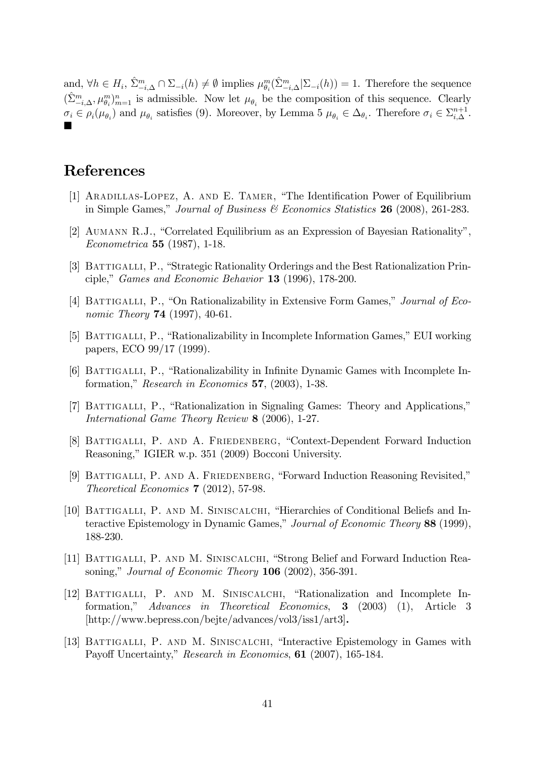and,  $\forall h \in H_i$ ,  $\hat{\Sigma}_{-i,\Delta}^m \cap \Sigma_{-i}(h) \neq \emptyset$  implies  $\mu_{\theta_i}^m(\hat{\Sigma}_{-i,\Delta}^m | \Sigma_{-i}(h)) = 1$ . Therefore the sequence  $(\hat{\Sigma}_{-i,\Delta}^m, \mu_{\theta_i}^m)_{m=1}^n$  is admissible. Now let  $\mu_{\theta_i}$  be the composition of this sequence. Clearly  $\sigma_i \in \rho_i(\mu_{\theta_i})$  and  $\mu_{\theta_i}$  satisfies (9). Moreover, by Lemma 5  $\mu_{\theta_i} \in \Delta_{\theta_i}$ . Therefore  $\sigma_i \in \Sigma_{i,\Delta}^{n+1}$ .  $\blacksquare$ 

## References

- [1] ARADILLAS-LOPEZ, A. AND E. TAMER, "The Identification Power of Equilibrium in Simple Games," Journal of Business  $\mathcal B$  Economics Statistics 26 (2008), 261-283.
- [2] AUMANN R.J., "Correlated Equilibrium as an Expression of Bayesian Rationality", Econometrica 55 (1987), 1-18.
- [3] BATTIGALLI, P., "Strategic Rationality Orderings and the Best Rationalization Principle," Games and Economic Behavior  $13$  (1996), 178-200.
- [4] BATTIGALLI, P., "On Rationalizability in Extensive Form Games," Journal of Economic Theory **74** (1997), 40-61.
- [5] BATTIGALLI, P., "Rationalizability in Incomplete Information Games," EUI working papers, ECO 99/17 (1999).
- [6] BATTIGALLI, P., "Rationalizability in Infinite Dynamic Games with Incomplete Information," Research in Economics 57,  $(2003)$ , 1-38.
- [7] BATTIGALLI, P., "Rationalization in Signaling Games: Theory and Applications," International Game Theory Review 8 (2006), 1-27.
- [8] BATTIGALLI, P. AND A. FRIEDENBERG, "Context-Dependent Forward Induction Reasoning," IGIER w.p. 351 (2009) Bocconi University.
- [9] BATTIGALLI, P. AND A. FRIEDENBERG, "Forward Induction Reasoning Revisited," Theoretical Economics 7 (2012), 57-98.
- [10] BATTIGALLI, P. AND M. SINISCALCHI, "Hierarchies of Conditional Beliefs and Interactive Epistemology in Dynamic Games," Journal of Economic Theory 88 (1999), 188-230.
- [11] BATTIGALLI, P. AND M. SINISCALCHI, "Strong Belief and Forward Induction Reasoning," Journal of Economic Theory  $106$  (2002), 356-391.
- [12] BATTIGALLI, P. AND M. SINISCALCHI, "Rationalization and Incomplete Information,î Advances in Theoretical Economics, 3 (2003) (1), Article 3 [http://www.bepress.con/bejte/advances/vol3/iss1/art3].
- [13] BATTIGALLI, P. AND M. SINISCALCHI, "Interactive Epistemology in Games with Payoff Uncertainty," Research in Economics, 61 (2007), 165-184.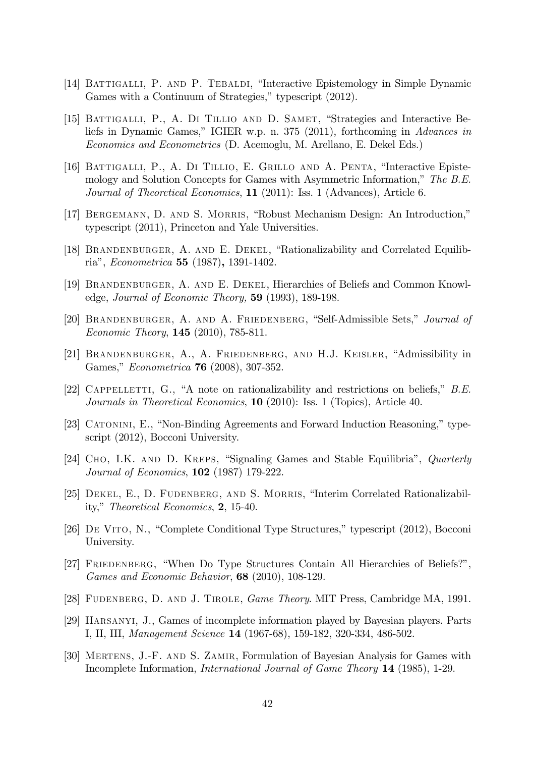- [14] BATTIGALLI, P. AND P. TEBALDI, "Interactive Epistemology in Simple Dynamic Games with a Continuum of Strategies," typescript (2012).
- [15] BATTIGALLI, P., A. DI TILLIO AND D. SAMET, "Strategies and Interactive Beliefs in Dynamic Games," IGIER w.p. n. 375 (2011), forthcoming in Advances in Economics and Econometrics (D. Acemoglu, M. Arellano, E. Dekel Eds.)
- [16] BATTIGALLI, P., A. DI TILLIO, E. GRILLO AND A. PENTA, "Interactive Epistemology and Solution Concepts for Games with Asymmetric Information," The  $B.E.$ Journal of Theoretical Economics, 11 (2011): Iss. 1 (Advances), Article 6.
- [17] BERGEMANN, D. AND S. MORRIS, "Robust Mechanism Design: An Introduction," typescript (2011), Princeton and Yale Universities.
- [18] BRANDENBURGER, A. AND E. DEKEL, "Rationalizability and Correlated Equilibriaî, Econometrica 55 (1987), 1391-1402.
- [19] Brandenburger, A. and E. Dekel, Hierarchies of Beliefs and Common Knowledge, Journal of Economic Theory, 59 (1993), 189-198.
- [20] BRANDENBURGER, A. AND A. FRIEDENBERG, "Self-Admissible Sets," Journal of Economic Theory, 145 (2010), 785-811.
- [21] BRANDENBURGER, A., A. FRIEDENBERG, AND H.J. KEISLER, "Admissibility in Games," *Econometrica* **76** (2008), 307-352.
- [22] CAPPELLETTI, G., "A note on rationalizability and restrictions on beliefs,"  $B.E.$ Journals in Theoretical Economics, 10 (2010): Iss. 1 (Topics), Article 40.
- [23] CATONINI, E., "Non-Binding Agreements and Forward Induction Reasoning," typescript (2012), Bocconi University.
- [24] CHO, I.K. AND D. KREPS, "Signaling Games and Stable Equilibria", *Quarterly* Journal of Economics, 102 (1987) 179-222.
- [25] DEKEL, E., D. FUDENBERG, AND S. MORRIS, "Interim Correlated Rationalizability," Theoretical Economics, 2, 15-40.
- [26] DE VITO, N., "Complete Conditional Type Structures," typescript (2012), Bocconi University.
- [27] FRIEDENBERG, "When Do Type Structures Contain All Hierarchies of Beliefs?", Games and Economic Behavior, 68 (2010), 108-129.
- [28] Fudenberg, D. and J. Tirole, Game Theory. MIT Press, Cambridge MA, 1991.
- [29] Harsanyi, J., Games of incomplete information played by Bayesian players. Parts I, II, III, Management Science 14 (1967-68), 159-182, 320-334, 486-502.
- [30] Mertens, J.-F. and S. Zamir, Formulation of Bayesian Analysis for Games with Incomplete Information, International Journal of Game Theory 14 (1985), 1-29.